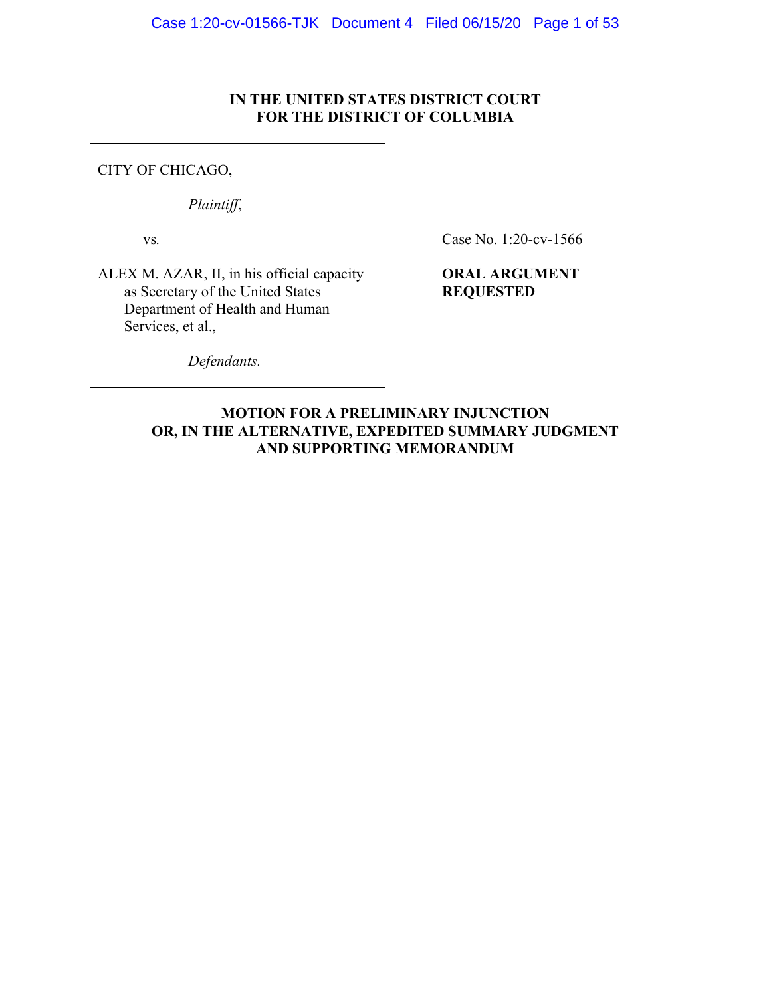## **IN THE UNITED STATES DISTRICT COURT FOR THE DISTRICT OF COLUMBIA**

## CITY OF CHICAGO,

*Plaintiff*,

vs*.*

ALEX M. AZAR, II, in his official capacity as Secretary of the United States Department of Health and Human Services, et al.,

Case No. 1:20-cv-1566

# **ORAL ARGUMENT REQUESTED**

*Defendants.*

**MOTION FOR A PRELIMINARY INJUNCTION OR, IN THE ALTERNATIVE, EXPEDITED SUMMARY JUDGMENT AND SUPPORTING MEMORANDUM**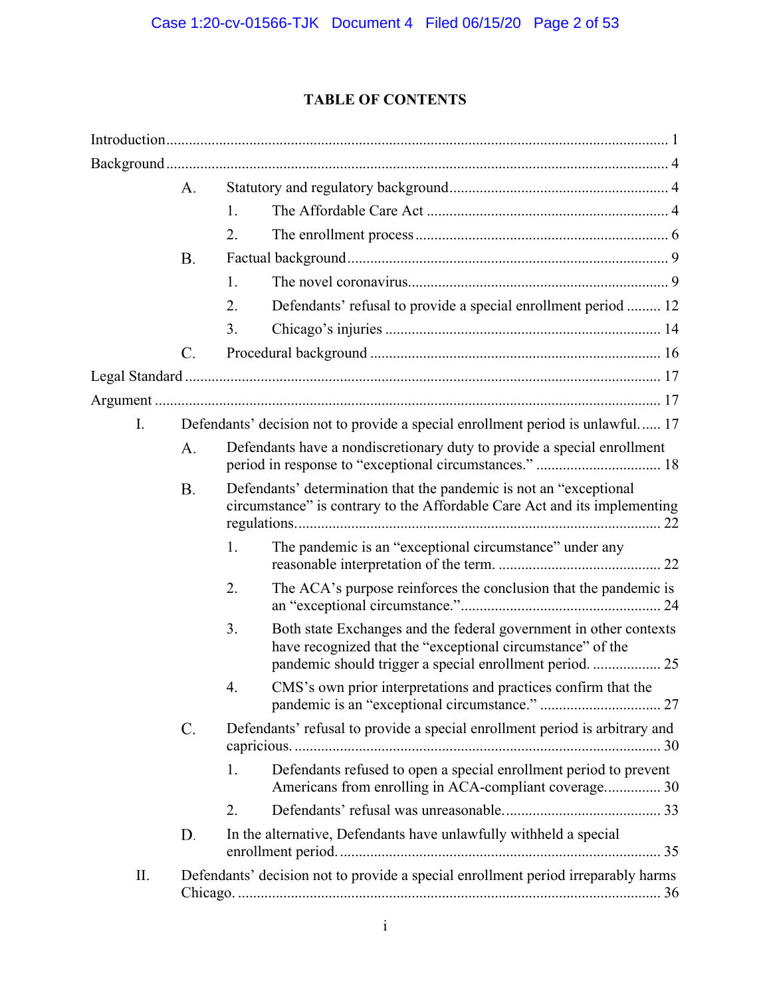# **TABLE OF CONTENTS**

|     | A.        |                                                                                                                                                                                                   |
|-----|-----------|---------------------------------------------------------------------------------------------------------------------------------------------------------------------------------------------------|
|     |           | 1.                                                                                                                                                                                                |
|     |           | 2.                                                                                                                                                                                                |
|     | <b>B.</b> |                                                                                                                                                                                                   |
|     |           | 1.                                                                                                                                                                                                |
|     |           | 2.<br>Defendants' refusal to provide a special enrollment period  12                                                                                                                              |
|     |           | 3.                                                                                                                                                                                                |
|     | C.        |                                                                                                                                                                                                   |
|     |           |                                                                                                                                                                                                   |
|     |           |                                                                                                                                                                                                   |
| I.  |           | Defendants' decision not to provide a special enrollment period is unlawful 17                                                                                                                    |
|     | А.        | Defendants have a nondiscretionary duty to provide a special enrollment                                                                                                                           |
|     | <b>B.</b> | Defendants' determination that the pandemic is not an "exceptional"<br>circumstance" is contrary to the Affordable Care Act and its implementing                                                  |
|     |           | The pandemic is an "exceptional circumstance" under any<br>1.                                                                                                                                     |
|     |           | 2.<br>The ACA's purpose reinforces the conclusion that the pandemic is                                                                                                                            |
|     |           | Both state Exchanges and the federal government in other contexts<br>3.<br>have recognized that the "exceptional circumstance" of the<br>pandemic should trigger a special enrollment period.  25 |
|     |           | CMS's own prior interpretations and practices confirm that the<br>4.                                                                                                                              |
|     | C.        | Defendants' refusal to provide a special enrollment period is arbitrary and                                                                                                                       |
|     |           | Defendants refused to open a special enrollment period to prevent<br>1.<br>Americans from enrolling in ACA-compliant coverage 30                                                                  |
|     |           | 2.                                                                                                                                                                                                |
|     | D.        | In the alternative, Defendants have unlawfully withheld a special                                                                                                                                 |
| II. |           | Defendants' decision not to provide a special enrollment period irreparably harms                                                                                                                 |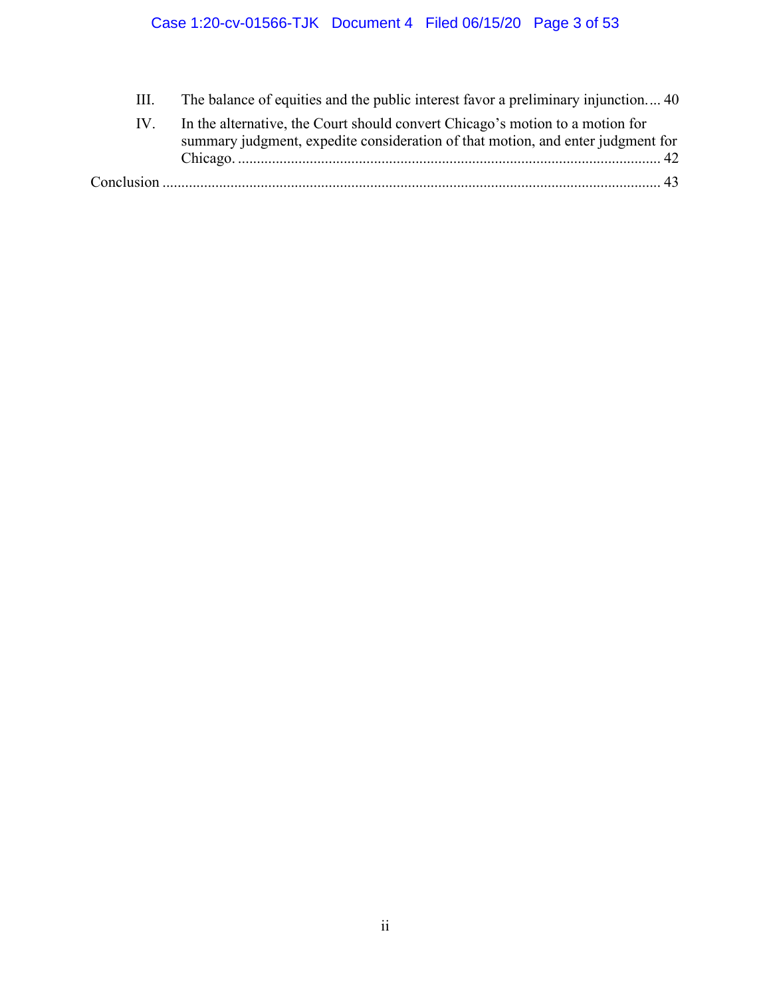# Case 1:20-cv-01566-TJK Document 4 Filed 06/15/20 Page 3 of 53

III. [The balance of equities and the public interest favor a preliminary injunction....](#page-48-0) 40

| In the alternative, the Court should convert Chicago's motion to a motion for   |
|---------------------------------------------------------------------------------|
| summary judgment, expedite consideration of that motion, and enter judgment for |
|                                                                                 |
|                                                                                 |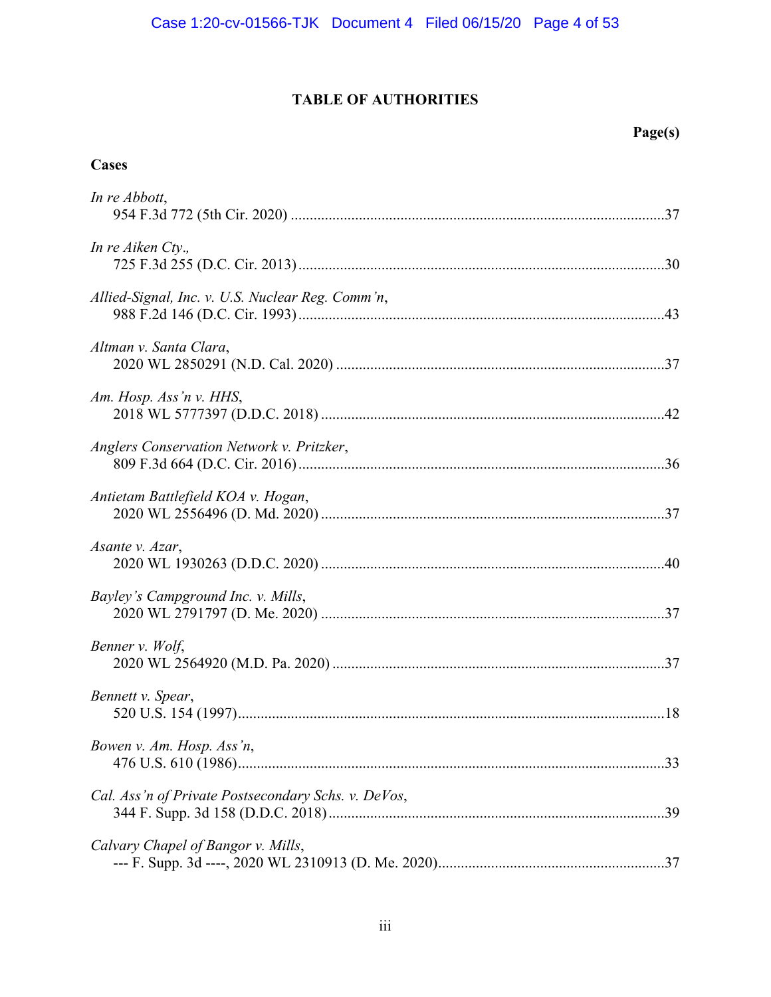# **TABLE OF AUTHORITIES**

# **Cases**

| In re Abbott,                                       |
|-----------------------------------------------------|
| In re Aiken Cty.,                                   |
| Allied-Signal, Inc. v. U.S. Nuclear Reg. Comm'n,    |
| Altman v. Santa Clara,                              |
| Am. Hosp. Ass'n v. HHS,                             |
| Anglers Conservation Network v. Pritzker,           |
| Antietam Battlefield KOA v. Hogan,                  |
| Asante v. Azar,                                     |
| Bayley's Campground Inc. v. Mills,                  |
| Benner v. Wolf,                                     |
| Bennett v. Spear,                                   |
| Bowen v. Am. Hosp. Ass'n,                           |
| Cal. Ass'n of Private Postsecondary Schs. v. DeVos, |
| Calvary Chapel of Bangor v. Mills,                  |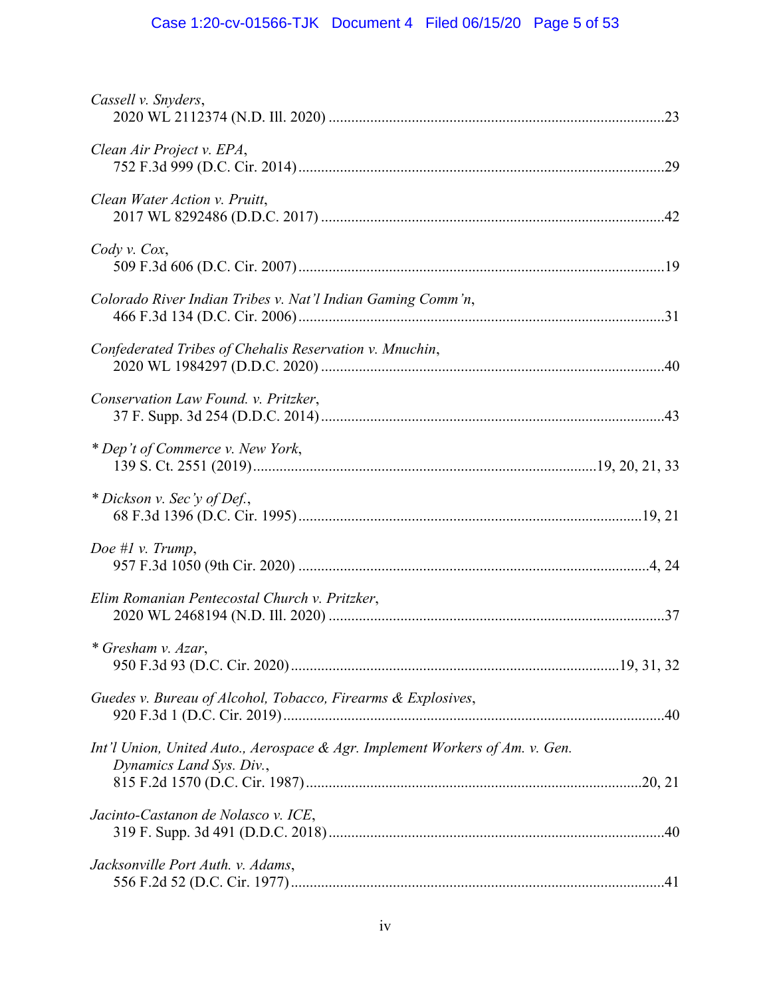# Case 1:20-cv-01566-TJK Document 4 Filed 06/15/20 Page 5 of 53

| Cassell v. Snyders,                                                                                      |  |
|----------------------------------------------------------------------------------------------------------|--|
| Clean Air Project v. EPA,                                                                                |  |
| Clean Water Action v. Pruitt,                                                                            |  |
| $Cody$ v. $Cox$ ,                                                                                        |  |
| Colorado River Indian Tribes v. Nat'l Indian Gaming Comm'n,                                              |  |
| Confederated Tribes of Chehalis Reservation v. Mnuchin,                                                  |  |
| Conservation Law Found. v. Pritzker,                                                                     |  |
| * Dep't of Commerce v. New York,                                                                         |  |
| * Dickson v. Sec'y of Def.,                                                                              |  |
| Doe # $l$ v. Trump,                                                                                      |  |
| Elim Romanian Pentecostal Church v. Pritzker,                                                            |  |
| * Gresham v. Azar,                                                                                       |  |
| Guedes v. Bureau of Alcohol, Tobacco, Firearms & Explosives,                                             |  |
| Int'l Union, United Auto., Aerospace & Agr. Implement Workers of Am. v. Gen.<br>Dynamics Land Sys. Div., |  |
| Jacinto-Castanon de Nolasco v. ICE,                                                                      |  |
| Jacksonville Port Auth. v. Adams,                                                                        |  |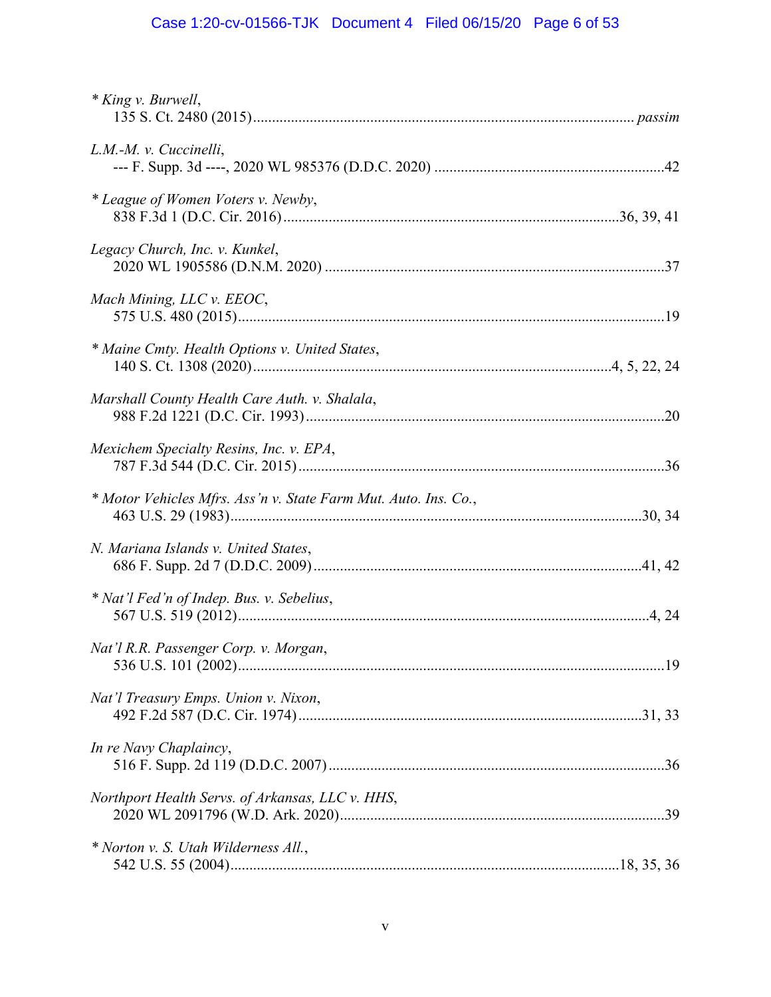# Case 1:20-cv-01566-TJK Document 4 Filed 06/15/20 Page 6 of 53

| * King v. Burwell,                                              |  |
|-----------------------------------------------------------------|--|
| L.M.-M. v. Cuccinelli,                                          |  |
| * League of Women Voters v. Newby,                              |  |
| Legacy Church, Inc. v. Kunkel,                                  |  |
| Mach Mining, LLC v. EEOC,                                       |  |
| * Maine Cmty. Health Options v. United States,                  |  |
| Marshall County Health Care Auth. v. Shalala,                   |  |
| Mexichem Specialty Resins, Inc. v. EPA,                         |  |
| * Motor Vehicles Mfrs. Ass'n v. State Farm Mut. Auto. Ins. Co., |  |
| N. Mariana Islands v. United States,                            |  |
| * Nat'l Fed'n of Indep. Bus. v. Sebelius,                       |  |
| Nat'l R.R. Passenger Corp. v. Morgan,                           |  |
| Nat'l Treasury Emps. Union v. Nixon,                            |  |
| In re Navy Chaplaincy,                                          |  |
| Northport Health Servs. of Arkansas, LLC v. HHS,                |  |
| * Norton v. S. Utah Wilderness All.,                            |  |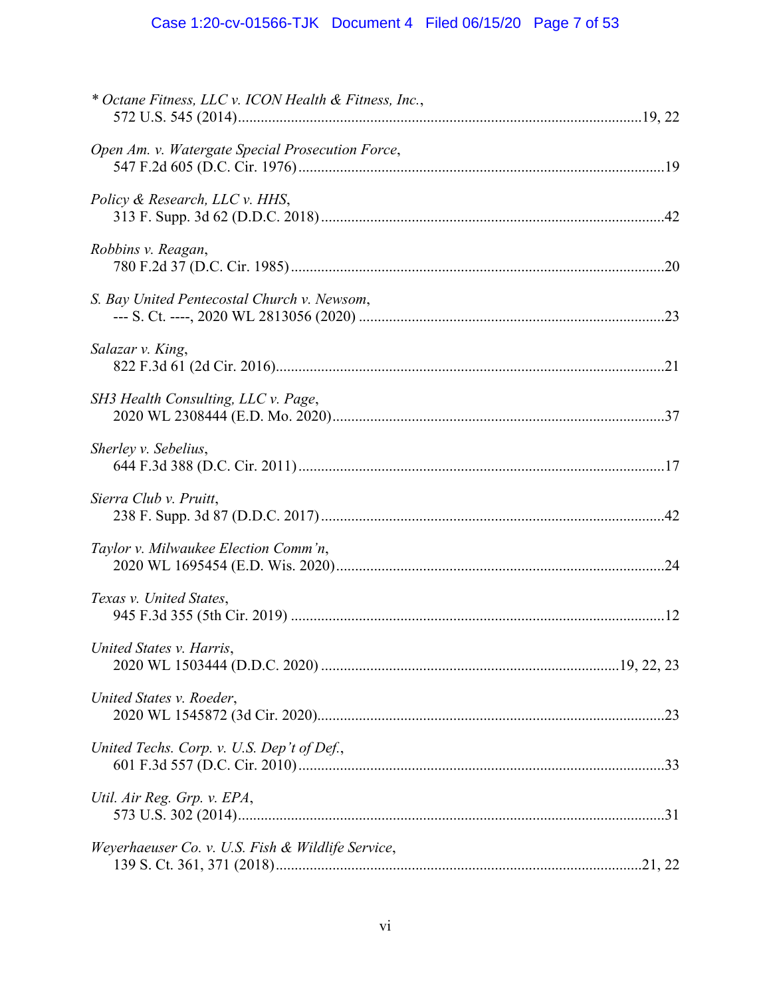# Case 1:20-cv-01566-TJK Document 4 Filed 06/15/20 Page 7 of 53

| * Octane Fitness, LLC v. ICON Health & Fitness, Inc., |  |
|-------------------------------------------------------|--|
| Open Am. v. Watergate Special Prosecution Force,      |  |
| Policy & Research, LLC v. HHS,                        |  |
| Robbins v. Reagan,                                    |  |
| S. Bay United Pentecostal Church v. Newsom,           |  |
| Salazar v. King,                                      |  |
| SH3 Health Consulting, LLC v. Page,                   |  |
| Sherley v. Sebelius,                                  |  |
| Sierra Club v. Pruitt,                                |  |
| Taylor v. Milwaukee Election Comm'n,                  |  |
| Texas v. United States,                               |  |
| United States v. Harris,                              |  |
| United States v. Roeder,                              |  |
| United Techs. Corp. v. U.S. Dep't of Def.,            |  |
| Util. Air Reg. Grp. v. EPA,                           |  |
| Weyerhaeuser Co. v. U.S. Fish & Wildlife Service,     |  |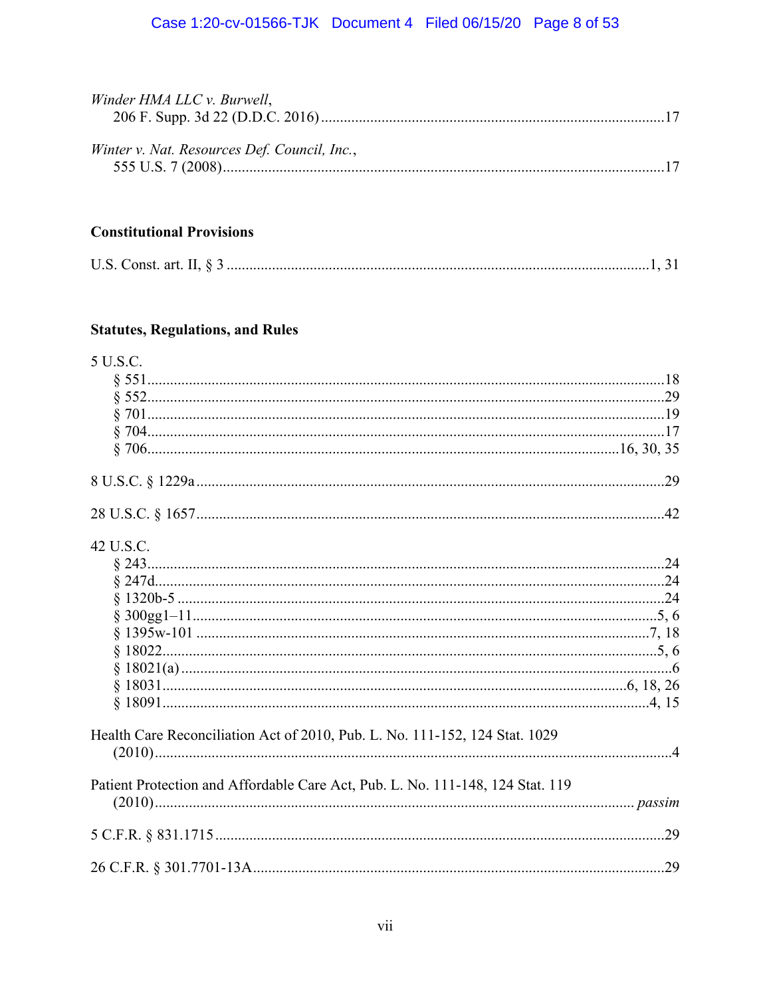# Case 1:20-cv-01566-TJK Document 4 Filed 06/15/20 Page 8 of 53

| Winder HMA LLC v. Burwell,                   |  |
|----------------------------------------------|--|
| Winter v. Nat. Resources Def. Council, Inc., |  |

# **Constitutional Provisions**

|--|--|

# **Statutes, Regulations, and Rules**

| 5 U.S.C.                                                                       |  |
|--------------------------------------------------------------------------------|--|
|                                                                                |  |
|                                                                                |  |
|                                                                                |  |
|                                                                                |  |
|                                                                                |  |
|                                                                                |  |
|                                                                                |  |
| 42 U.S.C.                                                                      |  |
|                                                                                |  |
|                                                                                |  |
|                                                                                |  |
|                                                                                |  |
|                                                                                |  |
|                                                                                |  |
|                                                                                |  |
|                                                                                |  |
|                                                                                |  |
| Health Care Reconciliation Act of 2010, Pub. L. No. 111-152, 124 Stat. 1029    |  |
|                                                                                |  |
| Patient Protection and Affordable Care Act, Pub. L. No. 111-148, 124 Stat. 119 |  |
|                                                                                |  |
|                                                                                |  |
|                                                                                |  |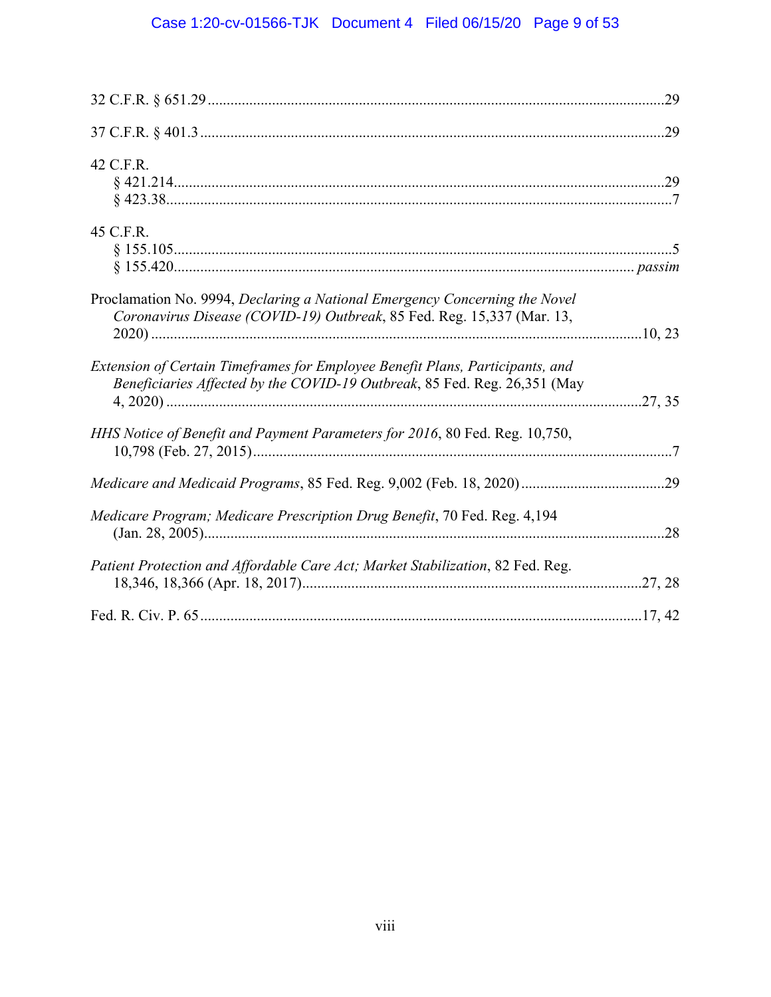# Case 1:20-cv-01566-TJK Document 4 Filed 06/15/20 Page 9 of 53

| 42 C.F.R.                                                                                                                                                  |  |
|------------------------------------------------------------------------------------------------------------------------------------------------------------|--|
| 45 C.F.R.                                                                                                                                                  |  |
| Proclamation No. 9994, Declaring a National Emergency Concerning the Novel<br>Coronavirus Disease (COVID-19) Outbreak, 85 Fed. Reg. 15,337 (Mar. 13,       |  |
| Extension of Certain Timeframes for Employee Benefit Plans, Participants, and<br>Beneficiaries Affected by the COVID-19 Outbreak, 85 Fed. Reg. 26,351 (May |  |
| HHS Notice of Benefit and Payment Parameters for 2016, 80 Fed. Reg. 10,750,                                                                                |  |
|                                                                                                                                                            |  |
| Medicare Program; Medicare Prescription Drug Benefit, 70 Fed. Reg. 4,194                                                                                   |  |
| Patient Protection and Affordable Care Act; Market Stabilization, 82 Fed. Reg.                                                                             |  |
|                                                                                                                                                            |  |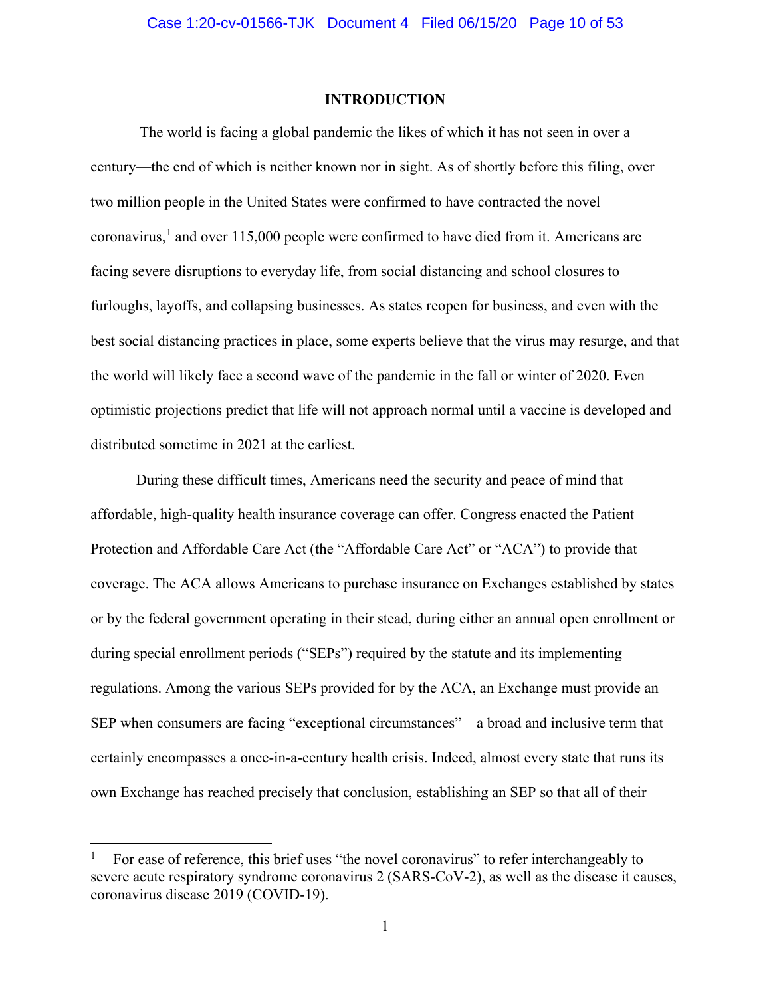#### **INTRODUCTION**

<span id="page-9-0"></span>The world is facing a global pandemic the likes of which it has not seen in over a century—the end of which is neither known nor in sight. As of shortly before this filing, over two million people in the United States were confirmed to have contracted the novel coronavirus,<sup>[1](#page-9-1)</sup> and over 115,000 people were confirmed to have died from it. Americans are facing severe disruptions to everyday life, from social distancing and school closures to furloughs, layoffs, and collapsing businesses. As states reopen for business, and even with the best social distancing practices in place, some experts believe that the virus may resurge, and that the world will likely face a second wave of the pandemic in the fall or winter of 2020. Even optimistic projections predict that life will not approach normal until a vaccine is developed and distributed sometime in 2021 at the earliest.

During these difficult times, Americans need the security and peace of mind that affordable, high-quality health insurance coverage can offer. Congress enacted the Patient Protection and Affordable Care Act (the "Affordable Care Act" or "ACA") to provide that coverage. The ACA allows Americans to purchase insurance on Exchanges established by states or by the federal government operating in their stead, during either an annual open enrollment or during special enrollment periods ("SEPs") required by the statute and its implementing regulations. Among the various SEPs provided for by the ACA, an Exchange must provide an SEP when consumers are facing "exceptional circumstances"—a broad and inclusive term that certainly encompasses a once-in-a-century health crisis. Indeed, almost every state that runs its own Exchange has reached precisely that conclusion, establishing an SEP so that all of their

<span id="page-9-1"></span><sup>1</sup> For ease of reference, this brief uses "the novel coronavirus" to refer interchangeably to severe acute respiratory syndrome coronavirus 2 (SARS-CoV-2), as well as the disease it causes, coronavirus disease 2019 (COVID-19).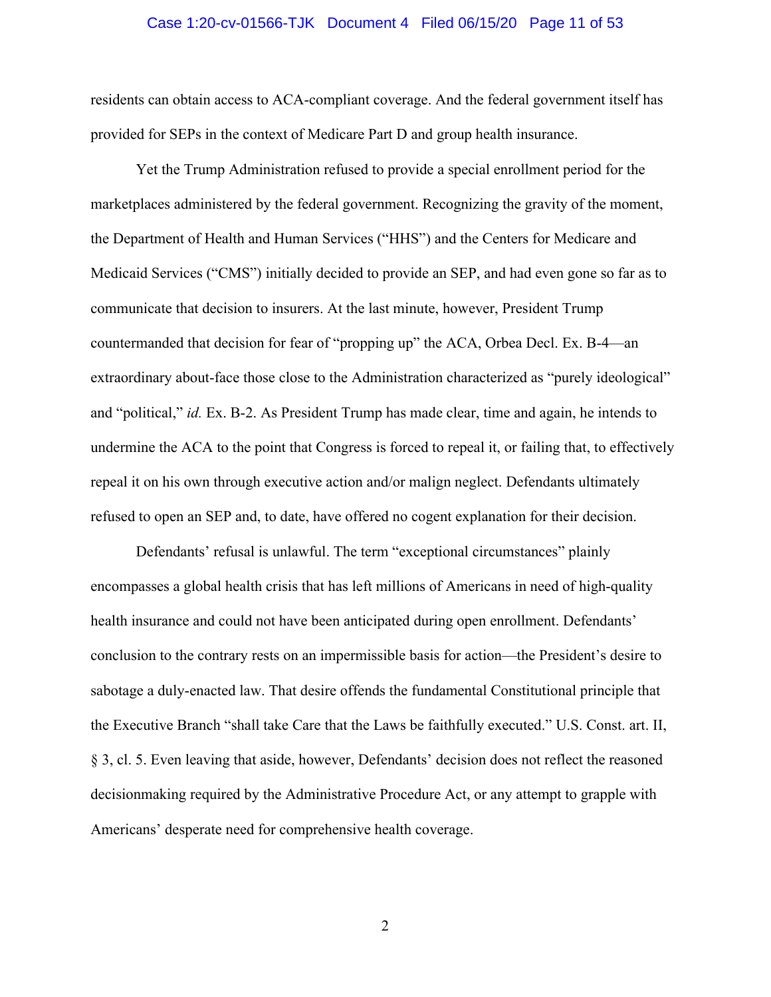#### Case 1:20-cv-01566-TJK Document 4 Filed 06/15/20 Page 11 of 53

residents can obtain access to ACA-compliant coverage. And the federal government itself has provided for SEPs in the context of Medicare Part D and group health insurance.

Yet the Trump Administration refused to provide a special enrollment period for the marketplaces administered by the federal government. Recognizing the gravity of the moment, the Department of Health and Human Services ("HHS") and the Centers for Medicare and Medicaid Services ("CMS") initially decided to provide an SEP, and had even gone so far as to communicate that decision to insurers. At the last minute, however, President Trump countermanded that decision for fear of "propping up" the ACA, Orbea Decl. Ex. B-4—an extraordinary about-face those close to the Administration characterized as "purely ideological" and "political," *id.* Ex. B-2. As President Trump has made clear, time and again, he intends to undermine the ACA to the point that Congress is forced to repeal it, or failing that, to effectively repeal it on his own through executive action and/or malign neglect. Defendants ultimately refused to open an SEP and, to date, have offered no cogent explanation for their decision.

Defendants' refusal is unlawful. The term "exceptional circumstances" plainly encompasses a global health crisis that has left millions of Americans in need of high-quality health insurance and could not have been anticipated during open enrollment. Defendants' conclusion to the contrary rests on an impermissible basis for action—the President's desire to sabotage a duly-enacted law. That desire offends the fundamental Constitutional principle that the Executive Branch "shall take Care that the Laws be faithfully executed." U.S. Const. art. II, § 3, cl. 5. Even leaving that aside, however, Defendants' decision does not reflect the reasoned decisionmaking required by the Administrative Procedure Act, or any attempt to grapple with Americans' desperate need for comprehensive health coverage.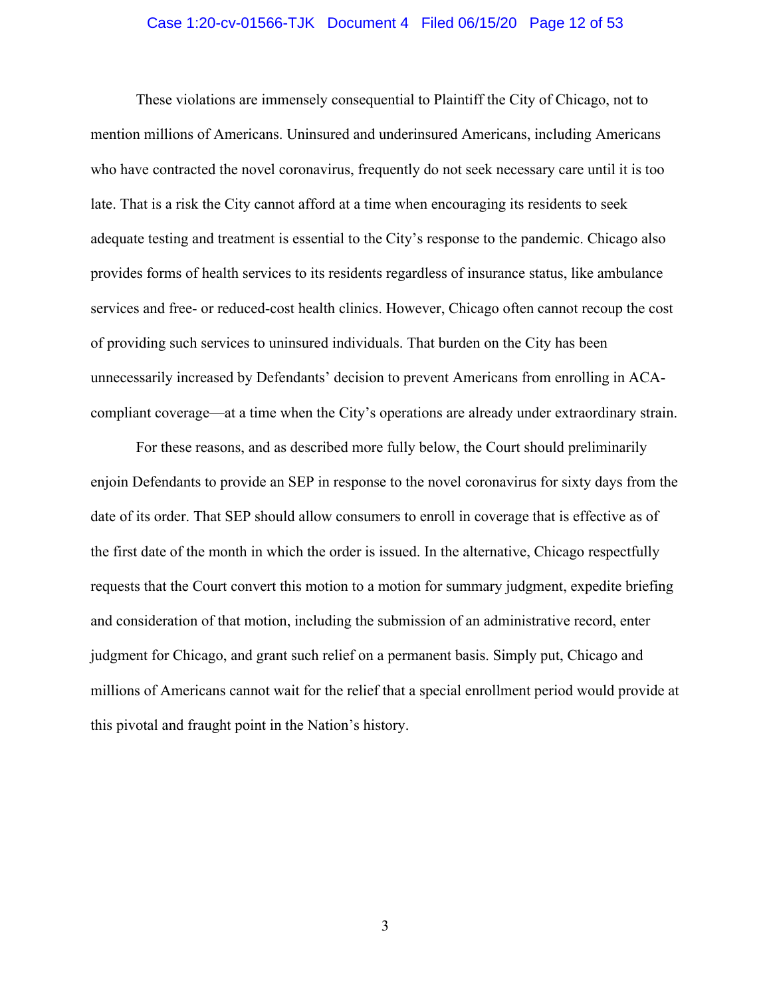#### Case 1:20-cv-01566-TJK Document 4 Filed 06/15/20 Page 12 of 53

These violations are immensely consequential to Plaintiff the City of Chicago, not to mention millions of Americans. Uninsured and underinsured Americans, including Americans who have contracted the novel coronavirus, frequently do not seek necessary care until it is too late. That is a risk the City cannot afford at a time when encouraging its residents to seek adequate testing and treatment is essential to the City's response to the pandemic. Chicago also provides forms of health services to its residents regardless of insurance status, like ambulance services and free- or reduced-cost health clinics. However, Chicago often cannot recoup the cost of providing such services to uninsured individuals. That burden on the City has been unnecessarily increased by Defendants' decision to prevent Americans from enrolling in ACAcompliant coverage—at a time when the City's operations are already under extraordinary strain.

For these reasons, and as described more fully below, the Court should preliminarily enjoin Defendants to provide an SEP in response to the novel coronavirus for sixty days from the date of its order. That SEP should allow consumers to enroll in coverage that is effective as of the first date of the month in which the order is issued. In the alternative, Chicago respectfully requests that the Court convert this motion to a motion for summary judgment, expedite briefing and consideration of that motion, including the submission of an administrative record, enter judgment for Chicago, and grant such relief on a permanent basis. Simply put, Chicago and millions of Americans cannot wait for the relief that a special enrollment period would provide at this pivotal and fraught point in the Nation's history.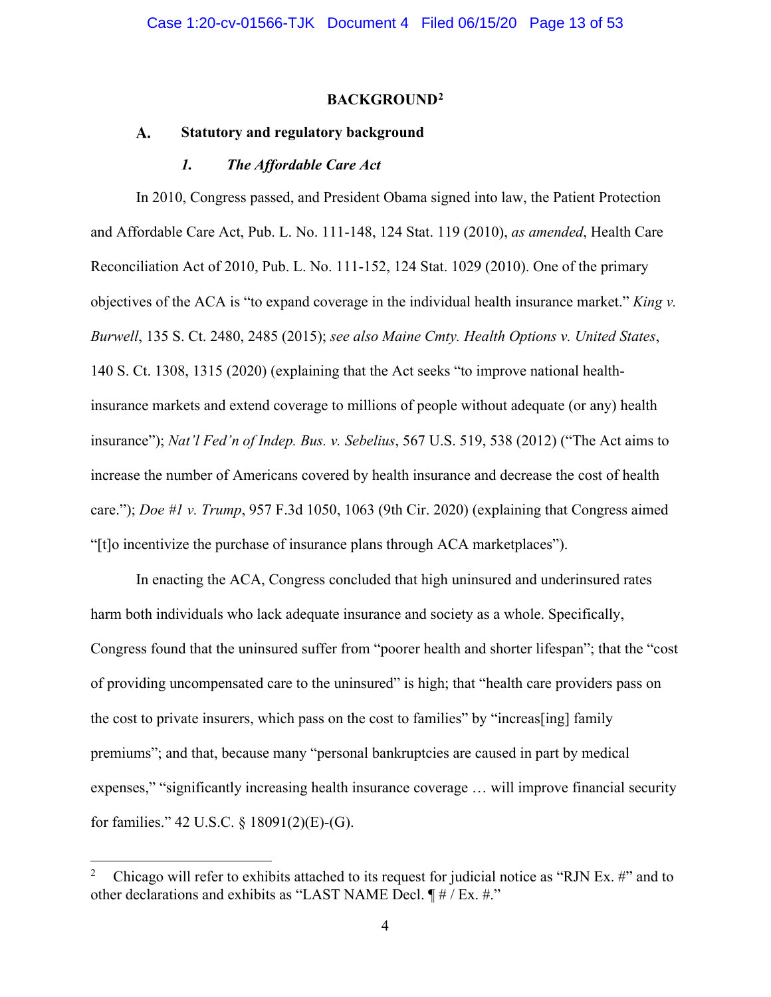#### **BACKGROUND[2](#page-12-3)**

#### <span id="page-12-1"></span><span id="page-12-0"></span> $\mathbf{A}$ . **Statutory and regulatory background**

#### *1. The Affordable Care Act*

<span id="page-12-2"></span>In 2010, Congress passed, and President Obama signed into law, the Patient Protection and Affordable Care Act, Pub. L. No. 111-148, 124 Stat. 119 (2010), *as amended*, Health Care Reconciliation Act of 2010, Pub. L. No. 111-152, 124 Stat. 1029 (2010). One of the primary objectives of the ACA is "to expand coverage in the individual health insurance market." *King v. Burwell*, 135 S. Ct. 2480, 2485 (2015); *see also Maine Cmty. Health Options v. United States*, 140 S. Ct. 1308, 1315 (2020) (explaining that the Act seeks "to improve national healthinsurance markets and extend coverage to millions of people without adequate (or any) health insurance"); *Nat'l Fed'n of Indep. Bus. v. Sebelius*, 567 U.S. 519, 538 (2012) ("The Act aims to increase the number of Americans covered by health insurance and decrease the cost of health care."); *Doe #1 v. Trump*, 957 F.3d 1050, 1063 (9th Cir. 2020) (explaining that Congress aimed "[t]o incentivize the purchase of insurance plans through ACA marketplaces").

In enacting the ACA, Congress concluded that high uninsured and underinsured rates harm both individuals who lack adequate insurance and society as a whole. Specifically, Congress found that the uninsured suffer from "poorer health and shorter lifespan"; that the "cost of providing uncompensated care to the uninsured" is high; that "health care providers pass on the cost to private insurers, which pass on the cost to families" by "increas[ing] family premiums"; and that, because many "personal bankruptcies are caused in part by medical expenses," "significantly increasing health insurance coverage … will improve financial security for families." 42 U.S.C. § 18091(2)(E)-(G).

<span id="page-12-3"></span><sup>2</sup> Chicago will refer to exhibits attached to its request for judicial notice as "RJN Ex. #" and to other declarations and exhibits as "LAST NAME Decl. ¶ # / Ex. #."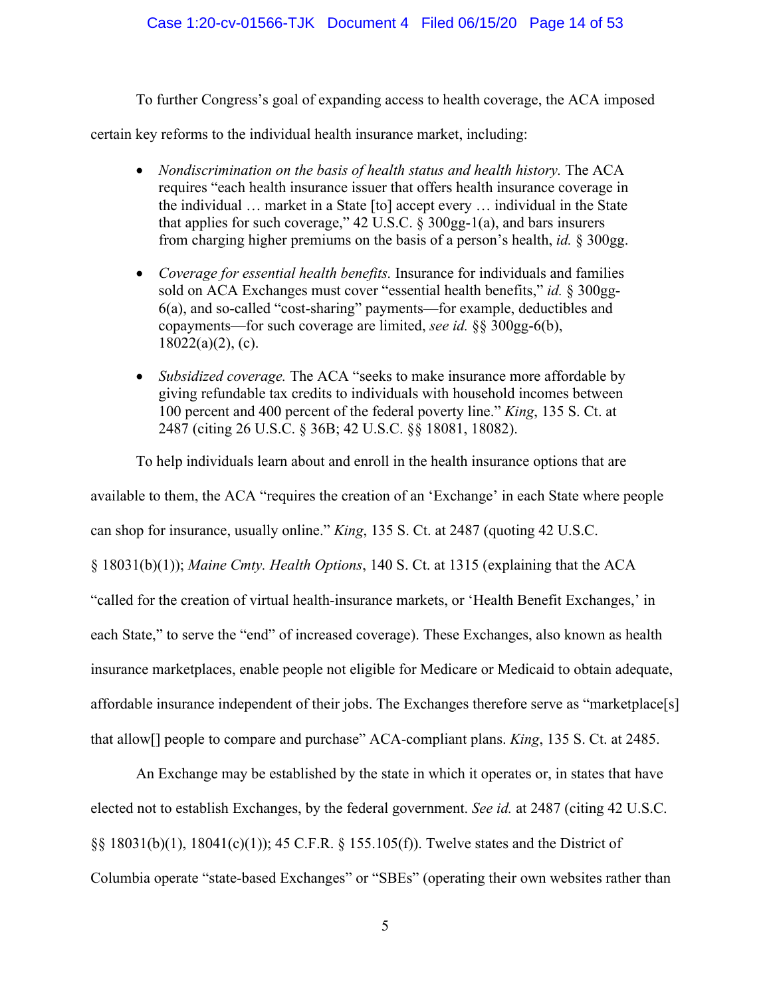### Case 1:20-cv-01566-TJK Document 4 Filed 06/15/20 Page 14 of 53

To further Congress's goal of expanding access to health coverage, the ACA imposed

certain key reforms to the individual health insurance market, including:

- *Nondiscrimination on the basis of health status and health history.* The ACA requires "each health insurance issuer that offers health insurance coverage in the individual … market in a State [to] accept every … individual in the State that applies for such coverage,"  $42$  U.S.C.  $\S 300gg-1(a)$ , and bars insurers from charging higher premiums on the basis of a person's health, *id.* § 300gg.
- *Coverage for essential health benefits.* Insurance for individuals and families sold on ACA Exchanges must cover "essential health benefits," *id.* § 300gg-6(a), and so-called "cost-sharing" payments—for example, deductibles and copayments—for such coverage are limited, *see id.* §§ 300gg-6(b), 18022(a)(2), (c).
- *Subsidized coverage.* The ACA "seeks to make insurance more affordable by giving refundable tax credits to individuals with household incomes between 100 percent and 400 percent of the federal poverty line." *King*, 135 S. Ct. at 2487 (citing 26 U.S.C. § 36B; 42 U.S.C. §§ 18081, 18082).

To help individuals learn about and enroll in the health insurance options that are available to them, the ACA "requires the creation of an 'Exchange' in each State where people can shop for insurance, usually online." *King*, 135 S. Ct. at 2487 (quoting 42 U.S.C. § 18031(b)(1)); *Maine Cmty. Health Options*, 140 S. Ct. at 1315 (explaining that the ACA "called for the creation of virtual health-insurance markets, or 'Health Benefit Exchanges,' in each State," to serve the "end" of increased coverage). These Exchanges, also known as health insurance marketplaces, enable people not eligible for Medicare or Medicaid to obtain adequate, affordable insurance independent of their jobs. The Exchanges therefore serve as "marketplace[s] that allow[] people to compare and purchase" ACA-compliant plans. *King*, 135 S. Ct. at 2485.

An Exchange may be established by the state in which it operates or, in states that have elected not to establish Exchanges, by the federal government. *See id.* at 2487 (citing 42 U.S.C. §§ 18031(b)(1), 18041(c)(1)); 45 C.F.R. § 155.105(f)). Twelve states and the District of Columbia operate "state-based Exchanges" or "SBEs" (operating their own websites rather than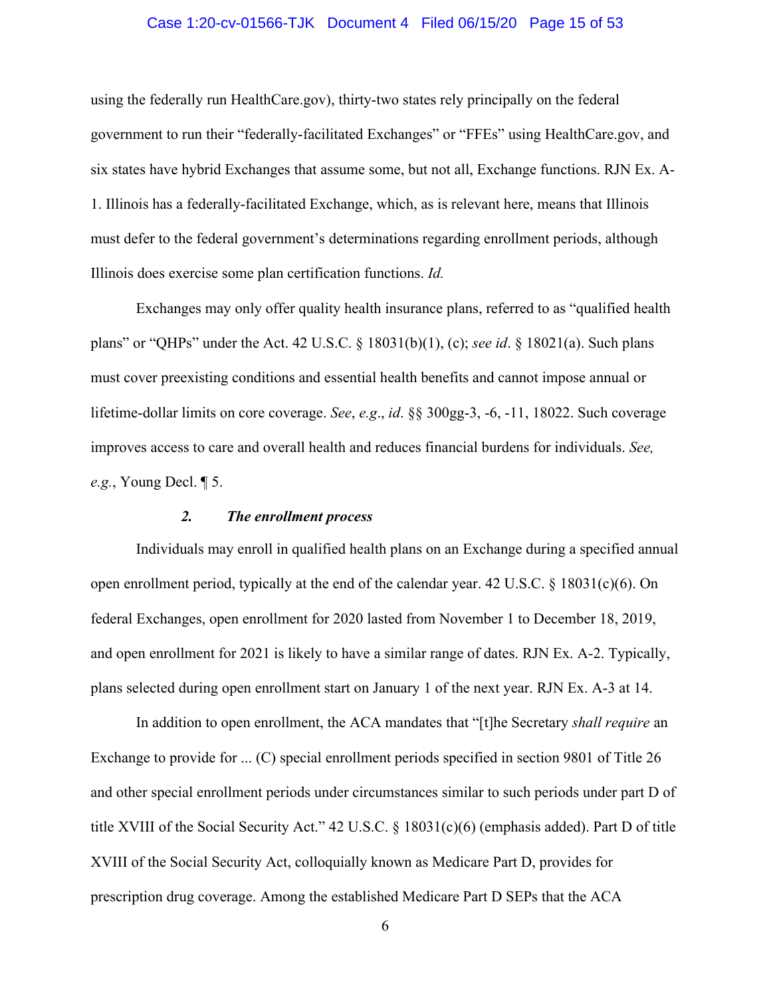#### Case 1:20-cv-01566-TJK Document 4 Filed 06/15/20 Page 15 of 53

using the federally run HealthCare.gov), thirty-two states rely principally on the federal government to run their "federally-facilitated Exchanges" or "FFEs" using HealthCare.gov, and six states have hybrid Exchanges that assume some, but not all, Exchange functions. RJN Ex. A-1. Illinois has a federally-facilitated Exchange, which, as is relevant here, means that Illinois must defer to the federal government's determinations regarding enrollment periods, although Illinois does exercise some plan certification functions. *Id.*

Exchanges may only offer quality health insurance plans, referred to as "qualified health plans" or "QHPs" under the Act. 42 U.S.C. § 18031(b)(1), (c); *see id*. § 18021(a). Such plans must cover preexisting conditions and essential health benefits and cannot impose annual or lifetime-dollar limits on core coverage. *See*, *e.g*., *id*. §§ 300gg-3, -6, -11, 18022. Such coverage improves access to care and overall health and reduces financial burdens for individuals. *See, e.g.*, Young Decl. ¶ 5.

#### *2. The enrollment process*

<span id="page-14-0"></span>Individuals may enroll in qualified health plans on an Exchange during a specified annual open enrollment period, typically at the end of the calendar year. 42 U.S.C.  $\S$  18031(c)(6). On federal Exchanges, open enrollment for 2020 lasted from November 1 to December 18, 2019, and open enrollment for 2021 is likely to have a similar range of dates. RJN Ex. A-2. Typically, plans selected during open enrollment start on January 1 of the next year. RJN Ex. A-3 at 14.

In addition to open enrollment, the ACA mandates that "[t]he Secretary *shall require* an Exchange to provide for ... (C) special enrollment periods specified in section 9801 of Title 26 and other special enrollment periods under circumstances similar to such periods under part D of title XVIII of the Social Security Act." 42 U.S.C. § 18031(c)(6) (emphasis added). Part D of title XVIII of the Social Security Act, colloquially known as Medicare Part D, provides for prescription drug coverage. Among the established Medicare Part D SEPs that the ACA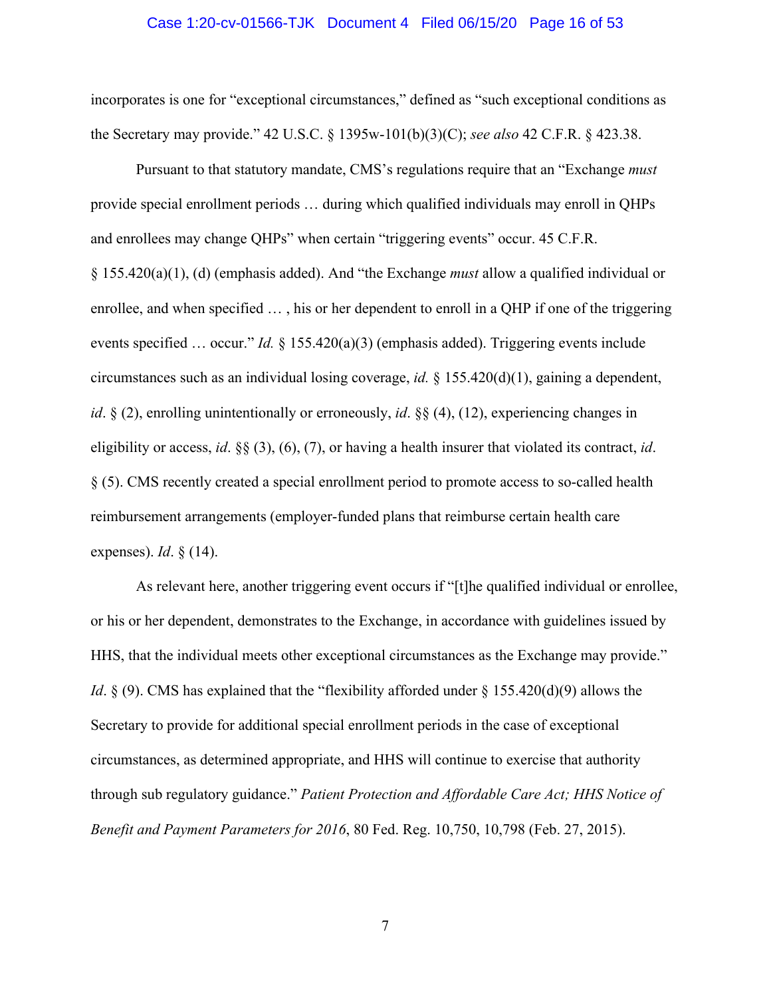#### Case 1:20-cv-01566-TJK Document 4 Filed 06/15/20 Page 16 of 53

incorporates is one for "exceptional circumstances," defined as "such exceptional conditions as the Secretary may provide." 42 U.S.C. § 1395w-101(b)(3)(C); *see also* 42 C.F.R. § 423.38.

Pursuant to that statutory mandate, CMS's regulations require that an "Exchange *must* provide special enrollment periods … during which qualified individuals may enroll in QHPs and enrollees may change QHPs" when certain "triggering events" occur. 45 C.F.R. § 155.420(a)(1), (d) (emphasis added). And "the Exchange *must* allow a qualified individual or enrollee, and when specified … , his or her dependent to enroll in a QHP if one of the triggering events specified … occur." *Id.* § 155.420(a)(3) (emphasis added). Triggering events include circumstances such as an individual losing coverage, *id.* § 155.420(d)(1), gaining a dependent, *id*. § (2), enrolling unintentionally or erroneously, *id*. §§ (4), (12), experiencing changes in eligibility or access, *id*. §§ (3), (6), (7), or having a health insurer that violated its contract, *id*. § (5). CMS recently created a special enrollment period to promote access to so-called health reimbursement arrangements (employer-funded plans that reimburse certain health care expenses). *Id*. § (14).

As relevant here, another triggering event occurs if "[t]he qualified individual or enrollee, or his or her dependent, demonstrates to the Exchange, in accordance with guidelines issued by HHS, that the individual meets other exceptional circumstances as the Exchange may provide." *Id.* § (9). CMS has explained that the "flexibility afforded under § 155.420(d)(9) allows the Secretary to provide for additional special enrollment periods in the case of exceptional circumstances, as determined appropriate, and HHS will continue to exercise that authority through sub regulatory guidance." *Patient Protection and Affordable Care Act; HHS Notice of Benefit and Payment Parameters for 2016*, 80 Fed. Reg. 10,750, 10,798 (Feb. 27, 2015).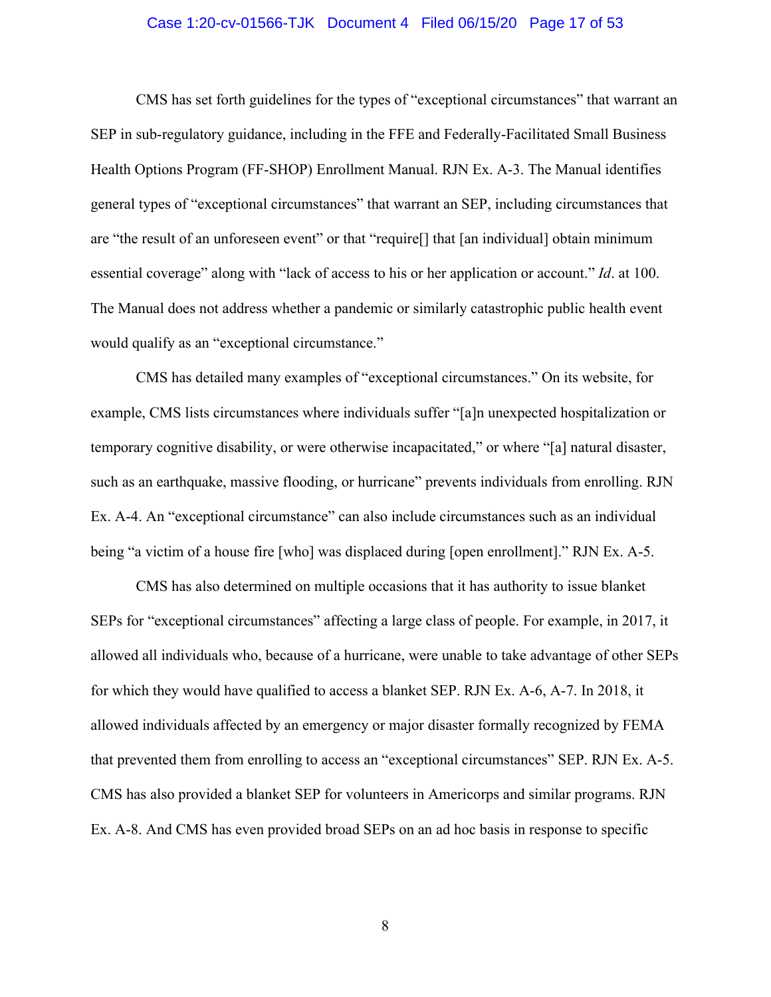#### Case 1:20-cv-01566-TJK Document 4 Filed 06/15/20 Page 17 of 53

CMS has set forth guidelines for the types of "exceptional circumstances" that warrant an SEP in sub-regulatory guidance, including in the FFE and Federally-Facilitated Small Business Health Options Program (FF-SHOP) Enrollment Manual. RJN Ex. A-3. The Manual identifies general types of "exceptional circumstances" that warrant an SEP, including circumstances that are "the result of an unforeseen event" or that "require[] that [an individual] obtain minimum essential coverage" along with "lack of access to his or her application or account." *Id*. at 100. The Manual does not address whether a pandemic or similarly catastrophic public health event would qualify as an "exceptional circumstance."

CMS has detailed many examples of "exceptional circumstances." On its website, for example, CMS lists circumstances where individuals suffer "[a]n unexpected hospitalization or temporary cognitive disability, or were otherwise incapacitated," or where "[a] natural disaster, such as an earthquake, massive flooding, or hurricane" prevents individuals from enrolling. RJN Ex. A-4. An "exceptional circumstance" can also include circumstances such as an individual being "a victim of a house fire [who] was displaced during [open enrollment]." RJN Ex. A-5.

CMS has also determined on multiple occasions that it has authority to issue blanket SEPs for "exceptional circumstances" affecting a large class of people. For example, in 2017, it allowed all individuals who, because of a hurricane, were unable to take advantage of other SEPs for which they would have qualified to access a blanket SEP. RJN Ex. A-6, A-7. In 2018, it allowed individuals affected by an emergency or major disaster formally recognized by FEMA that prevented them from enrolling to access an "exceptional circumstances" SEP. RJN Ex. A-5. CMS has also provided a blanket SEP for volunteers in Americorps and similar programs. RJN Ex. A-8. And CMS has even provided broad SEPs on an ad hoc basis in response to specific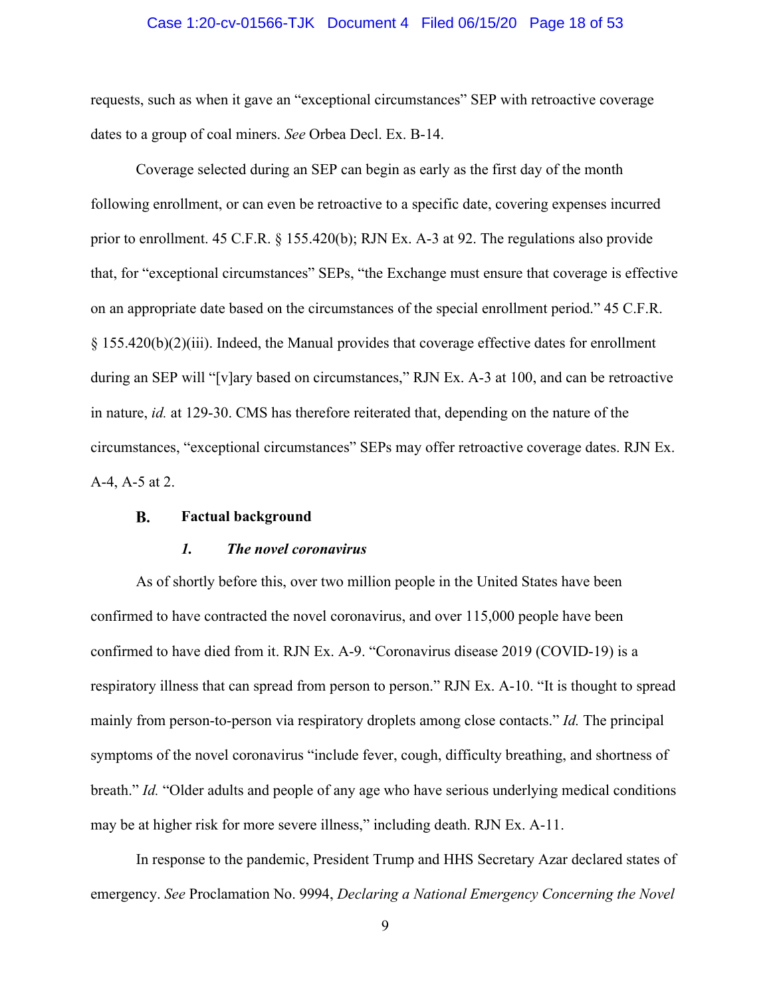#### Case 1:20-cv-01566-TJK Document 4 Filed 06/15/20 Page 18 of 53

requests, such as when it gave an "exceptional circumstances" SEP with retroactive coverage dates to a group of coal miners. *See* Orbea Decl. Ex. B-14.

Coverage selected during an SEP can begin as early as the first day of the month following enrollment, or can even be retroactive to a specific date, covering expenses incurred prior to enrollment. 45 C.F.R. § 155.420(b); RJN Ex. A-3 at 92. The regulations also provide that, for "exceptional circumstances" SEPs, "the Exchange must ensure that coverage is effective on an appropriate date based on the circumstances of the special enrollment period." 45 C.F.R.  $§$  155.420(b)(2)(iii). Indeed, the Manual provides that coverage effective dates for enrollment during an SEP will "[v]ary based on circumstances," RJN Ex. A-3 at 100, and can be retroactive in nature, *id.* at 129-30. CMS has therefore reiterated that, depending on the nature of the circumstances, "exceptional circumstances" SEPs may offer retroactive coverage dates. RJN Ex. A-4, A-5 at 2.

#### <span id="page-17-0"></span>**B. Factual background**

#### *1. The novel coronavirus*

<span id="page-17-1"></span>As of shortly before this, over two million people in the United States have been confirmed to have contracted the novel coronavirus, and over 115,000 people have been confirmed to have died from it. RJN Ex. A-9. "Coronavirus disease 2019 (COVID-19) is a respiratory illness that can spread from person to person." RJN Ex. A-10. "It is thought to spread mainly from person-to-person via respiratory droplets among close contacts." *Id.* The principal symptoms of the novel coronavirus "include fever, cough, difficulty breathing, and shortness of breath." *Id.* "Older adults and people of any age who have serious underlying medical conditions may be at higher risk for more severe illness," including death. RJN Ex. A-11.

In response to the pandemic, President Trump and HHS Secretary Azar declared states of emergency. *See* Proclamation No. 9994, *Declaring a National Emergency Concerning the Novel*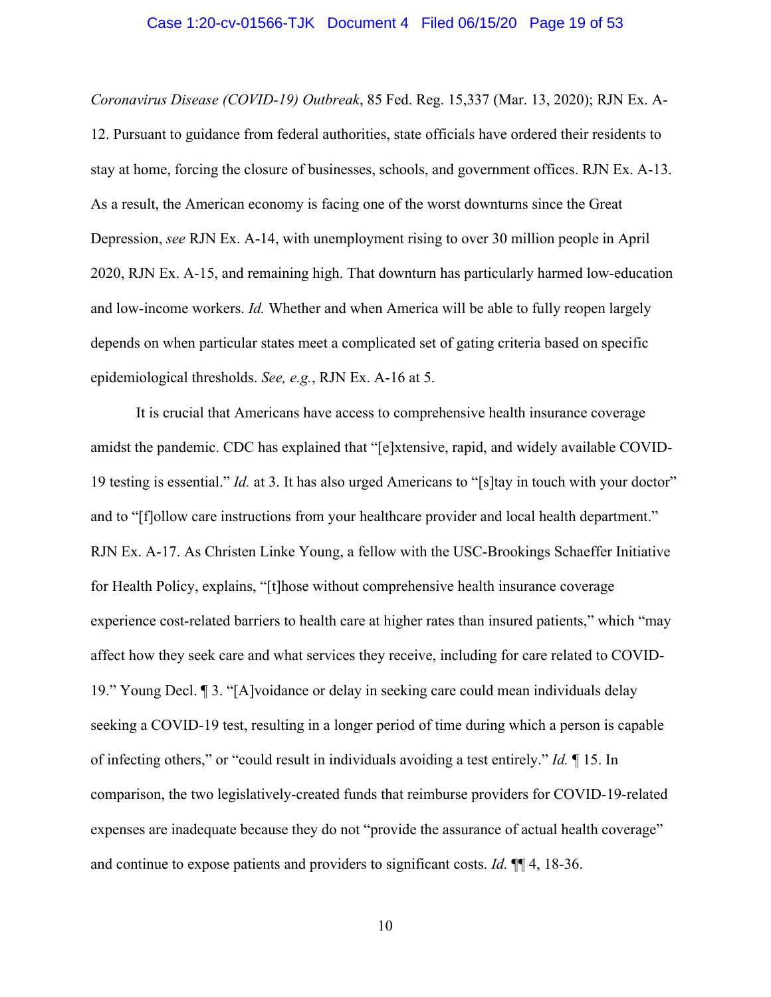#### Case 1:20-cv-01566-TJK Document 4 Filed 06/15/20 Page 19 of 53

*Coronavirus Disease (COVID-19) Outbreak*, 85 Fed. Reg. 15,337 (Mar. 13, 2020); RJN Ex. A-12. Pursuant to guidance from federal authorities, state officials have ordered their residents to stay at home, forcing the closure of businesses, schools, and government offices. RJN Ex. A-13. As a result, the American economy is facing one of the worst downturns since the Great Depression, *see* RJN Ex. A-14, with unemployment rising to over 30 million people in April 2020, RJN Ex. A-15, and remaining high. That downturn has particularly harmed low-education and low-income workers. *Id.* Whether and when America will be able to fully reopen largely depends on when particular states meet a complicated set of gating criteria based on specific epidemiological thresholds. *See, e.g.*, RJN Ex. A-16 at 5.

It is crucial that Americans have access to comprehensive health insurance coverage amidst the pandemic. CDC has explained that "[e]xtensive, rapid, and widely available COVID-19 testing is essential." *Id.* at 3. It has also urged Americans to "[s]tay in touch with your doctor" and to "[f]ollow care instructions from your healthcare provider and local health department." RJN Ex. A-17. As Christen Linke Young, a fellow with the USC-Brookings Schaeffer Initiative for Health Policy, explains, "[t]hose without comprehensive health insurance coverage experience cost-related barriers to health care at higher rates than insured patients," which "may affect how they seek care and what services they receive, including for care related to COVID-19." Young Decl. ¶ 3. "[A]voidance or delay in seeking care could mean individuals delay seeking a COVID-19 test, resulting in a longer period of time during which a person is capable of infecting others," or "could result in individuals avoiding a test entirely." *Id.* ¶ 15. In comparison, the two legislatively-created funds that reimburse providers for COVID-19-related expenses are inadequate because they do not "provide the assurance of actual health coverage" and continue to expose patients and providers to significant costs. *Id.* ¶¶ 4, 18-36.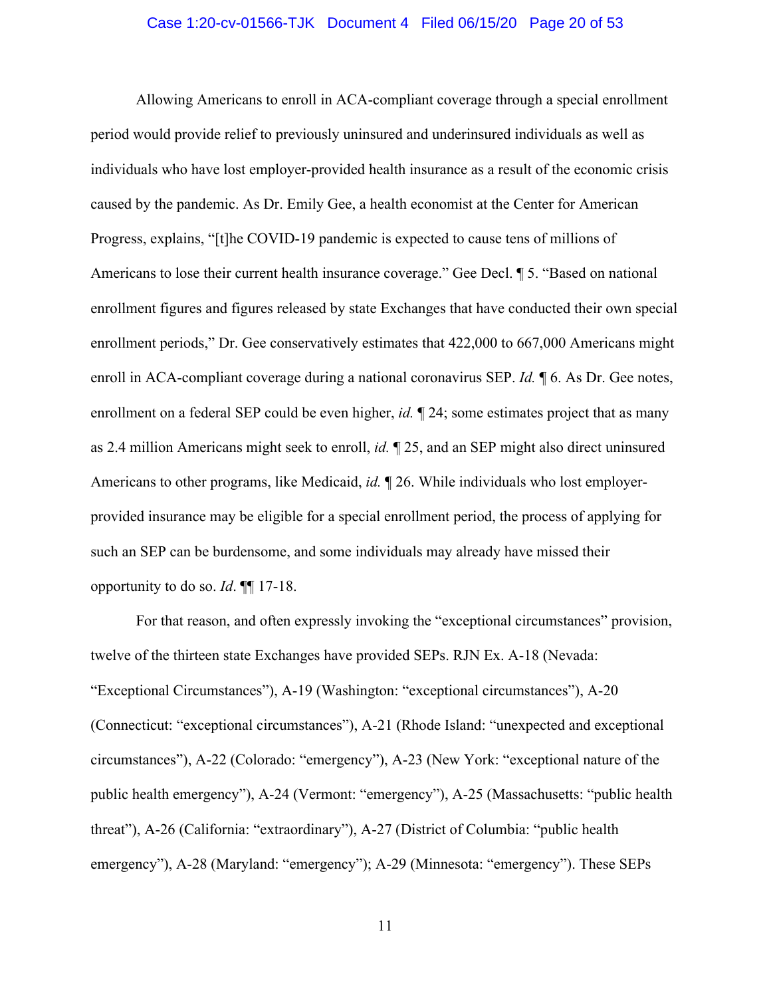#### Case 1:20-cv-01566-TJK Document 4 Filed 06/15/20 Page 20 of 53

Allowing Americans to enroll in ACA-compliant coverage through a special enrollment period would provide relief to previously uninsured and underinsured individuals as well as individuals who have lost employer-provided health insurance as a result of the economic crisis caused by the pandemic. As Dr. Emily Gee, a health economist at the Center for American Progress, explains, "[t]he COVID-19 pandemic is expected to cause tens of millions of Americans to lose their current health insurance coverage." Gee Decl. ¶ 5. "Based on national enrollment figures and figures released by state Exchanges that have conducted their own special enrollment periods," Dr. Gee conservatively estimates that 422,000 to 667,000 Americans might enroll in ACA-compliant coverage during a national coronavirus SEP. *Id.* ¶ 6. As Dr. Gee notes, enrollment on a federal SEP could be even higher, *id.*  $\mathbb{I}$  24; some estimates project that as many as 2.4 million Americans might seek to enroll, *id.* ¶ 25, and an SEP might also direct uninsured Americans to other programs, like Medicaid, *id.* ¶ 26. While individuals who lost employerprovided insurance may be eligible for a special enrollment period, the process of applying for such an SEP can be burdensome, and some individuals may already have missed their opportunity to do so. *Id*. ¶¶ 17-18.

For that reason, and often expressly invoking the "exceptional circumstances" provision, twelve of the thirteen state Exchanges have provided SEPs. RJN Ex. A-18 (Nevada: "Exceptional Circumstances"), A-19 (Washington: "exceptional circumstances"), A-20 (Connecticut: "exceptional circumstances"), A-21 (Rhode Island: "unexpected and exceptional circumstances"), A-22 (Colorado: "emergency"), A-23 (New York: "exceptional nature of the public health emergency"), A-24 (Vermont: "emergency"), A-25 (Massachusetts: "public health threat"), A-26 (California: "extraordinary"), A-27 (District of Columbia: "public health emergency"), A-28 (Maryland: "emergency"); A-29 (Minnesota: "emergency"). These SEPs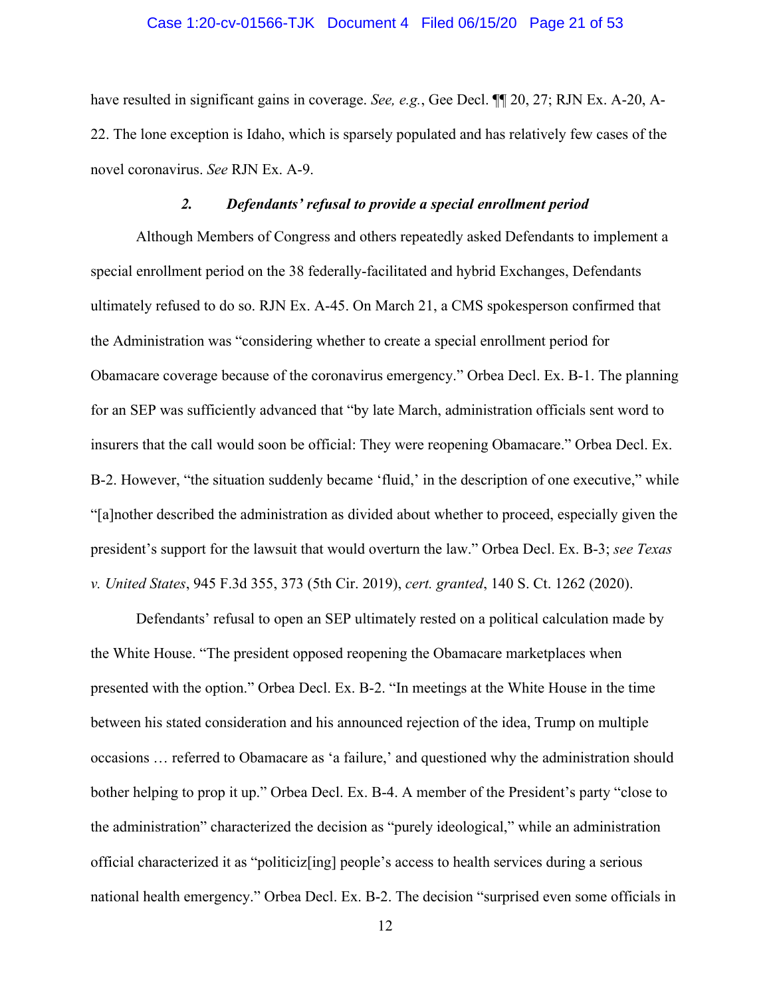#### Case 1:20-cv-01566-TJK Document 4 Filed 06/15/20 Page 21 of 53

have resulted in significant gains in coverage. *See, e.g.*, Gee Decl. ¶¶ 20, 27; RJN Ex. A-20, A-22. The lone exception is Idaho, which is sparsely populated and has relatively few cases of the novel coronavirus. *See* RJN Ex. A-9.

### *2. Defendants' refusal to provide a special enrollment period*

<span id="page-20-0"></span>Although Members of Congress and others repeatedly asked Defendants to implement a special enrollment period on the 38 federally-facilitated and hybrid Exchanges, Defendants ultimately refused to do so. RJN Ex. A-45. On March 21, a CMS spokesperson confirmed that the Administration was "considering whether to create a special enrollment period for Obamacare coverage because of the coronavirus emergency." Orbea Decl. Ex. B-1. The planning for an SEP was sufficiently advanced that "by late March, administration officials sent word to insurers that the call would soon be official: They were reopening Obamacare." Orbea Decl. Ex. B-2. However, "the situation suddenly became 'fluid,' in the description of one executive," while "[a]nother described the administration as divided about whether to proceed, especially given the president's support for the lawsuit that would overturn the law." Orbea Decl. Ex. B-3; *see Texas v. United States*, 945 F.3d 355, 373 (5th Cir. 2019), *cert. granted*, 140 S. Ct. 1262 (2020).

Defendants' refusal to open an SEP ultimately rested on a political calculation made by the White House. "The president opposed reopening the Obamacare marketplaces when presented with the option." Orbea Decl. Ex. B-2. "In meetings at the White House in the time between his stated consideration and his announced rejection of the idea, Trump on multiple occasions … referred to Obamacare as 'a failure,' and questioned why the administration should bother helping to prop it up." Orbea Decl. Ex. B-4. A member of the President's party "close to the administration" characterized the decision as "purely ideological," while an administration official characterized it as "politiciz[ing] people's access to health services during a serious national health emergency." Orbea Decl. Ex. B-2. The decision "surprised even some officials in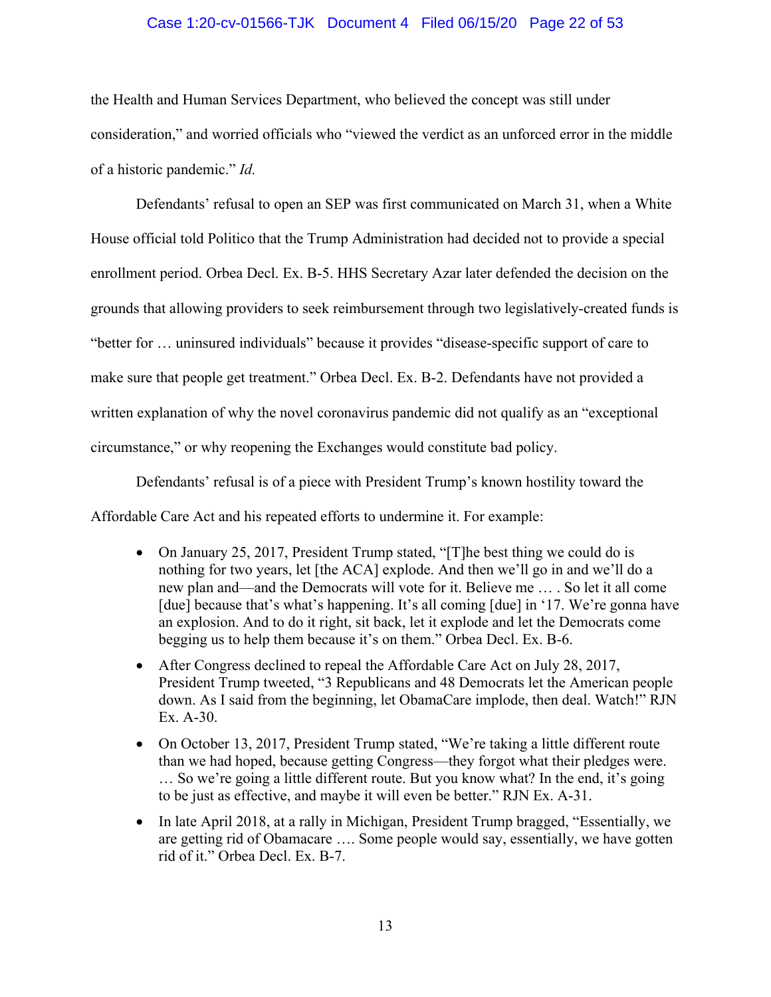### Case 1:20-cv-01566-TJK Document 4 Filed 06/15/20 Page 22 of 53

the Health and Human Services Department, who believed the concept was still under consideration," and worried officials who "viewed the verdict as an unforced error in the middle of a historic pandemic." *Id.*

Defendants' refusal to open an SEP was first communicated on March 31, when a White House official told Politico that the Trump Administration had decided not to provide a special enrollment period. Orbea Decl. Ex. B-5. HHS Secretary Azar later defended the decision on the grounds that allowing providers to seek reimbursement through two legislatively-created funds is "better for … uninsured individuals" because it provides "disease-specific support of care to make sure that people get treatment." Orbea Decl. Ex. B-2. Defendants have not provided a written explanation of why the novel coronavirus pandemic did not qualify as an "exceptional circumstance," or why reopening the Exchanges would constitute bad policy.

Defendants' refusal is of a piece with President Trump's known hostility toward the

Affordable Care Act and his repeated efforts to undermine it. For example:

- On January 25, 2017, President Trump stated, "[T]he best thing we could do is nothing for two years, let [the ACA] explode. And then we'll go in and we'll do a new plan and—and the Democrats will vote for it. Believe me … . So let it all come [due] because that's what's happening. It's all coming [due] in '17. We're gonna have an explosion. And to do it right, sit back, let it explode and let the Democrats come begging us to help them because it's on them." Orbea Decl. Ex. B-6.
- After Congress declined to repeal the Affordable Care Act on July 28, 2017, President Trump tweeted, "3 Republicans and 48 Democrats let the American people down. As I said from the beginning, let ObamaCare implode, then deal. Watch!" RJN Ex. A-30.
- On October 13, 2017, President Trump stated, "We're taking a little different route than we had hoped, because getting Congress—they forgot what their pledges were. … So we're going a little different route. But you know what? In the end, it's going to be just as effective, and maybe it will even be better." RJN Ex. A-31.
- In late April 2018, at a rally in Michigan, President Trump bragged, "Essentially, we are getting rid of Obamacare …. Some people would say, essentially, we have gotten rid of it." Orbea Decl. Ex. B-7.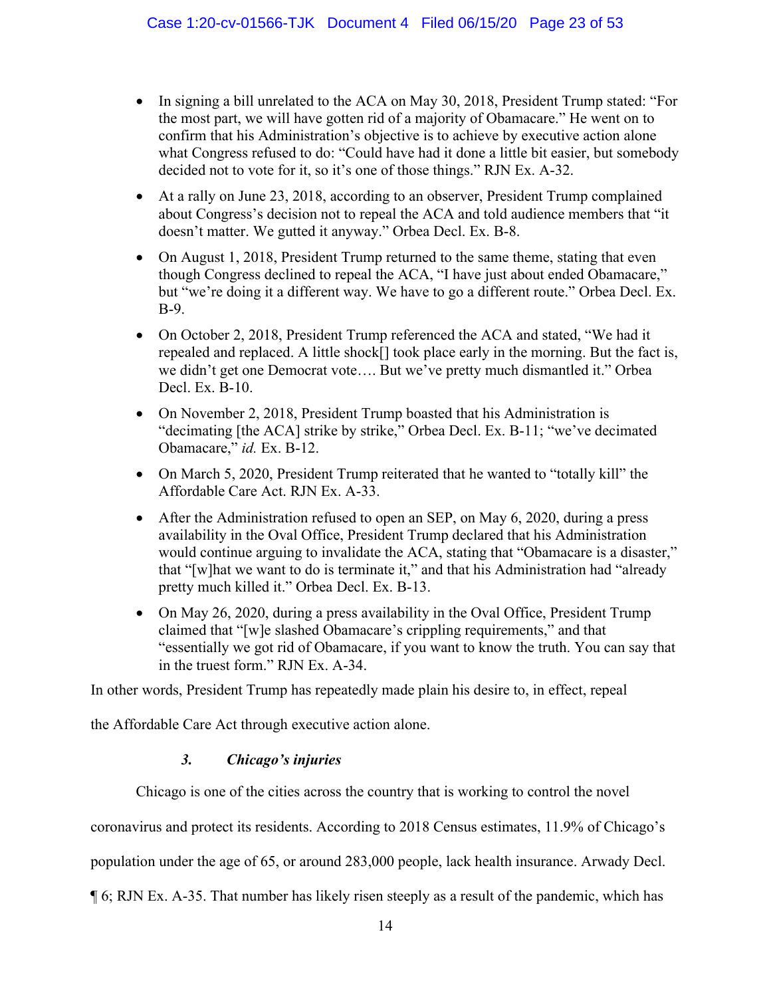- In signing a bill unrelated to the ACA on May 30, 2018, President Trump stated: "For the most part, we will have gotten rid of a majority of Obamacare." He went on to confirm that his Administration's objective is to achieve by executive action alone what Congress refused to do: "Could have had it done a little bit easier, but somebody decided not to vote for it, so it's one of those things." RJN Ex. A-32.
- At a rally on June 23, 2018, according to an observer, President Trump complained about Congress's decision not to repeal the ACA and told audience members that "it doesn't matter. We gutted it anyway." Orbea Decl. Ex. B-8.
- On August 1, 2018, President Trump returned to the same theme, stating that even though Congress declined to repeal the ACA, "I have just about ended Obamacare," but "we're doing it a different way. We have to go a different route." Orbea Decl. Ex. B-9.
- On October 2, 2018, President Trump referenced the ACA and stated, "We had it repealed and replaced. A little shock[] took place early in the morning. But the fact is, we didn't get one Democrat vote…. But we've pretty much dismantled it." Orbea Decl. Ex. B-10.
- On November 2, 2018, President Trump boasted that his Administration is "decimating [the ACA] strike by strike," Orbea Decl. Ex. B-11; "we've decimated Obamacare," *id.* Ex. B-12.
- On March 5, 2020, President Trump reiterated that he wanted to "totally kill" the Affordable Care Act. RJN Ex. A-33.
- After the Administration refused to open an SEP, on May 6, 2020, during a press availability in the Oval Office, President Trump declared that his Administration would continue arguing to invalidate the ACA, stating that "Obamacare is a disaster," that "[w]hat we want to do is terminate it," and that his Administration had "already pretty much killed it." Orbea Decl. Ex. B-13.
- On May 26, 2020, during a press availability in the Oval Office, President Trump claimed that "[w]e slashed Obamacare's crippling requirements," and that "essentially we got rid of Obamacare, if you want to know the truth. You can say that in the truest form." RJN Ex. A-34.

In other words, President Trump has repeatedly made plain his desire to, in effect, repeal

<span id="page-22-0"></span>the Affordable Care Act through executive action alone.

# *3. Chicago's injuries*

Chicago is one of the cities across the country that is working to control the novel

coronavirus and protect its residents. According to 2018 Census estimates, 11.9% of Chicago's

population under the age of 65, or around 283,000 people, lack health insurance. Arwady Decl.

¶ 6; RJN Ex. A-35. That number has likely risen steeply as a result of the pandemic, which has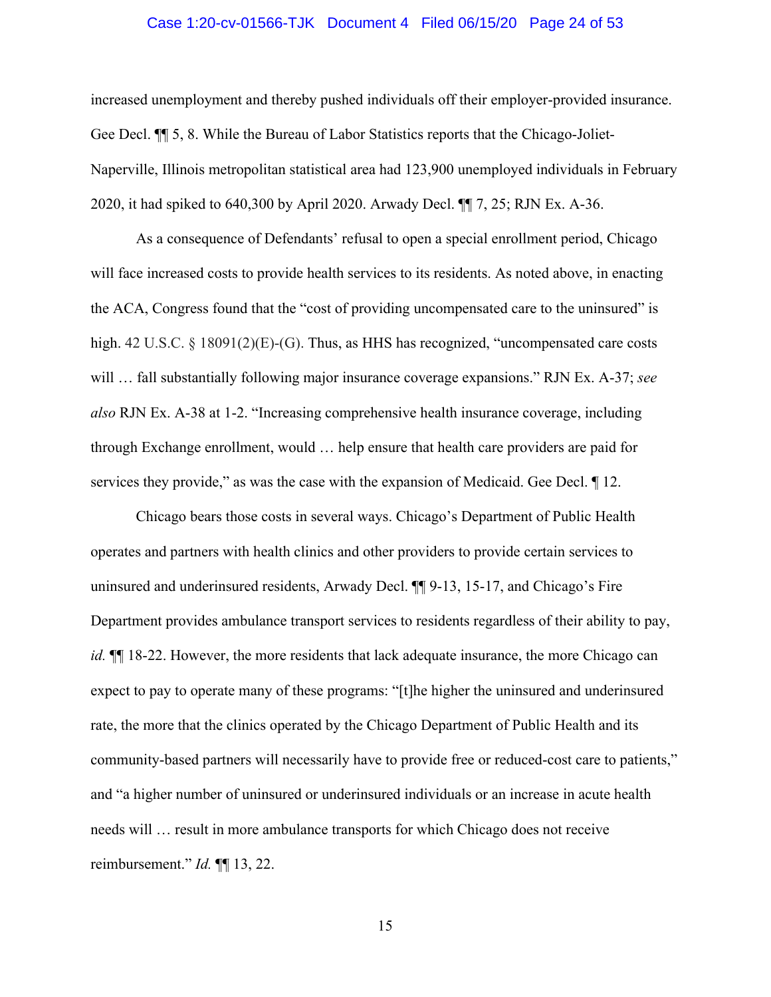#### Case 1:20-cv-01566-TJK Document 4 Filed 06/15/20 Page 24 of 53

increased unemployment and thereby pushed individuals off their employer-provided insurance. Gee Decl. ¶¶ 5, 8. While the Bureau of Labor Statistics reports that the Chicago-Joliet-Naperville, Illinois metropolitan statistical area had 123,900 unemployed individuals in February 2020, it had spiked to 640,300 by April 2020. Arwady Decl. ¶¶ 7, 25; RJN Ex. A-36.

As a consequence of Defendants' refusal to open a special enrollment period, Chicago will face increased costs to provide health services to its residents. As noted above, in enacting the ACA, Congress found that the "cost of providing uncompensated care to the uninsured" is high. 42 U.S.C. § 18091(2)(E)-(G). Thus, as HHS has recognized, "uncompensated care costs will … fall substantially following major insurance coverage expansions." RJN Ex. A-37; *see also* RJN Ex. A-38 at 1-2. "Increasing comprehensive health insurance coverage, including through Exchange enrollment, would … help ensure that health care providers are paid for services they provide," as was the case with the expansion of Medicaid. Gee Decl. ¶ 12.

Chicago bears those costs in several ways. Chicago's Department of Public Health operates and partners with health clinics and other providers to provide certain services to uninsured and underinsured residents, Arwady Decl. ¶¶ 9-13, 15-17, and Chicago's Fire Department provides ambulance transport services to residents regardless of their ability to pay, *id.*  $\P$  18-22. However, the more residents that lack adequate insurance, the more Chicago can expect to pay to operate many of these programs: "[t]he higher the uninsured and underinsured rate, the more that the clinics operated by the Chicago Department of Public Health and its community-based partners will necessarily have to provide free or reduced-cost care to patients," and "a higher number of uninsured or underinsured individuals or an increase in acute health needs will … result in more ambulance transports for which Chicago does not receive reimbursement." *Id.* ¶¶ 13, 22.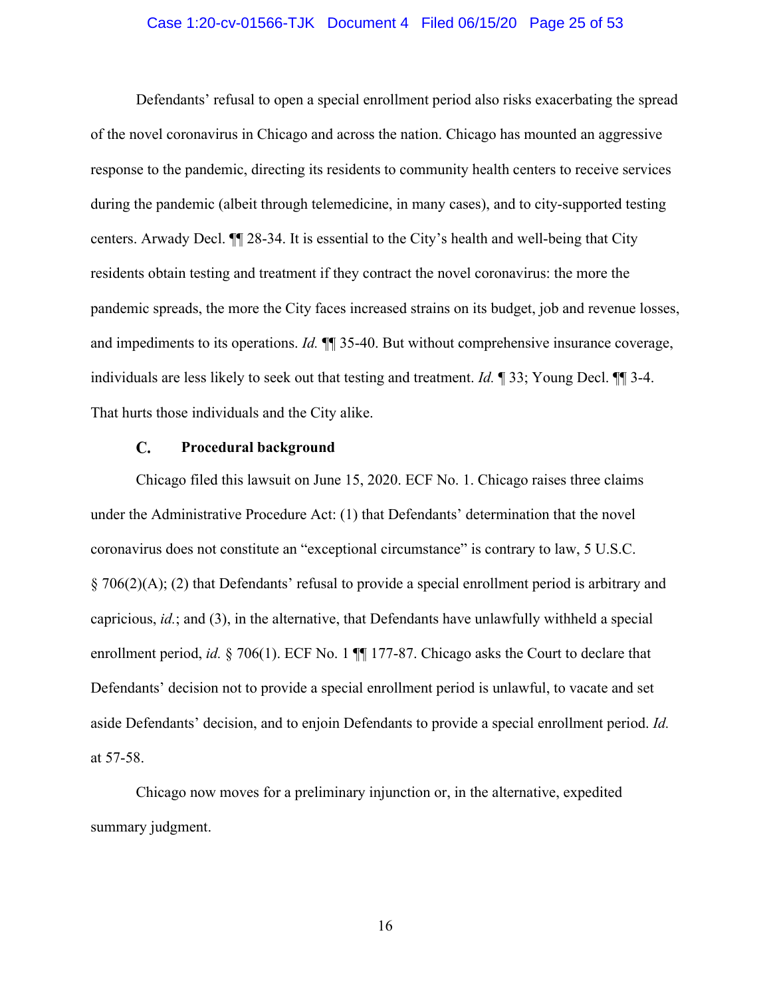#### Case 1:20-cv-01566-TJK Document 4 Filed 06/15/20 Page 25 of 53

Defendants' refusal to open a special enrollment period also risks exacerbating the spread of the novel coronavirus in Chicago and across the nation. Chicago has mounted an aggressive response to the pandemic, directing its residents to community health centers to receive services during the pandemic (albeit through telemedicine, in many cases), and to city-supported testing centers. Arwady Decl. ¶¶ 28-34. It is essential to the City's health and well-being that City residents obtain testing and treatment if they contract the novel coronavirus: the more the pandemic spreads, the more the City faces increased strains on its budget, job and revenue losses, and impediments to its operations. *Id.* ¶¶ 35-40. But without comprehensive insurance coverage, individuals are less likely to seek out that testing and treatment. *Id.* ¶ 33; Young Decl. ¶¶ 3-4. That hurts those individuals and the City alike.

#### $\mathbf{C}$ . **Procedural background**

<span id="page-24-0"></span>Chicago filed this lawsuit on June 15, 2020. ECF No. 1. Chicago raises three claims under the Administrative Procedure Act: (1) that Defendants' determination that the novel coronavirus does not constitute an "exceptional circumstance" is contrary to law, 5 U.S.C. § 706(2)(A); (2) that Defendants' refusal to provide a special enrollment period is arbitrary and capricious, *id.*; and (3), in the alternative, that Defendants have unlawfully withheld a special enrollment period, *id.* § 706(1). ECF No. 1 ¶ 177-87. Chicago asks the Court to declare that Defendants' decision not to provide a special enrollment period is unlawful, to vacate and set aside Defendants' decision, and to enjoin Defendants to provide a special enrollment period. *Id.* at 57-58.

Chicago now moves for a preliminary injunction or, in the alternative, expedited summary judgment.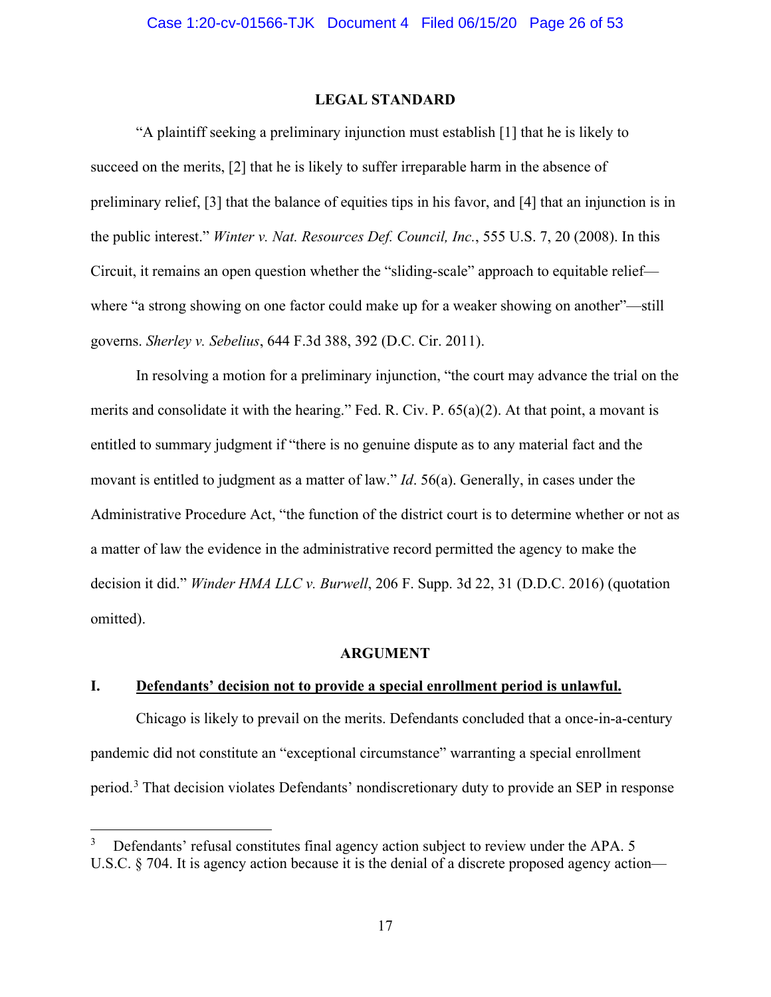#### <span id="page-25-4"></span>**LEGAL STANDARD**

<span id="page-25-0"></span>"A plaintiff seeking a preliminary injunction must establish [1] that he is likely to succeed on the merits, [2] that he is likely to suffer irreparable harm in the absence of preliminary relief, [3] that the balance of equities tips in his favor, and [4] that an injunction is in the public interest." *Winter v. Nat. Resources Def. Council, Inc.*, 555 U.S. 7, 20 (2008). In this Circuit, it remains an open question whether the "sliding-scale" approach to equitable relief where "a strong showing on one factor could make up for a weaker showing on another"—still governs. *Sherley v. Sebelius*, 644 F.3d 388, 392 (D.C. Cir. 2011).

<span id="page-25-3"></span>In resolving a motion for a preliminary injunction, "the court may advance the trial on the merits and consolidate it with the hearing." Fed. R. Civ. P. 65(a)(2). At that point, a movant is entitled to summary judgment if "there is no genuine dispute as to any material fact and the movant is entitled to judgment as a matter of law." *Id*. 56(a). Generally, in cases under the Administrative Procedure Act, "the function of the district court is to determine whether or not as a matter of law the evidence in the administrative record permitted the agency to make the decision it did." *Winder HMA LLC v. Burwell*, 206 F. Supp. 3d 22, 31 (D.D.C. 2016) (quotation omitted).

#### **ARGUMENT**

## <span id="page-25-2"></span><span id="page-25-1"></span>**I. Defendants' decision not to provide a special enrollment period is unlawful.**

Chicago is likely to prevail on the merits. Defendants concluded that a once-in-a-century pandemic did not constitute an "exceptional circumstance" warranting a special enrollment period.<sup>[3](#page-25-5)</sup> That decision violates Defendants' nondiscretionary duty to provide an SEP in response

<span id="page-25-5"></span>Defendants' refusal constitutes final agency action subject to review under the APA. 5 U.S.C. § 704. It is agency action because it is the denial of a discrete proposed agency action—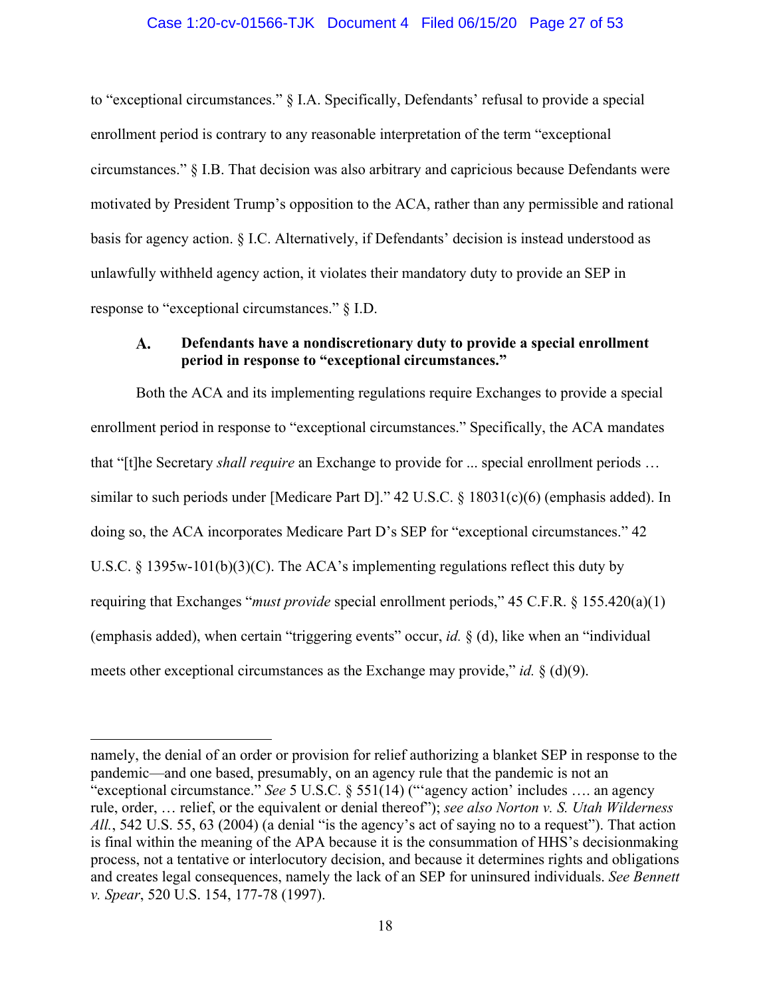#### Case 1:20-cv-01566-TJK Document 4 Filed 06/15/20 Page 27 of 53

to "exceptional circumstances." § I.A. Specifically, Defendants' refusal to provide a special enrollment period is contrary to any reasonable interpretation of the term "exceptional circumstances." § I.B. That decision was also arbitrary and capricious because Defendants were motivated by President Trump's opposition to the ACA, rather than any permissible and rational basis for agency action. § I.C. Alternatively, if Defendants' decision is instead understood as unlawfully withheld agency action, it violates their mandatory duty to provide an SEP in response to "exceptional circumstances." § I.D.

#### <span id="page-26-0"></span> $\mathbf{A}$ . **Defendants have a nondiscretionary duty to provide a special enrollment period in response to "exceptional circumstances."**

Both the ACA and its implementing regulations require Exchanges to provide a special enrollment period in response to "exceptional circumstances." Specifically, the ACA mandates that "[t]he Secretary *shall require* an Exchange to provide for ... special enrollment periods … similar to such periods under [Medicare Part D]." 42 U.S.C. § 18031(c)(6) (emphasis added). In doing so, the ACA incorporates Medicare Part D's SEP for "exceptional circumstances." 42 U.S.C. § 1395w-101(b)(3)(C). The ACA's implementing regulations reflect this duty by requiring that Exchanges "*must provide* special enrollment periods," 45 C.F.R. § 155.420(a)(1) (emphasis added), when certain "triggering events" occur, *id.* § (d), like when an "individual meets other exceptional circumstances as the Exchange may provide," *id.* § (d)(9).

namely, the denial of an order or provision for relief authorizing a blanket SEP in response to the pandemic—and one based, presumably, on an agency rule that the pandemic is not an "exceptional circumstance." *See* 5 U.S.C. § 551(14) ("'agency action' includes …. an agency rule, order, … relief, or the equivalent or denial thereof"); *see also Norton v. S. Utah Wilderness All.*, 542 U.S. 55, 63 (2004) (a denial "is the agency's act of saying no to a request"). That action is final within the meaning of the APA because it is the consummation of HHS's decisionmaking process, not a tentative or interlocutory decision, and because it determines rights and obligations and creates legal consequences, namely the lack of an SEP for uninsured individuals. *See Bennett v. Spear*, 520 U.S. 154, 177-78 (1997).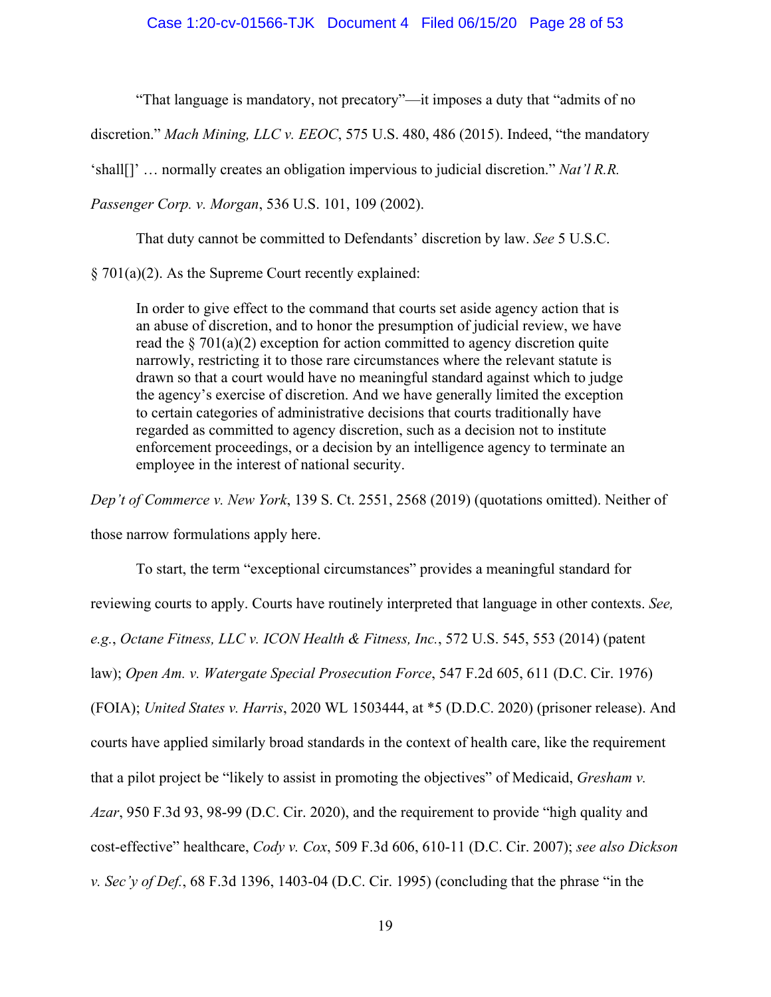"That language is mandatory, not precatory"—it imposes a duty that "admits of no

discretion." *Mach Mining, LLC v. EEOC*, 575 U.S. 480, 486 (2015). Indeed, "the mandatory

'shall[]' … normally creates an obligation impervious to judicial discretion." *Nat'l R.R.* 

*Passenger Corp. v. Morgan*, 536 U.S. 101, 109 (2002).

That duty cannot be committed to Defendants' discretion by law. *See* 5 U.S.C.

§ 701(a)(2). As the Supreme Court recently explained:

In order to give effect to the command that courts set aside agency action that is an abuse of discretion, and to honor the presumption of judicial review, we have read the  $\S 701(a)(2)$  exception for action committed to agency discretion quite narrowly, restricting it to those rare circumstances where the relevant statute is drawn so that a court would have no meaningful standard against which to judge the agency's exercise of discretion. And we have generally limited the exception to certain categories of administrative decisions that courts traditionally have regarded as committed to agency discretion, such as a decision not to institute enforcement proceedings, or a decision by an intelligence agency to terminate an employee in the interest of national security.

*Dep't of Commerce v. New York*, 139 S. Ct. 2551, 2568 (2019) (quotations omitted). Neither of

those narrow formulations apply here.

To start, the term "exceptional circumstances" provides a meaningful standard for reviewing courts to apply. Courts have routinely interpreted that language in other contexts. *See, e.g.*, *Octane Fitness, LLC v. ICON Health & Fitness, Inc.*, 572 U.S. 545, 553 (2014) (patent law); *Open Am. v. Watergate Special Prosecution Force*, 547 F.2d 605, 611 (D.C. Cir. 1976) (FOIA); *United States v. Harris*, 2020 WL 1503444, at \*5 (D.D.C. 2020) (prisoner release). And courts have applied similarly broad standards in the context of health care, like the requirement that a pilot project be "likely to assist in promoting the objectives" of Medicaid, *Gresham v. Azar*, 950 F.3d 93, 98-99 (D.C. Cir. 2020), and the requirement to provide "high quality and cost-effective" healthcare, *Cody v. Cox*, 509 F.3d 606, 610-11 (D.C. Cir. 2007); *see also Dickson v. Sec'y of Def.*, 68 F.3d 1396, 1403-04 (D.C. Cir. 1995) (concluding that the phrase "in the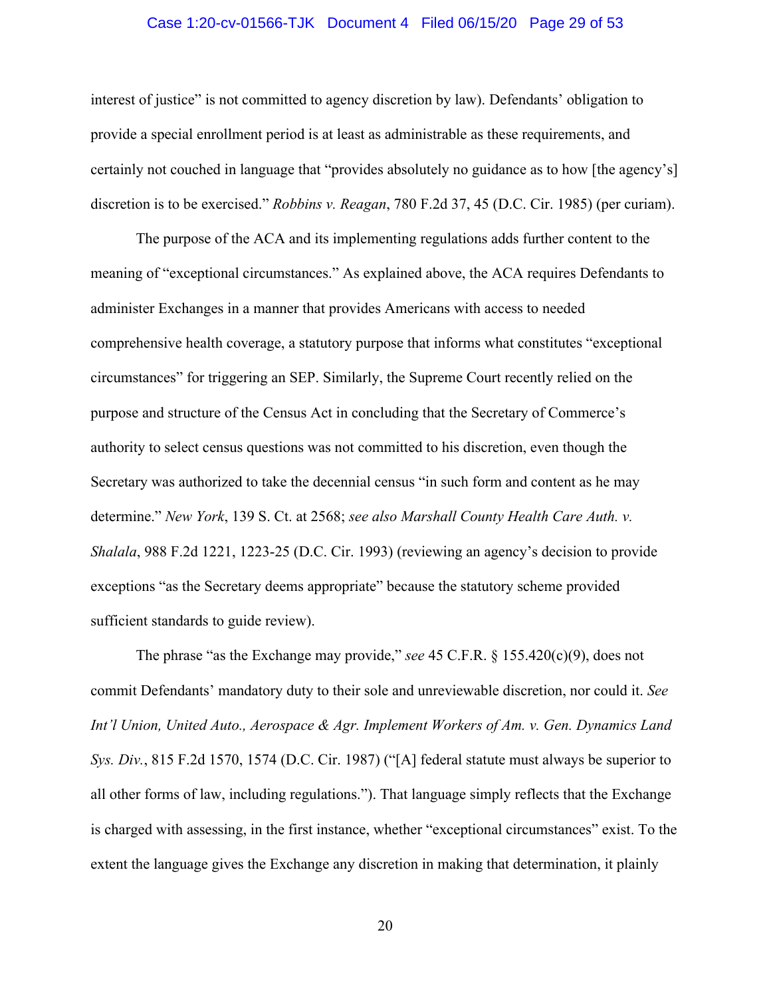#### Case 1:20-cv-01566-TJK Document 4 Filed 06/15/20 Page 29 of 53

interest of justice" is not committed to agency discretion by law). Defendants' obligation to provide a special enrollment period is at least as administrable as these requirements, and certainly not couched in language that "provides absolutely no guidance as to how [the agency's] discretion is to be exercised." *Robbins v. Reagan*, 780 F.2d 37, 45 (D.C. Cir. 1985) (per curiam).

The purpose of the ACA and its implementing regulations adds further content to the meaning of "exceptional circumstances." As explained above, the ACA requires Defendants to administer Exchanges in a manner that provides Americans with access to needed comprehensive health coverage, a statutory purpose that informs what constitutes "exceptional circumstances" for triggering an SEP. Similarly, the Supreme Court recently relied on the purpose and structure of the Census Act in concluding that the Secretary of Commerce's authority to select census questions was not committed to his discretion, even though the Secretary was authorized to take the decennial census "in such form and content as he may determine." *New York*, 139 S. Ct. at 2568; *see also Marshall County Health Care Auth. v. Shalala*, 988 F.2d 1221, 1223-25 (D.C. Cir. 1993) (reviewing an agency's decision to provide exceptions "as the Secretary deems appropriate" because the statutory scheme provided sufficient standards to guide review).

The phrase "as the Exchange may provide," *see* 45 C.F.R. § 155.420(c)(9), does not commit Defendants' mandatory duty to their sole and unreviewable discretion, nor could it. *See Int'l Union, United Auto., Aerospace & Agr. Implement Workers of Am. v. Gen. Dynamics Land Sys. Div.*, 815 F.2d 1570, 1574 (D.C. Cir. 1987) ("[A] federal statute must always be superior to all other forms of law, including regulations."). That language simply reflects that the Exchange is charged with assessing, in the first instance, whether "exceptional circumstances" exist. To the extent the language gives the Exchange any discretion in making that determination, it plainly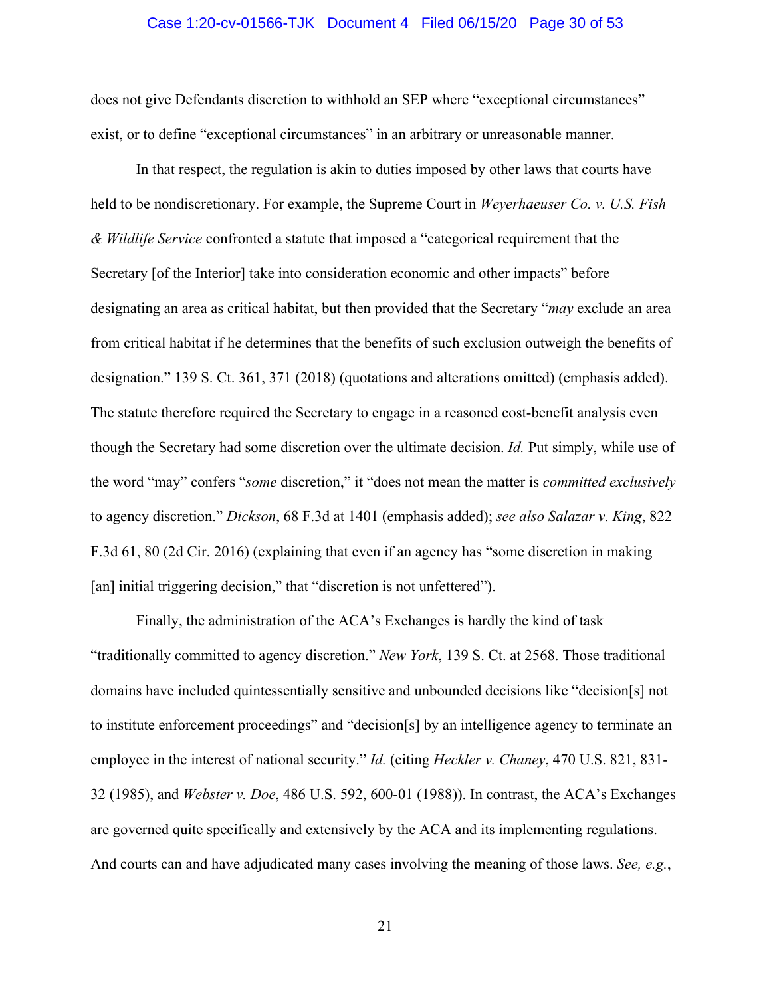#### Case 1:20-cv-01566-TJK Document 4 Filed 06/15/20 Page 30 of 53

does not give Defendants discretion to withhold an SEP where "exceptional circumstances" exist, or to define "exceptional circumstances" in an arbitrary or unreasonable manner.

In that respect, the regulation is akin to duties imposed by other laws that courts have held to be nondiscretionary. For example, the Supreme Court in *Weyerhaeuser Co. v. U.S. Fish & Wildlife Service* confronted a statute that imposed a "categorical requirement that the Secretary [of the Interior] take into consideration economic and other impacts" before designating an area as critical habitat, but then provided that the Secretary "*may* exclude an area from critical habitat if he determines that the benefits of such exclusion outweigh the benefits of designation." 139 S. Ct. 361, 371 (2018) (quotations and alterations omitted) (emphasis added). The statute therefore required the Secretary to engage in a reasoned cost-benefit analysis even though the Secretary had some discretion over the ultimate decision. *Id.* Put simply, while use of the word "may" confers "*some* discretion," it "does not mean the matter is *committed exclusively* to agency discretion." *Dickson*, 68 F.3d at 1401 (emphasis added); *see also Salazar v. King*, 822 F.3d 61, 80 (2d Cir. 2016) (explaining that even if an agency has "some discretion in making [an] initial triggering decision," that "discretion is not unfettered").

Finally, the administration of the ACA's Exchanges is hardly the kind of task "traditionally committed to agency discretion." *New York*, 139 S. Ct. at 2568. Those traditional domains have included quintessentially sensitive and unbounded decisions like "decision[s] not to institute enforcement proceedings" and "decision[s] by an intelligence agency to terminate an employee in the interest of national security." *Id.* (citing *Heckler v. Chaney*, 470 U.S. 821, 831- 32 (1985), and *Webster v. Doe*, 486 U.S. 592, 600-01 (1988)). In contrast, the ACA's Exchanges are governed quite specifically and extensively by the ACA and its implementing regulations. And courts can and have adjudicated many cases involving the meaning of those laws. *See, e.g.*,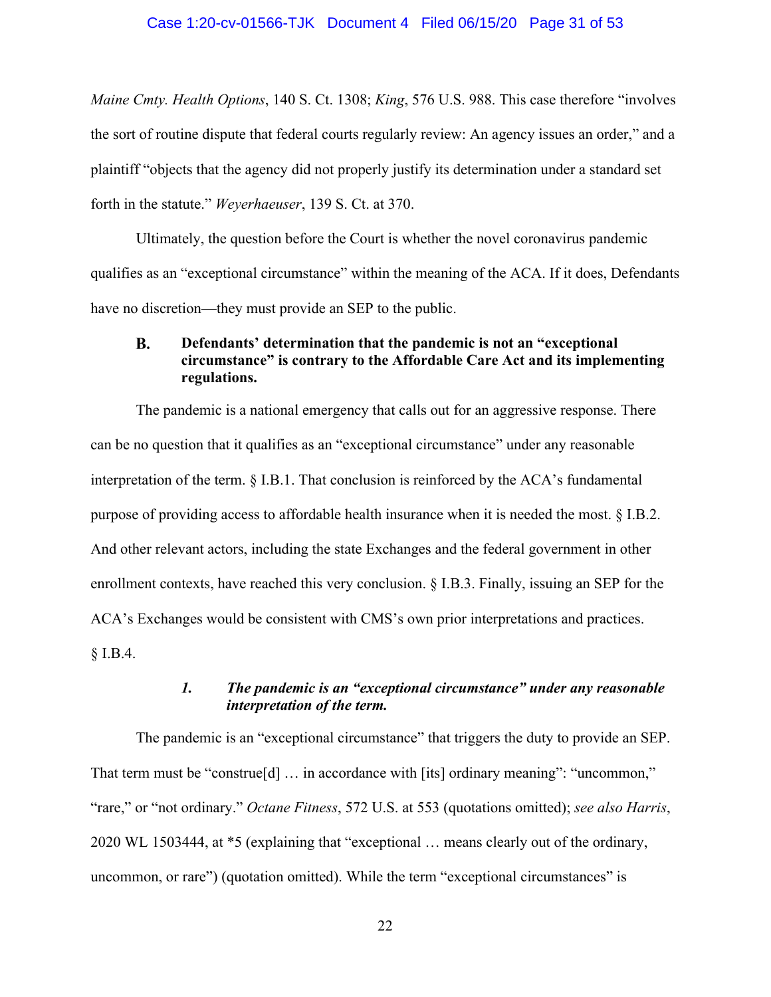#### Case 1:20-cv-01566-TJK Document 4 Filed 06/15/20 Page 31 of 53

*Maine Cmty. Health Options*, 140 S. Ct. 1308; *King*, 576 U.S. 988. This case therefore "involves the sort of routine dispute that federal courts regularly review: An agency issues an order," and a plaintiff "objects that the agency did not properly justify its determination under a standard set forth in the statute." *Weyerhaeuser*, 139 S. Ct. at 370.

Ultimately, the question before the Court is whether the novel coronavirus pandemic qualifies as an "exceptional circumstance" within the meaning of the ACA. If it does, Defendants have no discretion—they must provide an SEP to the public.

#### <span id="page-30-0"></span>**B. Defendants' determination that the pandemic is not an "exceptional circumstance" is contrary to the Affordable Care Act and its implementing regulations.**

The pandemic is a national emergency that calls out for an aggressive response. There can be no question that it qualifies as an "exceptional circumstance" under any reasonable interpretation of the term. § I.B.1. That conclusion is reinforced by the ACA's fundamental purpose of providing access to affordable health insurance when it is needed the most. § I.B.2. And other relevant actors, including the state Exchanges and the federal government in other enrollment contexts, have reached this very conclusion. § I.B.3. Finally, issuing an SEP for the ACA's Exchanges would be consistent with CMS's own prior interpretations and practices. § I.B.4.

## *1. The pandemic is an "exceptional circumstance" under any reasonable interpretation of the term.*

<span id="page-30-1"></span>The pandemic is an "exceptional circumstance" that triggers the duty to provide an SEP. That term must be "construe<sup>[d]</sup> ... in accordance with [its] ordinary meaning": "uncommon," "rare," or "not ordinary." *Octane Fitness*, 572 U.S. at 553 (quotations omitted); *see also Harris*, 2020 WL 1503444, at \*5 (explaining that "exceptional … means clearly out of the ordinary, uncommon, or rare") (quotation omitted). While the term "exceptional circumstances" is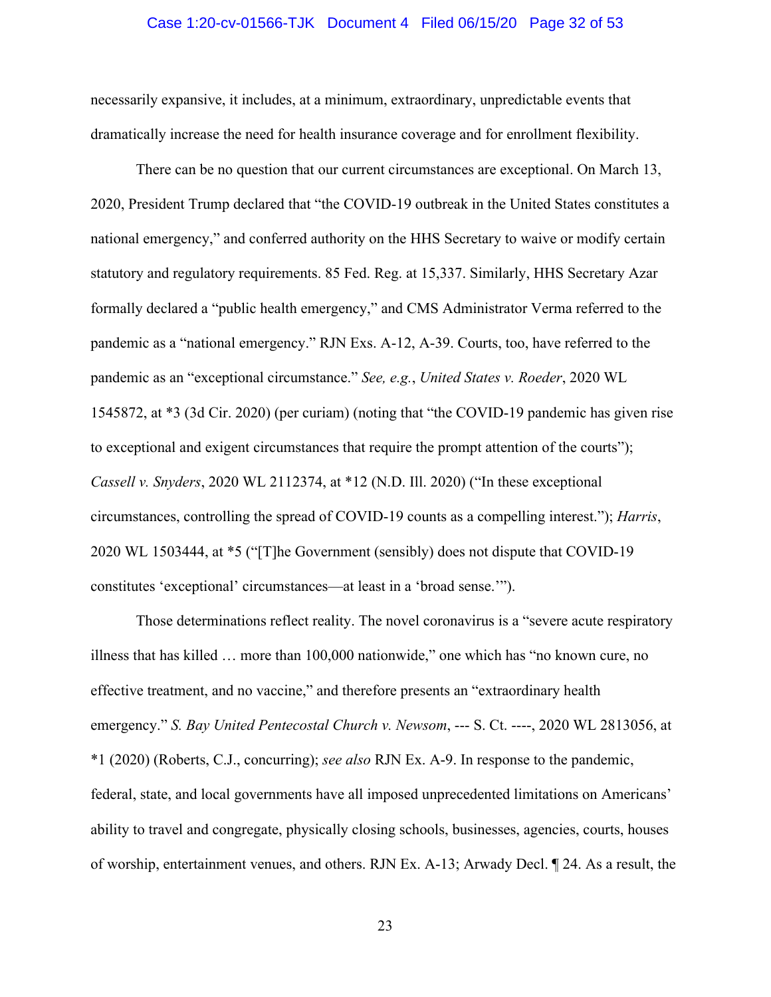#### Case 1:20-cv-01566-TJK Document 4 Filed 06/15/20 Page 32 of 53

necessarily expansive, it includes, at a minimum, extraordinary, unpredictable events that dramatically increase the need for health insurance coverage and for enrollment flexibility.

There can be no question that our current circumstances are exceptional. On March 13, 2020, President Trump declared that "the COVID-19 outbreak in the United States constitutes a national emergency," and conferred authority on the HHS Secretary to waive or modify certain statutory and regulatory requirements. 85 Fed. Reg. at 15,337. Similarly, HHS Secretary Azar formally declared a "public health emergency," and CMS Administrator Verma referred to the pandemic as a "national emergency." RJN Exs. A-12, A-39. Courts, too, have referred to the pandemic as an "exceptional circumstance." *See, e.g.*, *United States v. Roeder*, 2020 WL 1545872, at \*3 (3d Cir. 2020) (per curiam) (noting that "the COVID-19 pandemic has given rise to exceptional and exigent circumstances that require the prompt attention of the courts"); *Cassell v. Snyders*, 2020 WL 2112374, at \*12 (N.D. Ill. 2020) ("In these exceptional circumstances, controlling the spread of COVID-19 counts as a compelling interest."); *Harris*, 2020 WL 1503444, at \*5 ("[T]he Government (sensibly) does not dispute that COVID-19 constitutes 'exceptional' circumstances—at least in a 'broad sense.'").

Those determinations reflect reality. The novel coronavirus is a "severe acute respiratory illness that has killed … more than 100,000 nationwide," one which has "no known cure, no effective treatment, and no vaccine," and therefore presents an "extraordinary health emergency." *S. Bay United Pentecostal Church v. Newsom*, --- S. Ct. ----, 2020 WL 2813056, at \*1 (2020) (Roberts, C.J., concurring); *see also* RJN Ex. A-9. In response to the pandemic, federal, state, and local governments have all imposed unprecedented limitations on Americans' ability to travel and congregate, physically closing schools, businesses, agencies, courts, houses of worship, entertainment venues, and others. RJN Ex. A-13; Arwady Decl. ¶ 24. As a result, the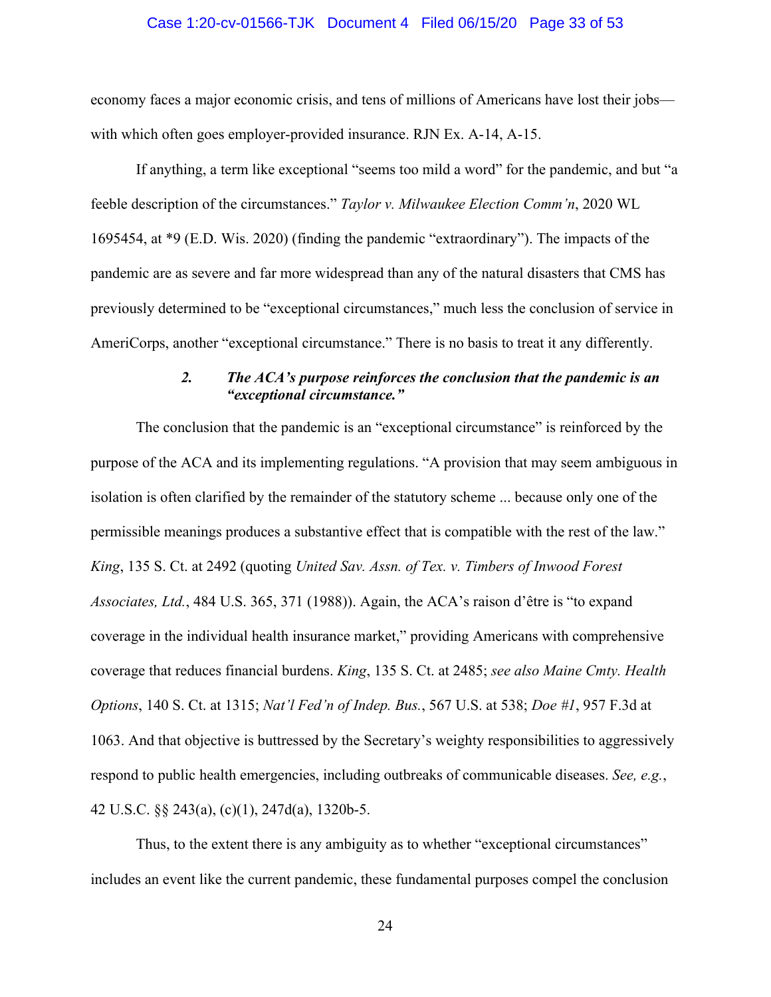#### Case 1:20-cv-01566-TJK Document 4 Filed 06/15/20 Page 33 of 53

economy faces a major economic crisis, and tens of millions of Americans have lost their jobs with which often goes employer-provided insurance. RJN Ex. A-14, A-15.

If anything, a term like exceptional "seems too mild a word" for the pandemic, and but "a feeble description of the circumstances." *Taylor v. Milwaukee Election Comm'n*, 2020 WL 1695454, at \*9 (E.D. Wis. 2020) (finding the pandemic "extraordinary"). The impacts of the pandemic are as severe and far more widespread than any of the natural disasters that CMS has previously determined to be "exceptional circumstances," much less the conclusion of service in AmeriCorps, another "exceptional circumstance." There is no basis to treat it any differently.

## *2. The ACA's purpose reinforces the conclusion that the pandemic is an "exceptional circumstance."*

<span id="page-32-0"></span>The conclusion that the pandemic is an "exceptional circumstance" is reinforced by the purpose of the ACA and its implementing regulations. "A provision that may seem ambiguous in isolation is often clarified by the remainder of the statutory scheme ... because only one of the permissible meanings produces a substantive effect that is compatible with the rest of the law." *King*, 135 S. Ct. at 2492 (quoting *United Sav. Assn. of Tex. v. Timbers of Inwood Forest Associates, Ltd.*, 484 U.S. 365, 371 (1988)). Again, the ACA's raison d'être is "to expand coverage in the individual health insurance market," providing Americans with comprehensive coverage that reduces financial burdens. *King*, 135 S. Ct. at 2485; *see also Maine Cmty. Health Options*, 140 S. Ct. at 1315; *Nat'l Fed'n of Indep. Bus.*, 567 U.S. at 538; *Doe #1*, 957 F.3d at 1063. And that objective is buttressed by the Secretary's weighty responsibilities to aggressively respond to public health emergencies, including outbreaks of communicable diseases. *See, e.g.*, 42 U.S.C. §§ 243(a), (c)(1), 247d(a), 1320b-5.

Thus, to the extent there is any ambiguity as to whether "exceptional circumstances" includes an event like the current pandemic, these fundamental purposes compel the conclusion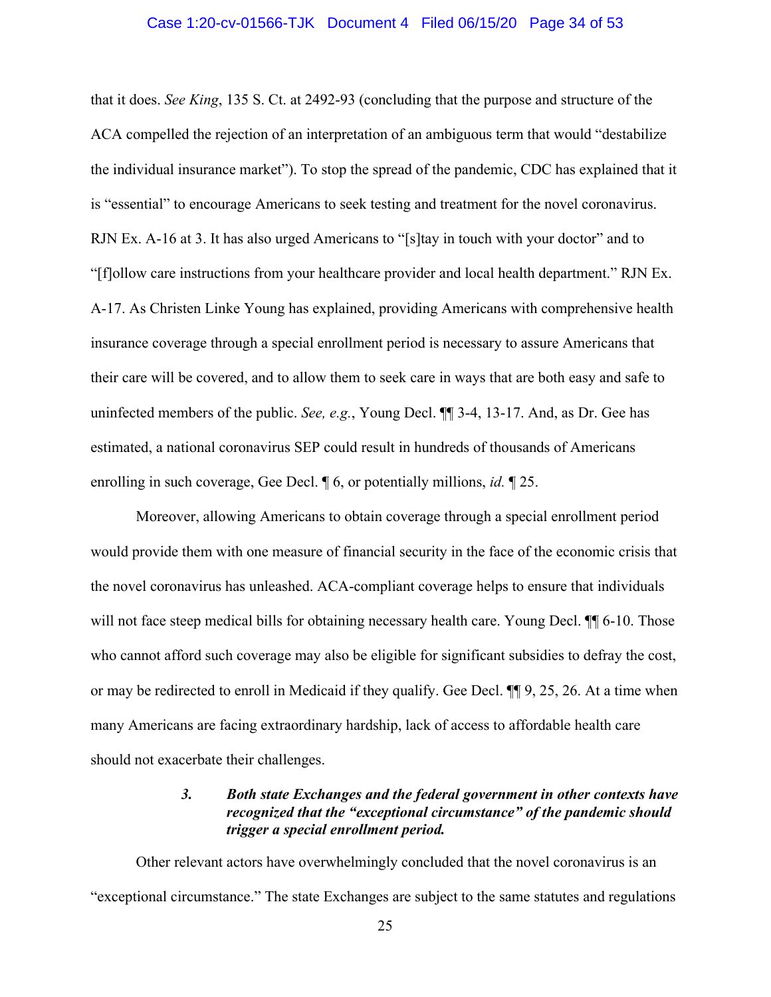#### Case 1:20-cv-01566-TJK Document 4 Filed 06/15/20 Page 34 of 53

that it does. *See King*, 135 S. Ct. at 2492-93 (concluding that the purpose and structure of the ACA compelled the rejection of an interpretation of an ambiguous term that would "destabilize the individual insurance market"). To stop the spread of the pandemic, CDC has explained that it is "essential" to encourage Americans to seek testing and treatment for the novel coronavirus. RJN Ex. A-16 at 3. It has also urged Americans to "[s]tay in touch with your doctor" and to "[f]ollow care instructions from your healthcare provider and local health department." RJN Ex. A-17. As Christen Linke Young has explained, providing Americans with comprehensive health insurance coverage through a special enrollment period is necessary to assure Americans that their care will be covered, and to allow them to seek care in ways that are both easy and safe to uninfected members of the public. *See, e.g.*, Young Decl. ¶¶ 3-4, 13-17. And, as Dr. Gee has estimated, a national coronavirus SEP could result in hundreds of thousands of Americans enrolling in such coverage, Gee Decl. ¶ 6, or potentially millions, *id.* ¶ 25.

Moreover, allowing Americans to obtain coverage through a special enrollment period would provide them with one measure of financial security in the face of the economic crisis that the novel coronavirus has unleashed. ACA-compliant coverage helps to ensure that individuals will not face steep medical bills for obtaining necessary health care. Young Decl.  $\P$  6-10. Those who cannot afford such coverage may also be eligible for significant subsidies to defray the cost, or may be redirected to enroll in Medicaid if they qualify. Gee Decl. ¶¶ 9, 25, 26. At a time when many Americans are facing extraordinary hardship, lack of access to affordable health care should not exacerbate their challenges.

# *3. Both state Exchanges and the federal government in other contexts have recognized that the "exceptional circumstance" of the pandemic should trigger a special enrollment period.*

<span id="page-33-0"></span>Other relevant actors have overwhelmingly concluded that the novel coronavirus is an "exceptional circumstance." The state Exchanges are subject to the same statutes and regulations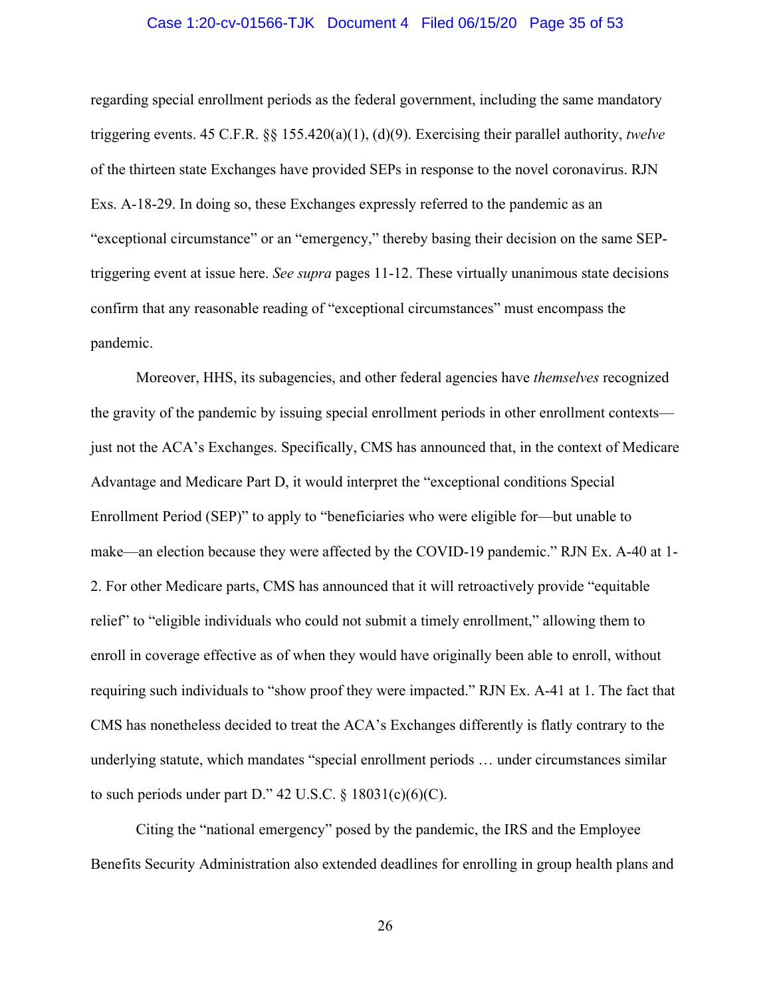#### Case 1:20-cv-01566-TJK Document 4 Filed 06/15/20 Page 35 of 53

regarding special enrollment periods as the federal government, including the same mandatory triggering events. 45 C.F.R. §§ 155.420(a)(1), (d)(9). Exercising their parallel authority, *twelve* of the thirteen state Exchanges have provided SEPs in response to the novel coronavirus. RJN Exs. A-18-29. In doing so, these Exchanges expressly referred to the pandemic as an "exceptional circumstance" or an "emergency," thereby basing their decision on the same SEPtriggering event at issue here. *See supra* pages 11-12. These virtually unanimous state decisions confirm that any reasonable reading of "exceptional circumstances" must encompass the pandemic.

Moreover, HHS, its subagencies, and other federal agencies have *themselves* recognized the gravity of the pandemic by issuing special enrollment periods in other enrollment contexts just not the ACA's Exchanges. Specifically, CMS has announced that, in the context of Medicare Advantage and Medicare Part D, it would interpret the "exceptional conditions Special Enrollment Period (SEP)" to apply to "beneficiaries who were eligible for—but unable to make—an election because they were affected by the COVID-19 pandemic." RJN Ex. A-40 at 1- 2. For other Medicare parts, CMS has announced that it will retroactively provide "equitable relief" to "eligible individuals who could not submit a timely enrollment," allowing them to enroll in coverage effective as of when they would have originally been able to enroll, without requiring such individuals to "show proof they were impacted." RJN Ex. A-41 at 1. The fact that CMS has nonetheless decided to treat the ACA's Exchanges differently is flatly contrary to the underlying statute, which mandates "special enrollment periods … under circumstances similar to such periods under part D." 42 U.S.C.  $\S$  18031(c)(6)(C).

Citing the "national emergency" posed by the pandemic, the IRS and the Employee Benefits Security Administration also extended deadlines for enrolling in group health plans and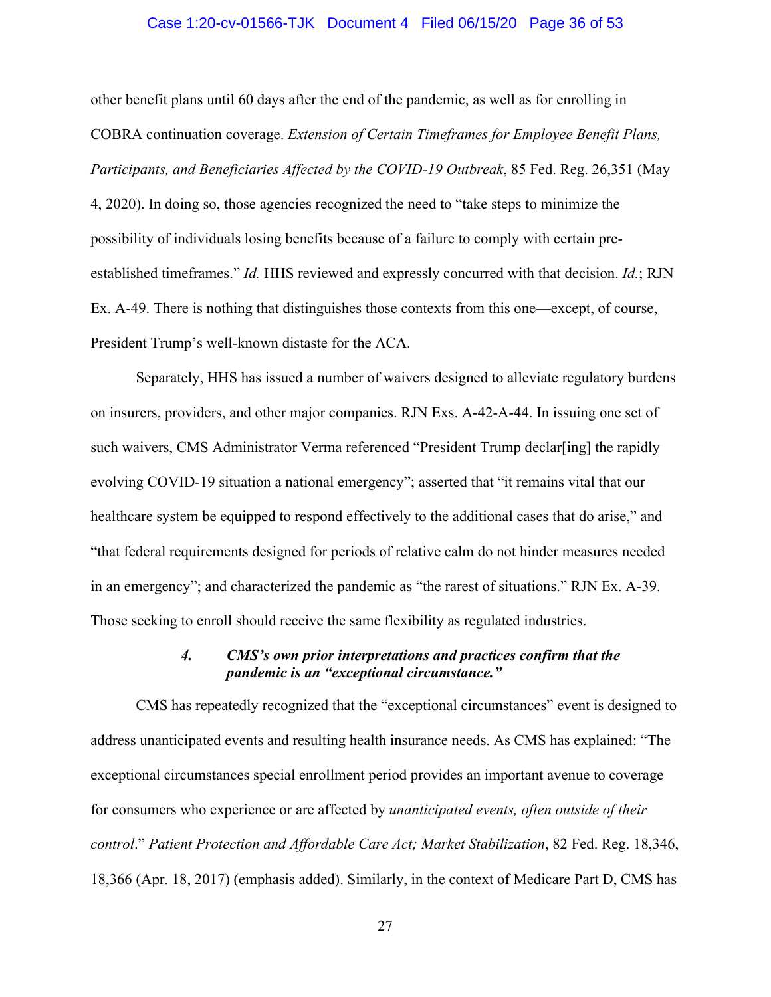#### Case 1:20-cv-01566-TJK Document 4 Filed 06/15/20 Page 36 of 53

other benefit plans until 60 days after the end of the pandemic, as well as for enrolling in COBRA continuation coverage. *Extension of Certain Timeframes for Employee Benefit Plans, Participants, and Beneficiaries Affected by the COVID-19 Outbreak*, 85 Fed. Reg. 26,351 (May 4, 2020). In doing so, those agencies recognized the need to "take steps to minimize the possibility of individuals losing benefits because of a failure to comply with certain preestablished timeframes." *Id.* HHS reviewed and expressly concurred with that decision. *Id.*; RJN Ex. A-49. There is nothing that distinguishes those contexts from this one—except, of course, President Trump's well-known distaste for the ACA.

Separately, HHS has issued a number of waivers designed to alleviate regulatory burdens on insurers, providers, and other major companies. RJN Exs. A-42-A-44. In issuing one set of such waivers, CMS Administrator Verma referenced "President Trump declar[ing] the rapidly evolving COVID-19 situation a national emergency"; asserted that "it remains vital that our healthcare system be equipped to respond effectively to the additional cases that do arise," and "that federal requirements designed for periods of relative calm do not hinder measures needed in an emergency"; and characterized the pandemic as "the rarest of situations." RJN Ex. A-39. Those seeking to enroll should receive the same flexibility as regulated industries.

## *4. CMS's own prior interpretations and practices confirm that the pandemic is an "exceptional circumstance."*

<span id="page-35-0"></span>CMS has repeatedly recognized that the "exceptional circumstances" event is designed to address unanticipated events and resulting health insurance needs. As CMS has explained: "The exceptional circumstances special enrollment period provides an important avenue to coverage for consumers who experience or are affected by *unanticipated events, often outside of their control*." *Patient Protection and Affordable Care Act; Market Stabilization*, 82 Fed. Reg. 18,346, 18,366 (Apr. 18, 2017) (emphasis added). Similarly, in the context of Medicare Part D, CMS has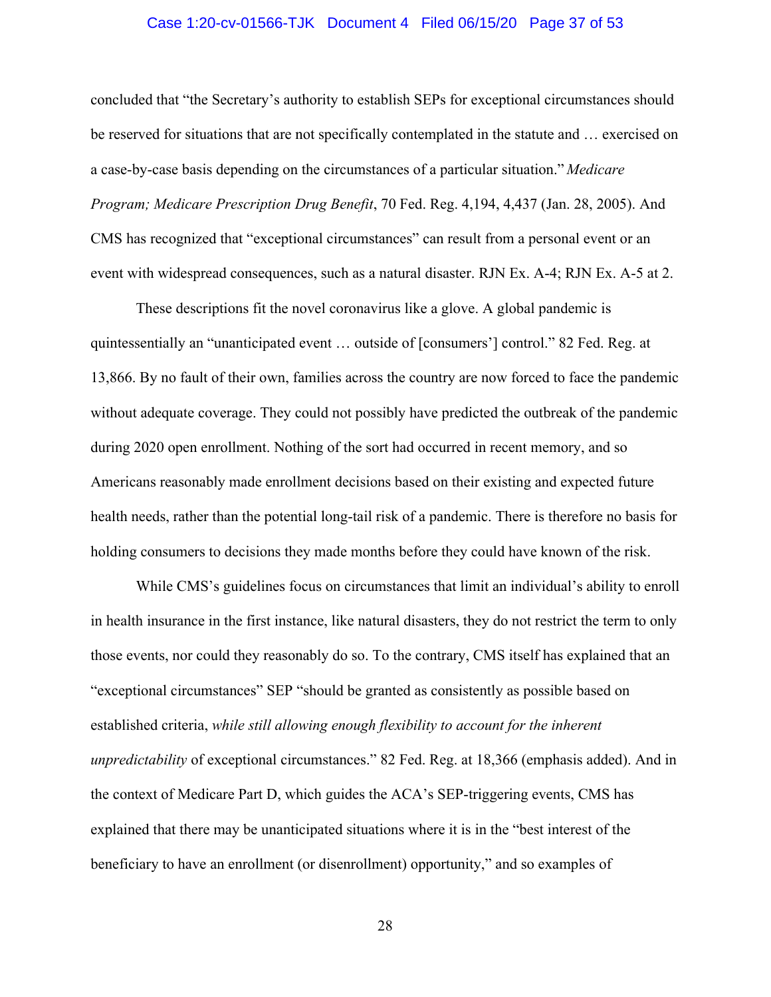#### Case 1:20-cv-01566-TJK Document 4 Filed 06/15/20 Page 37 of 53

concluded that "the Secretary's authority to establish SEPs for exceptional circumstances should be reserved for situations that are not specifically contemplated in the statute and … exercised on a case-by-case basis depending on the circumstances of a particular situation." *Medicare Program; Medicare Prescription Drug Benefit*, 70 Fed. Reg. 4,194, 4,437 (Jan. 28, 2005). And CMS has recognized that "exceptional circumstances" can result from a personal event or an event with widespread consequences, such as a natural disaster. RJN Ex. A-4; RJN Ex. A-5 at 2.

These descriptions fit the novel coronavirus like a glove. A global pandemic is quintessentially an "unanticipated event … outside of [consumers'] control." 82 Fed. Reg. at 13,866. By no fault of their own, families across the country are now forced to face the pandemic without adequate coverage. They could not possibly have predicted the outbreak of the pandemic during 2020 open enrollment. Nothing of the sort had occurred in recent memory, and so Americans reasonably made enrollment decisions based on their existing and expected future health needs, rather than the potential long-tail risk of a pandemic. There is therefore no basis for holding consumers to decisions they made months before they could have known of the risk.

While CMS's guidelines focus on circumstances that limit an individual's ability to enroll in health insurance in the first instance, like natural disasters, they do not restrict the term to only those events, nor could they reasonably do so. To the contrary, CMS itself has explained that an "exceptional circumstances" SEP "should be granted as consistently as possible based on established criteria, *while still allowing enough flexibility to account for the inherent unpredictability* of exceptional circumstances." 82 Fed. Reg. at 18,366 (emphasis added). And in the context of Medicare Part D, which guides the ACA's SEP-triggering events, CMS has explained that there may be unanticipated situations where it is in the "best interest of the beneficiary to have an enrollment (or disenrollment) opportunity," and so examples of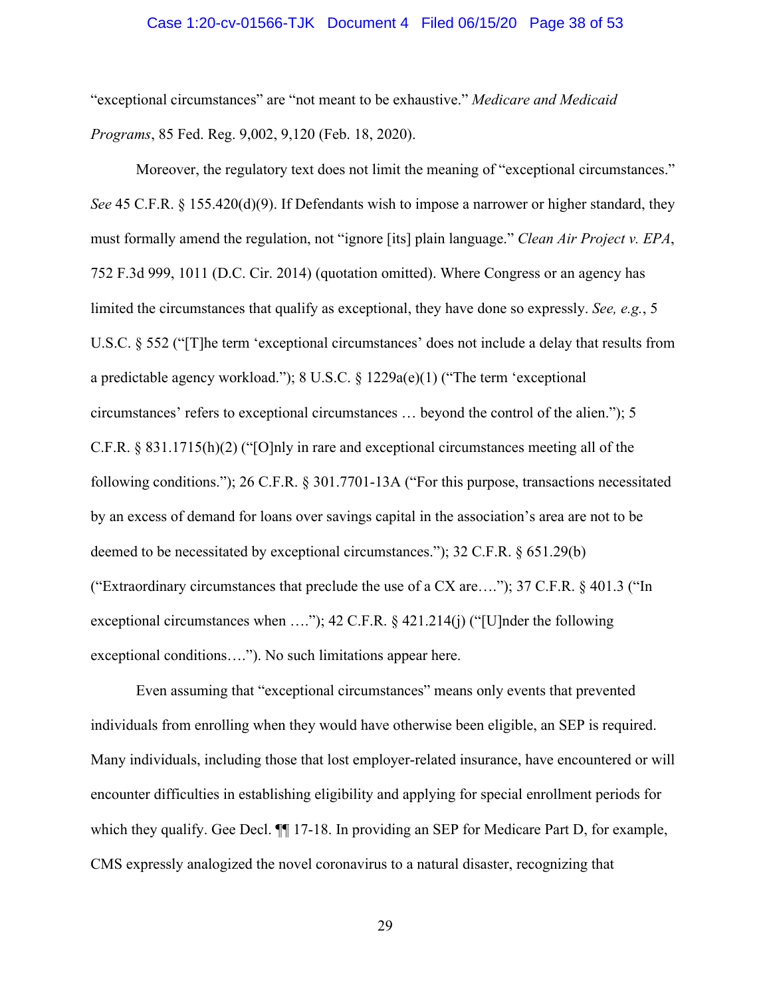#### Case 1:20-cv-01566-TJK Document 4 Filed 06/15/20 Page 38 of 53

"exceptional circumstances" are "not meant to be exhaustive." *Medicare and Medicaid Programs*, 85 Fed. Reg. 9,002, 9,120 (Feb. 18, 2020).

Moreover, the regulatory text does not limit the meaning of "exceptional circumstances." *See* 45 C.F.R. § 155.420(d)(9). If Defendants wish to impose a narrower or higher standard, they must formally amend the regulation, not "ignore [its] plain language." *Clean Air Project v. EPA*, 752 F.3d 999, 1011 (D.C. Cir. 2014) (quotation omitted). Where Congress or an agency has limited the circumstances that qualify as exceptional, they have done so expressly. *See, e.g.*, 5 U.S.C. § 552 ("[T]he term 'exceptional circumstances' does not include a delay that results from a predictable agency workload."); 8 U.S.C. § 1229a(e)(1) ("The term 'exceptional circumstances' refers to exceptional circumstances … beyond the control of the alien."); 5 C.F.R. § 831.1715(h)(2) ("[O]nly in rare and exceptional circumstances meeting all of the following conditions."); 26 C.F.R. § 301.7701-13A ("For this purpose, transactions necessitated by an excess of demand for loans over savings capital in the association's area are not to be deemed to be necessitated by exceptional circumstances."); 32 C.F.R. § 651.29(b) ("Extraordinary circumstances that preclude the use of a CX are...."); 37 C.F.R.  $\S$  401.3 ("In exceptional circumstances when ...."); 42 C.F.R. § 421.214(j) ("[U]nder the following exceptional conditions…."). No such limitations appear here.

Even assuming that "exceptional circumstances" means only events that prevented individuals from enrolling when they would have otherwise been eligible, an SEP is required. Many individuals, including those that lost employer-related insurance, have encountered or will encounter difficulties in establishing eligibility and applying for special enrollment periods for which they qualify. Gee Decl.  $\P$  17-18. In providing an SEP for Medicare Part D, for example, CMS expressly analogized the novel coronavirus to a natural disaster, recognizing that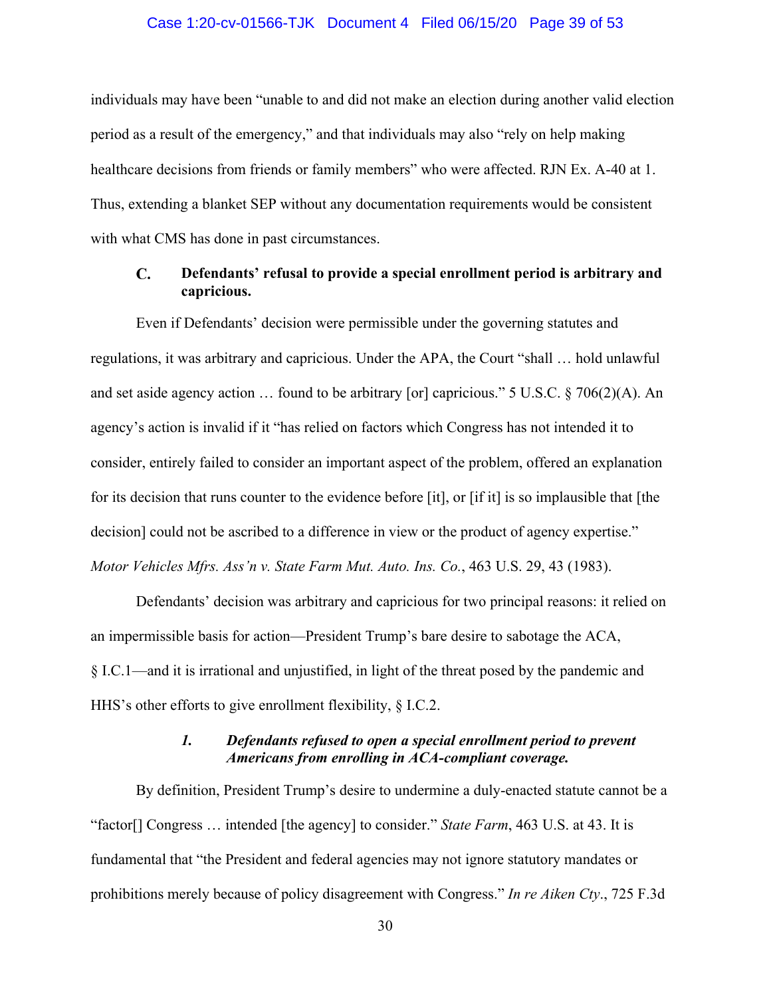#### Case 1:20-cv-01566-TJK Document 4 Filed 06/15/20 Page 39 of 53

individuals may have been "unable to and did not make an election during another valid election period as a result of the emergency," and that individuals may also "rely on help making healthcare decisions from friends or family members" who were affected. RJN Ex. A-40 at 1. Thus, extending a blanket SEP without any documentation requirements would be consistent with what CMS has done in past circumstances.

#### <span id="page-38-0"></span> $\mathbf{C}$ . **Defendants' refusal to provide a special enrollment period is arbitrary and capricious.**

Even if Defendants' decision were permissible under the governing statutes and regulations, it was arbitrary and capricious. Under the APA, the Court "shall … hold unlawful and set aside agency action … found to be arbitrary [or] capricious." 5 U.S.C. § 706(2)(A). An agency's action is invalid if it "has relied on factors which Congress has not intended it to consider, entirely failed to consider an important aspect of the problem, offered an explanation for its decision that runs counter to the evidence before [it], or [if it] is so implausible that [the decision] could not be ascribed to a difference in view or the product of agency expertise." *Motor Vehicles Mfrs. Ass'n v. State Farm Mut. Auto. Ins. Co.*, 463 U.S. 29, 43 (1983).

Defendants' decision was arbitrary and capricious for two principal reasons: it relied on an impermissible basis for action—President Trump's bare desire to sabotage the ACA, § I.C.1—and it is irrational and unjustified, in light of the threat posed by the pandemic and HHS's other efforts to give enrollment flexibility, § I.C.2.

## *1. Defendants refused to open a special enrollment period to prevent Americans from enrolling in ACA-compliant coverage.*

<span id="page-38-1"></span>By definition, President Trump's desire to undermine a duly-enacted statute cannot be a "factor[] Congress … intended [the agency] to consider." *State Farm*, 463 U.S. at 43. It is fundamental that "the President and federal agencies may not ignore statutory mandates or prohibitions merely because of policy disagreement with Congress." *In re Aiken Cty*., 725 F.3d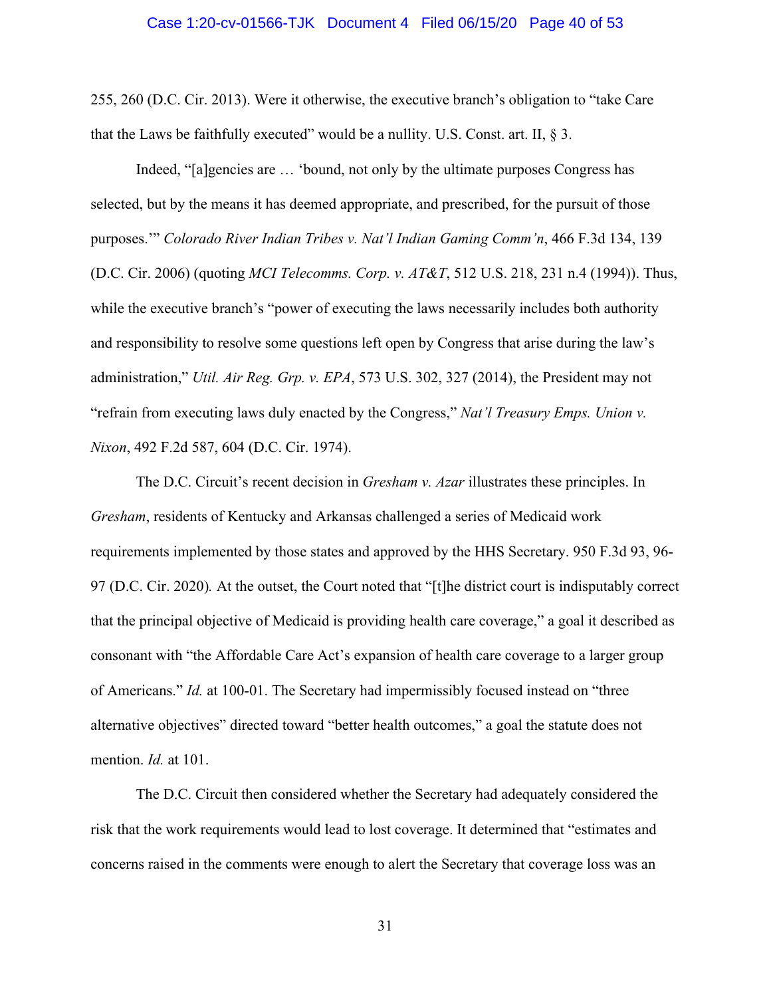255, 260 (D.C. Cir. 2013). Were it otherwise, the executive branch's obligation to "take Care that the Laws be faithfully executed" would be a nullity. U.S. Const. art. II,  $\S$  3.

Indeed, "[a]gencies are … 'bound, not only by the ultimate purposes Congress has selected, but by the means it has deemed appropriate, and prescribed, for the pursuit of those purposes.'" *Colorado River Indian Tribes v. Nat'l Indian Gaming Comm'n*, 466 F.3d 134, 139 (D.C. Cir. 2006) (quoting *MCI Telecomms. Corp. v. AT&T*, 512 U.S. 218, 231 n.4 (1994)). Thus, while the executive branch's "power of executing the laws necessarily includes both authority and responsibility to resolve some questions left open by Congress that arise during the law's administration," *Util. Air Reg. Grp. v. EPA*, 573 U.S. 302, 327 (2014), the President may not "refrain from executing laws duly enacted by the Congress," *Nat'l Treasury Emps. Union v. Nixon*, 492 F.2d 587, 604 (D.C. Cir. 1974).

The D.C. Circuit's recent decision in *Gresham v. Azar* illustrates these principles. In *Gresham*, residents of Kentucky and Arkansas challenged a series of Medicaid work requirements implemented by those states and approved by the HHS Secretary. 950 F.3d 93, 96- 97 (D.C. Cir. 2020)*.* At the outset, the Court noted that "[t]he district court is indisputably correct that the principal objective of Medicaid is providing health care coverage," a goal it described as consonant with "the Affordable Care Act's expansion of health care coverage to a larger group of Americans." *Id.* at 100-01. The Secretary had impermissibly focused instead on "three alternative objectives" directed toward "better health outcomes," a goal the statute does not mention. *Id.* at 101.

The D.C. Circuit then considered whether the Secretary had adequately considered the risk that the work requirements would lead to lost coverage. It determined that "estimates and concerns raised in the comments were enough to alert the Secretary that coverage loss was an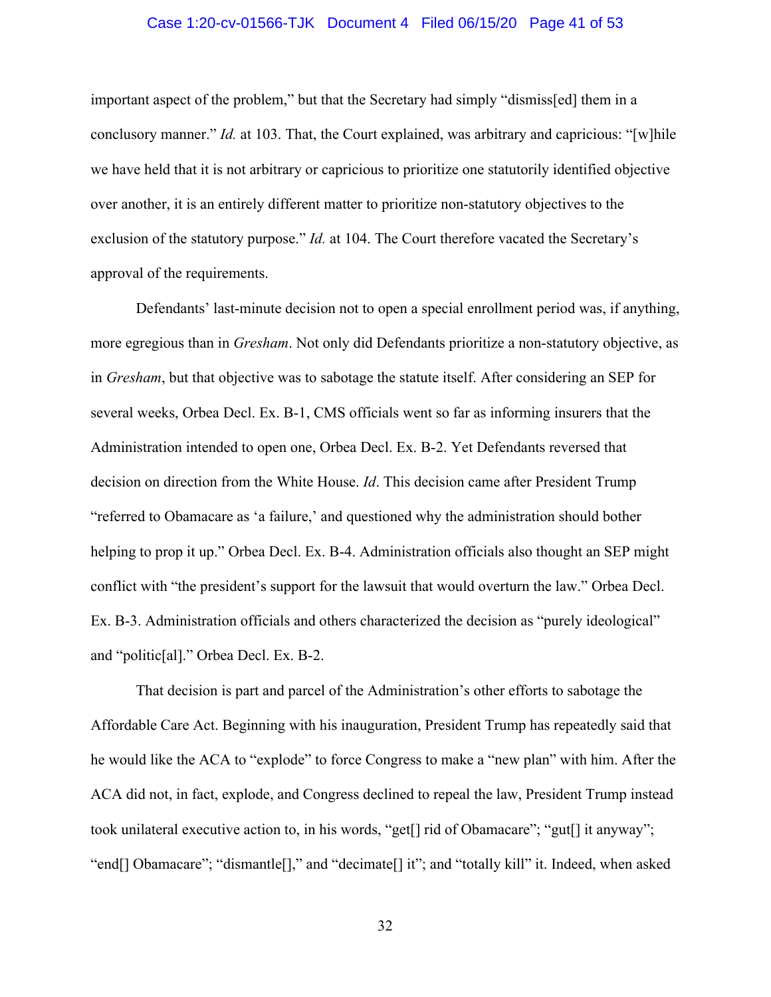#### Case 1:20-cv-01566-TJK Document 4 Filed 06/15/20 Page 41 of 53

important aspect of the problem," but that the Secretary had simply "dismiss[ed] them in a conclusory manner." *Id.* at 103. That, the Court explained, was arbitrary and capricious: "[w]hile we have held that it is not arbitrary or capricious to prioritize one statutorily identified objective over another, it is an entirely different matter to prioritize non-statutory objectives to the exclusion of the statutory purpose." *Id.* at 104. The Court therefore vacated the Secretary's approval of the requirements.

Defendants' last-minute decision not to open a special enrollment period was, if anything, more egregious than in *Gresham*. Not only did Defendants prioritize a non-statutory objective, as in *Gresham*, but that objective was to sabotage the statute itself. After considering an SEP for several weeks, Orbea Decl. Ex. B-1, CMS officials went so far as informing insurers that the Administration intended to open one, Orbea Decl. Ex. B-2. Yet Defendants reversed that decision on direction from the White House. *Id*. This decision came after President Trump "referred to Obamacare as 'a failure,' and questioned why the administration should bother helping to prop it up." Orbea Decl. Ex. B-4. Administration officials also thought an SEP might conflict with "the president's support for the lawsuit that would overturn the law." Orbea Decl. Ex. B-3. Administration officials and others characterized the decision as "purely ideological" and "politic[al]." Orbea Decl. Ex. B-2.

That decision is part and parcel of the Administration's other efforts to sabotage the Affordable Care Act. Beginning with his inauguration, President Trump has repeatedly said that he would like the ACA to "explode" to force Congress to make a "new plan" with him. After the ACA did not, in fact, explode, and Congress declined to repeal the law, President Trump instead took unilateral executive action to, in his words, "get[] rid of Obamacare"; "gut[] it anyway"; "end[] Obamacare"; "dismantle[]," and "decimate[] it"; and "totally kill" it. Indeed, when asked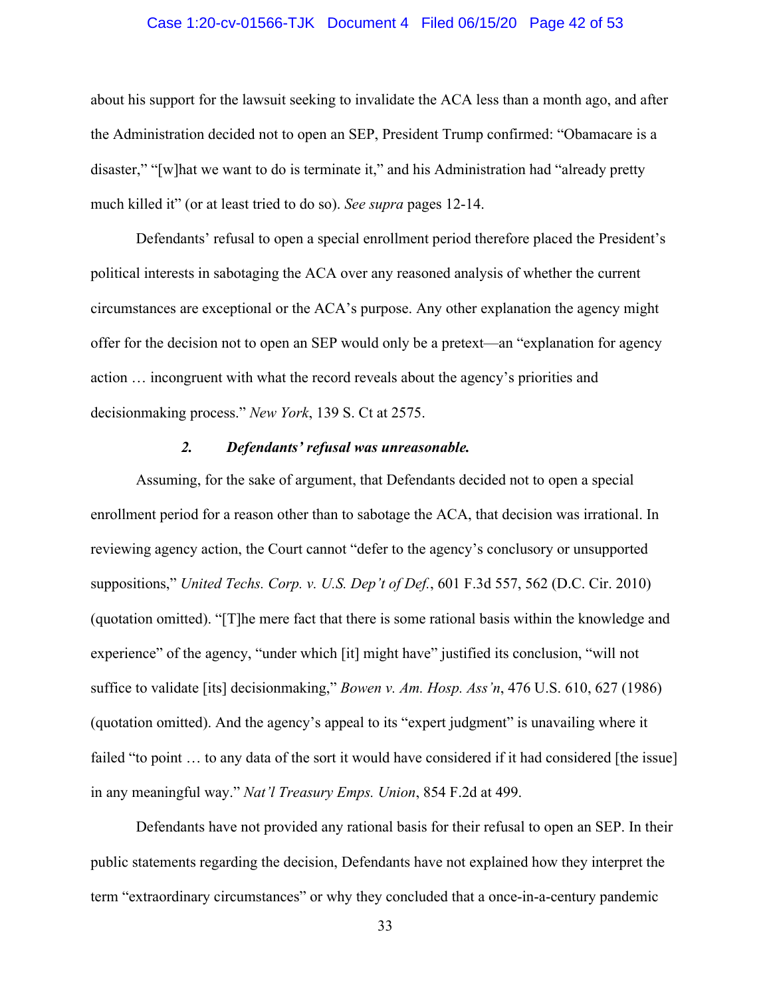#### Case 1:20-cv-01566-TJK Document 4 Filed 06/15/20 Page 42 of 53

about his support for the lawsuit seeking to invalidate the ACA less than a month ago, and after the Administration decided not to open an SEP, President Trump confirmed: "Obamacare is a disaster," "[w]hat we want to do is terminate it," and his Administration had "already pretty much killed it" (or at least tried to do so). *See supra* pages 12-14.

Defendants' refusal to open a special enrollment period therefore placed the President's political interests in sabotaging the ACA over any reasoned analysis of whether the current circumstances are exceptional or the ACA's purpose. Any other explanation the agency might offer for the decision not to open an SEP would only be a pretext—an "explanation for agency action … incongruent with what the record reveals about the agency's priorities and decisionmaking process." *New York*, 139 S. Ct at 2575.

#### *2. Defendants' refusal was unreasonable.*

<span id="page-41-0"></span>Assuming, for the sake of argument, that Defendants decided not to open a special enrollment period for a reason other than to sabotage the ACA, that decision was irrational. In reviewing agency action, the Court cannot "defer to the agency's conclusory or unsupported suppositions," *United Techs. Corp. v. U.S. Dep't of Def.*, 601 F.3d 557, 562 (D.C. Cir. 2010) (quotation omitted). "[T]he mere fact that there is some rational basis within the knowledge and experience" of the agency, "under which [it] might have" justified its conclusion, "will not suffice to validate [its] decisionmaking," *Bowen v. Am. Hosp. Ass'n*, 476 U.S. 610, 627 (1986) (quotation omitted). And the agency's appeal to its "expert judgment" is unavailing where it failed "to point … to any data of the sort it would have considered if it had considered [the issue] in any meaningful way." *Nat'l Treasury Emps. Union*, 854 F.2d at 499.

Defendants have not provided any rational basis for their refusal to open an SEP. In their public statements regarding the decision, Defendants have not explained how they interpret the term "extraordinary circumstances" or why they concluded that a once-in-a-century pandemic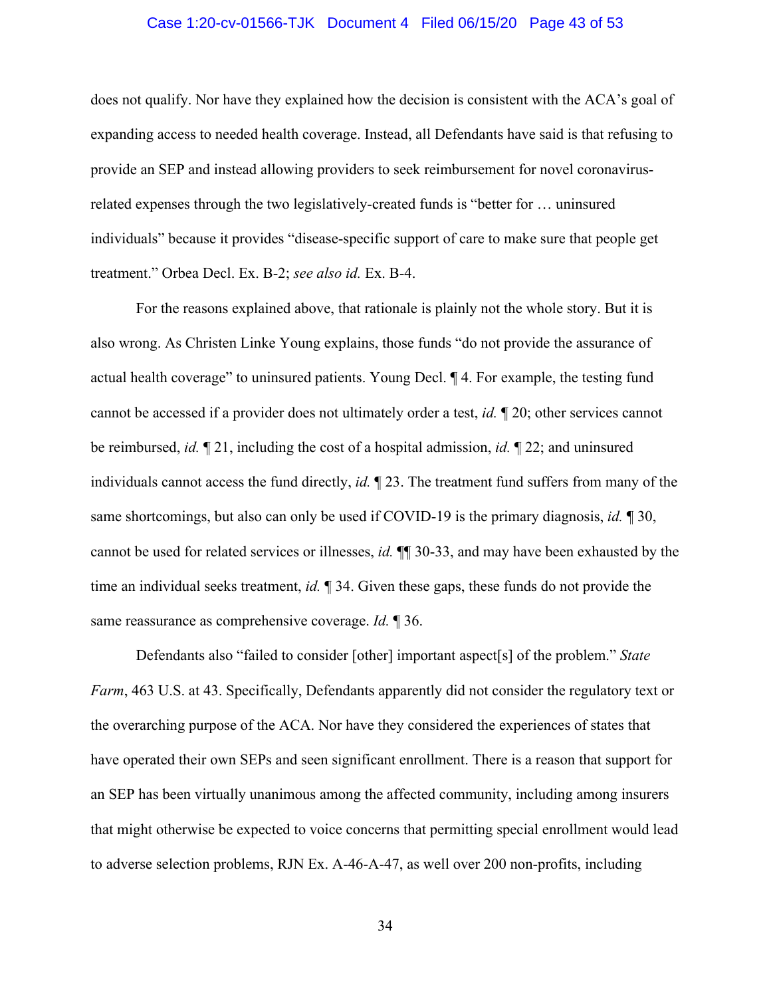#### Case 1:20-cv-01566-TJK Document 4 Filed 06/15/20 Page 43 of 53

does not qualify. Nor have they explained how the decision is consistent with the ACA's goal of expanding access to needed health coverage. Instead, all Defendants have said is that refusing to provide an SEP and instead allowing providers to seek reimbursement for novel coronavirusrelated expenses through the two legislatively-created funds is "better for … uninsured individuals" because it provides "disease-specific support of care to make sure that people get treatment." Orbea Decl. Ex. B-2; *see also id.* Ex. B-4.

For the reasons explained above, that rationale is plainly not the whole story. But it is also wrong. As Christen Linke Young explains, those funds "do not provide the assurance of actual health coverage" to uninsured patients. Young Decl. ¶ 4. For example, the testing fund cannot be accessed if a provider does not ultimately order a test, *id.* ¶ 20; other services cannot be reimbursed, *id.* ¶ 21, including the cost of a hospital admission, *id.* ¶ 22; and uninsured individuals cannot access the fund directly, *id.* ¶ 23. The treatment fund suffers from many of the same shortcomings, but also can only be used if COVID-19 is the primary diagnosis, *id.* ¶ 30, cannot be used for related services or illnesses, *id.* ¶¶ 30-33, and may have been exhausted by the time an individual seeks treatment, *id.* ¶ 34. Given these gaps, these funds do not provide the same reassurance as comprehensive coverage. *Id.* ¶ 36.

Defendants also "failed to consider [other] important aspect[s] of the problem." *State Farm*, 463 U.S. at 43. Specifically, Defendants apparently did not consider the regulatory text or the overarching purpose of the ACA. Nor have they considered the experiences of states that have operated their own SEPs and seen significant enrollment. There is a reason that support for an SEP has been virtually unanimous among the affected community, including among insurers that might otherwise be expected to voice concerns that permitting special enrollment would lead to adverse selection problems, RJN Ex. A-46-A-47, as well over 200 non-profits, including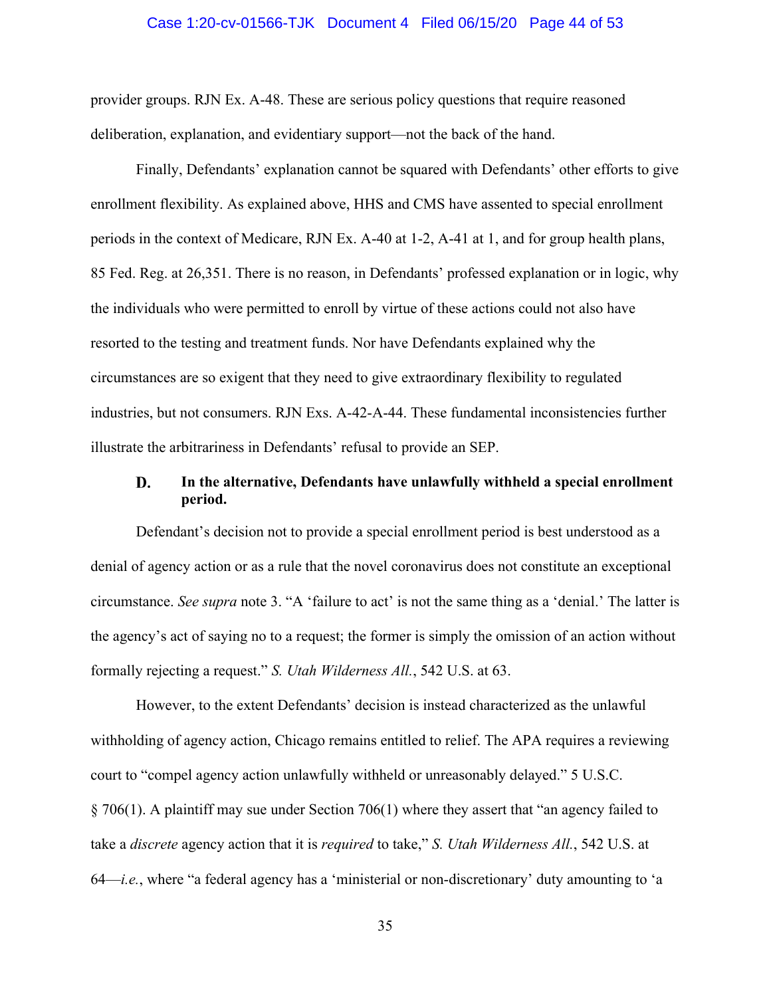#### Case 1:20-cv-01566-TJK Document 4 Filed 06/15/20 Page 44 of 53

provider groups. RJN Ex. A-48. These are serious policy questions that require reasoned deliberation, explanation, and evidentiary support—not the back of the hand.

Finally, Defendants' explanation cannot be squared with Defendants' other efforts to give enrollment flexibility. As explained above, HHS and CMS have assented to special enrollment periods in the context of Medicare, RJN Ex. A-40 at 1-2, A-41 at 1, and for group health plans, 85 Fed. Reg. at 26,351. There is no reason, in Defendants' professed explanation or in logic, why the individuals who were permitted to enroll by virtue of these actions could not also have resorted to the testing and treatment funds. Nor have Defendants explained why the circumstances are so exigent that they need to give extraordinary flexibility to regulated industries, but not consumers. RJN Exs. A-42-A-44. These fundamental inconsistencies further illustrate the arbitrariness in Defendants' refusal to provide an SEP.

#### <span id="page-43-0"></span>**In the alternative, Defendants have unlawfully withheld a special enrollment**  D. **period.**

Defendant's decision not to provide a special enrollment period is best understood as a denial of agency action or as a rule that the novel coronavirus does not constitute an exceptional circumstance. *See supra* note 3. "A 'failure to act' is not the same thing as a 'denial.' The latter is the agency's act of saying no to a request; the former is simply the omission of an action without formally rejecting a request." *S. Utah Wilderness All.*, 542 U.S. at 63.

However, to the extent Defendants' decision is instead characterized as the unlawful withholding of agency action, Chicago remains entitled to relief. The APA requires a reviewing court to "compel agency action unlawfully withheld or unreasonably delayed." 5 U.S.C. § 706(1). A plaintiff may sue under Section 706(1) where they assert that "an agency failed to take a *discrete* agency action that it is *required* to take," *S. Utah Wilderness All.*, 542 U.S. at 64—*i.e.*, where "a federal agency has a 'ministerial or non-discretionary' duty amounting to 'a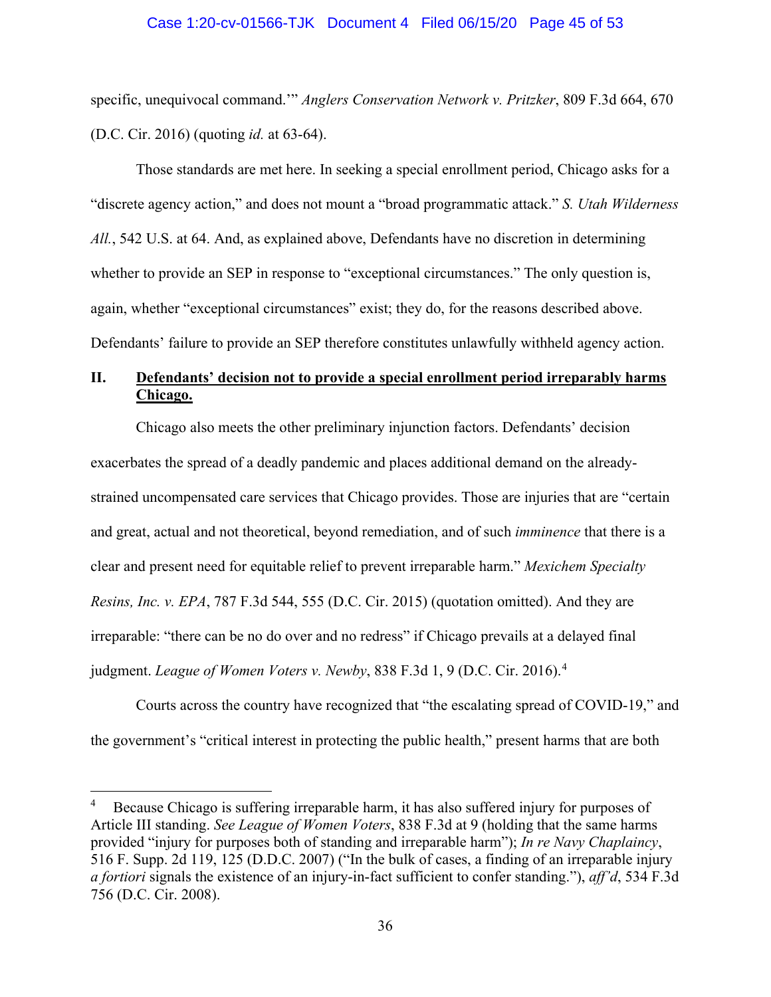#### Case 1:20-cv-01566-TJK Document 4 Filed 06/15/20 Page 45 of 53

specific, unequivocal command.'" *Anglers Conservation Network v. Pritzker*, 809 F.3d 664, 670 (D.C. Cir. 2016) (quoting *id.* at 63-64).

Those standards are met here. In seeking a special enrollment period, Chicago asks for a "discrete agency action," and does not mount a "broad programmatic attack." *S. Utah Wilderness All.*, 542 U.S. at 64. And, as explained above, Defendants have no discretion in determining whether to provide an SEP in response to "exceptional circumstances." The only question is, again, whether "exceptional circumstances" exist; they do, for the reasons described above. Defendants' failure to provide an SEP therefore constitutes unlawfully withheld agency action.

# <span id="page-44-0"></span>**II. Defendants' decision not to provide a special enrollment period irreparably harms Chicago.**

<span id="page-44-1"></span>Chicago also meets the other preliminary injunction factors. Defendants' decision exacerbates the spread of a deadly pandemic and places additional demand on the alreadystrained uncompensated care services that Chicago provides. Those are injuries that are "certain and great, actual and not theoretical, beyond remediation, and of such *imminence* that there is a clear and present need for equitable relief to prevent irreparable harm." *Mexichem Specialty Resins, Inc. v. EPA*, 787 F.3d 544, 555 (D.C. Cir. 2015) (quotation omitted). And they are irreparable: "there can be no do over and no redress" if Chicago prevails at a delayed final judgment. *League of Women Voters v. Newby*, 838 F.3d 1, 9 (D.C. Cir. 2016). [4](#page-44-3)

Courts across the country have recognized that "the escalating spread of COVID-19," and the government's "critical interest in protecting the public health," present harms that are both

<span id="page-44-3"></span><span id="page-44-2"></span><sup>4</sup> Because Chicago is suffering irreparable harm, it has also suffered injury for purposes of Article III standing. *See League of Women Voters*, 838 F.3d at 9 (holding that the same harms provided "injury for purposes both of standing and irreparable harm"); *In re Navy Chaplaincy*, 516 F. Supp. 2d 119, 125 (D.D.C. 2007) ("In the bulk of cases, a finding of an irreparable injury *a fortiori* signals the existence of an injury-in-fact sufficient to confer standing."), *aff'd*, 534 F.3d 756 (D.C. Cir. 2008).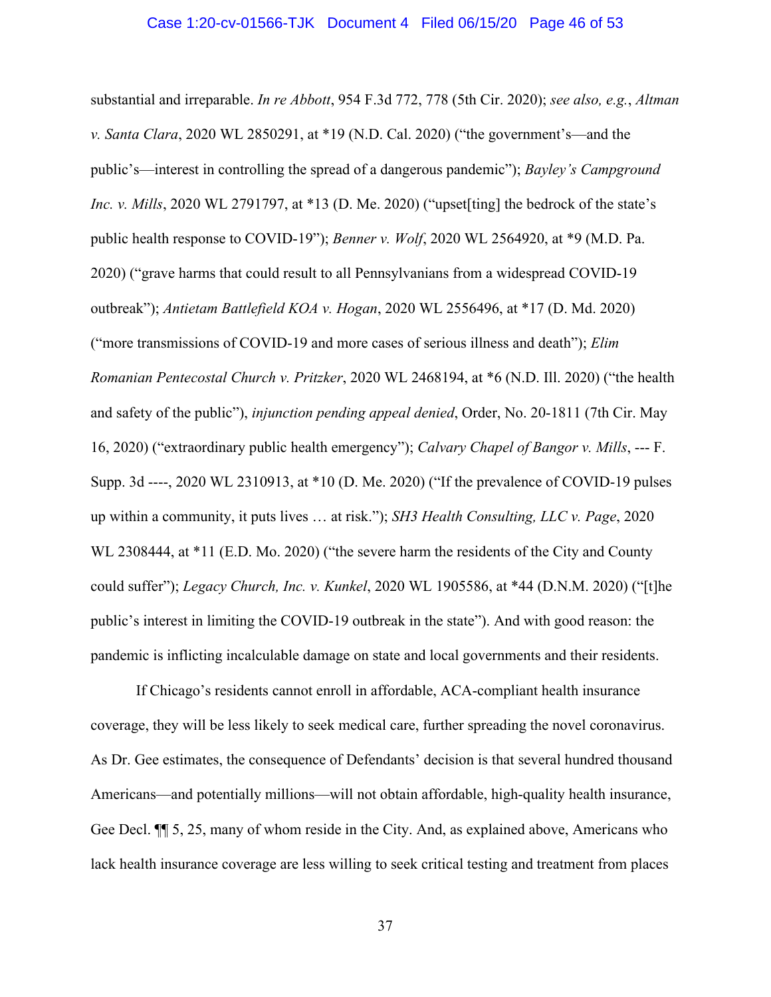#### Case 1:20-cv-01566-TJK Document 4 Filed 06/15/20 Page 46 of 53

substantial and irreparable. *In re Abbott*, 954 F.3d 772, 778 (5th Cir. 2020); *see also, e.g.*, *Altman v. Santa Clara*, 2020 WL 2850291, at \*19 (N.D. Cal. 2020) ("the government's—and the public's—interest in controlling the spread of a dangerous pandemic"); *Bayley's Campground Inc. v. Mills*, 2020 WL 2791797, at \*13 (D. Me. 2020) ("upset [ting] the bedrock of the state's public health response to COVID-19"); *Benner v. Wolf*, 2020 WL 2564920, at \*9 (M.D. Pa. 2020) ("grave harms that could result to all Pennsylvanians from a widespread COVID-19 outbreak"); *Antietam Battlefield KOA v. Hogan*, 2020 WL 2556496, at \*17 (D. Md. 2020) ("more transmissions of COVID-19 and more cases of serious illness and death"); *Elim Romanian Pentecostal Church v. Pritzker*, 2020 WL 2468194, at \*6 (N.D. Ill. 2020) ("the health and safety of the public"), *injunction pending appeal denied*, Order, No. 20-1811 (7th Cir. May 16, 2020) ("extraordinary public health emergency"); *Calvary Chapel of Bangor v. Mills*, --- F. Supp. 3d ----, 2020 WL 2310913, at \*10 (D. Me. 2020) ("If the prevalence of COVID-19 pulses up within a community, it puts lives … at risk."); *SH3 Health Consulting, LLC v. Page*, 2020 WL 2308444, at \*11 (E.D. Mo. 2020) ("the severe harm the residents of the City and County could suffer"); *Legacy Church, Inc. v. Kunkel*, 2020 WL 1905586, at \*44 (D.N.M. 2020) ("[t]he public's interest in limiting the COVID-19 outbreak in the state"). And with good reason: the pandemic is inflicting incalculable damage on state and local governments and their residents.

If Chicago's residents cannot enroll in affordable, ACA-compliant health insurance coverage, they will be less likely to seek medical care, further spreading the novel coronavirus. As Dr. Gee estimates, the consequence of Defendants' decision is that several hundred thousand Americans—and potentially millions—will not obtain affordable, high-quality health insurance, Gee Decl. ¶¶ 5, 25, many of whom reside in the City. And, as explained above, Americans who lack health insurance coverage are less willing to seek critical testing and treatment from places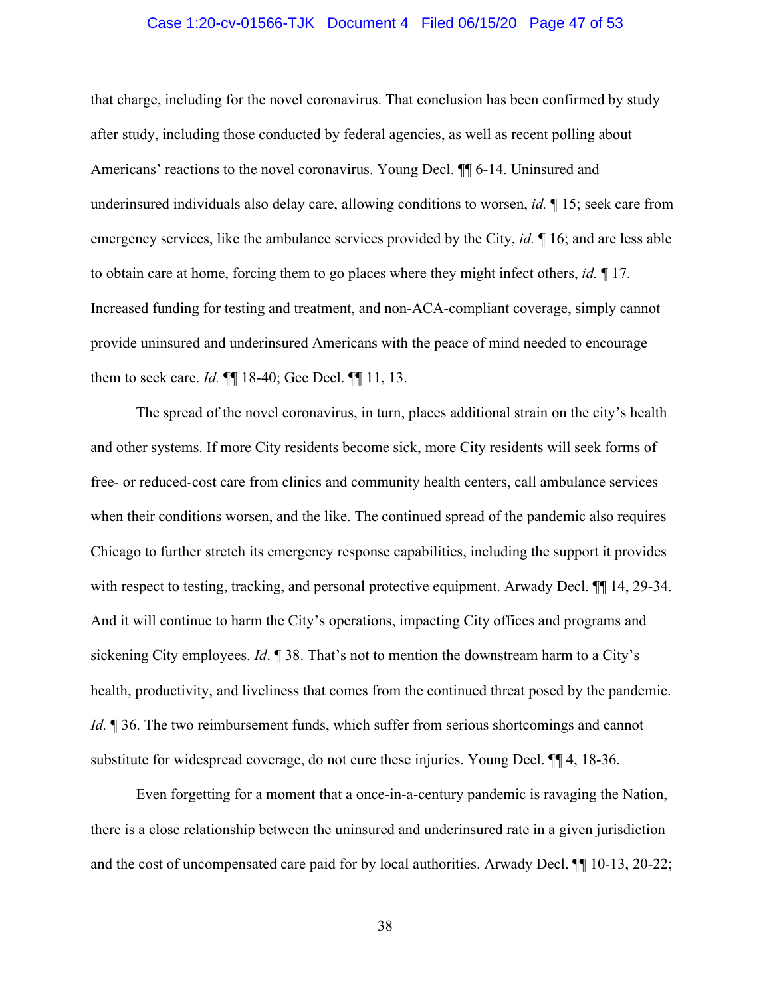#### Case 1:20-cv-01566-TJK Document 4 Filed 06/15/20 Page 47 of 53

that charge, including for the novel coronavirus. That conclusion has been confirmed by study after study, including those conducted by federal agencies, as well as recent polling about Americans' reactions to the novel coronavirus. Young Decl. ¶¶ 6-14. Uninsured and underinsured individuals also delay care, allowing conditions to worsen, *id.* ¶ 15; seek care from emergency services, like the ambulance services provided by the City, *id.* ¶ 16; and are less able to obtain care at home, forcing them to go places where they might infect others, *id.* ¶ 17. Increased funding for testing and treatment, and non-ACA-compliant coverage, simply cannot provide uninsured and underinsured Americans with the peace of mind needed to encourage them to seek care. *Id.* ¶¶ 18-40; Gee Decl. ¶¶ 11, 13.

The spread of the novel coronavirus, in turn, places additional strain on the city's health and other systems. If more City residents become sick, more City residents will seek forms of free- or reduced-cost care from clinics and community health centers, call ambulance services when their conditions worsen, and the like. The continued spread of the pandemic also requires Chicago to further stretch its emergency response capabilities, including the support it provides with respect to testing, tracking, and personal protective equipment. Arwady Decl.  $\P$  14, 29-34. And it will continue to harm the City's operations, impacting City offices and programs and sickening City employees. *Id*. ¶ 38. That's not to mention the downstream harm to a City's health, productivity, and liveliness that comes from the continued threat posed by the pandemic. *Id.* **¶** 36. The two reimbursement funds, which suffer from serious shortcomings and cannot substitute for widespread coverage, do not cure these injuries. Young Decl. ¶¶ 4, 18-36.

Even forgetting for a moment that a once-in-a-century pandemic is ravaging the Nation, there is a close relationship between the uninsured and underinsured rate in a given jurisdiction and the cost of uncompensated care paid for by local authorities. Arwady Decl. ¶¶ 10-13, 20-22;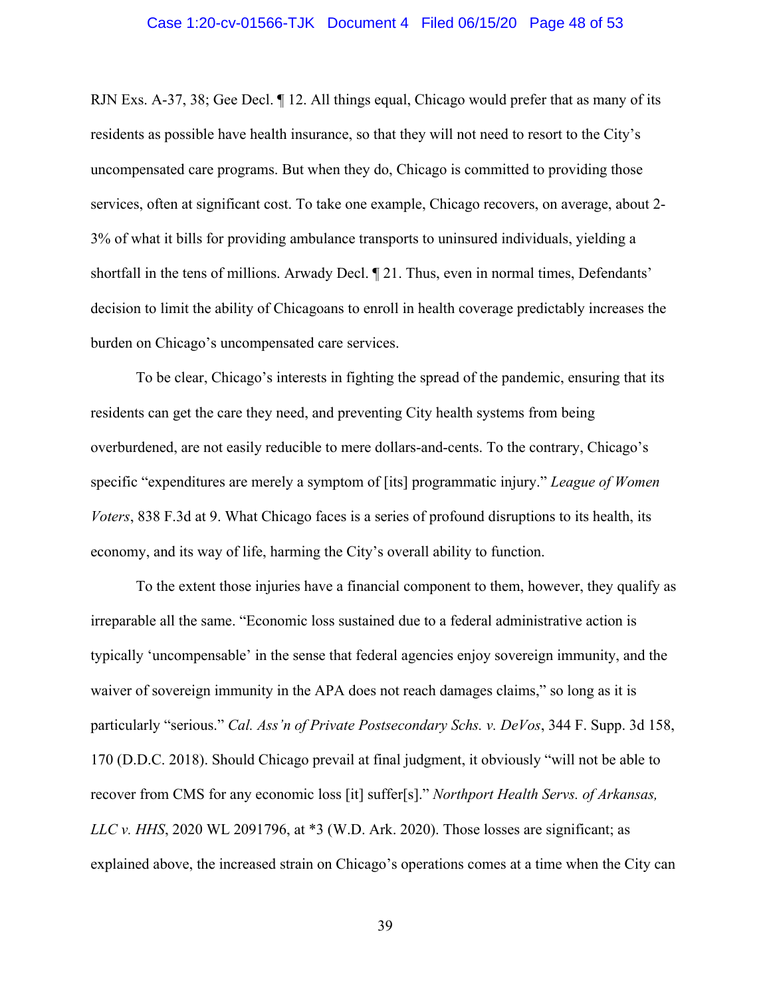#### Case 1:20-cv-01566-TJK Document 4 Filed 06/15/20 Page 48 of 53

RJN Exs. A-37, 38; Gee Decl. ¶ 12. All things equal, Chicago would prefer that as many of its residents as possible have health insurance, so that they will not need to resort to the City's uncompensated care programs. But when they do, Chicago is committed to providing those services, often at significant cost. To take one example, Chicago recovers, on average, about 2- 3% of what it bills for providing ambulance transports to uninsured individuals, yielding a shortfall in the tens of millions. Arwady Decl. ¶ 21. Thus, even in normal times, Defendants' decision to limit the ability of Chicagoans to enroll in health coverage predictably increases the burden on Chicago's uncompensated care services.

To be clear, Chicago's interests in fighting the spread of the pandemic, ensuring that its residents can get the care they need, and preventing City health systems from being overburdened, are not easily reducible to mere dollars-and-cents. To the contrary, Chicago's specific "expenditures are merely a symptom of [its] programmatic injury." *League of Women Voters*, 838 F.3d at 9. What Chicago faces is a series of profound disruptions to its health, its economy, and its way of life, harming the City's overall ability to function.

<span id="page-47-0"></span>To the extent those injuries have a financial component to them, however, they qualify as irreparable all the same. "Economic loss sustained due to a federal administrative action is typically 'uncompensable' in the sense that federal agencies enjoy sovereign immunity, and the waiver of sovereign immunity in the APA does not reach damages claims," so long as it is particularly "serious." *Cal. Ass'n of Private Postsecondary Schs. v. DeVos*, 344 F. Supp. 3d 158, 170 (D.D.C. 2018). Should Chicago prevail at final judgment, it obviously "will not be able to recover from CMS for any economic loss [it] suffer[s]." *Northport Health Servs. of Arkansas, LLC v. HHS*, 2020 WL 2091796, at \*3 (W.D. Ark. 2020). Those losses are significant; as explained above, the increased strain on Chicago's operations comes at a time when the City can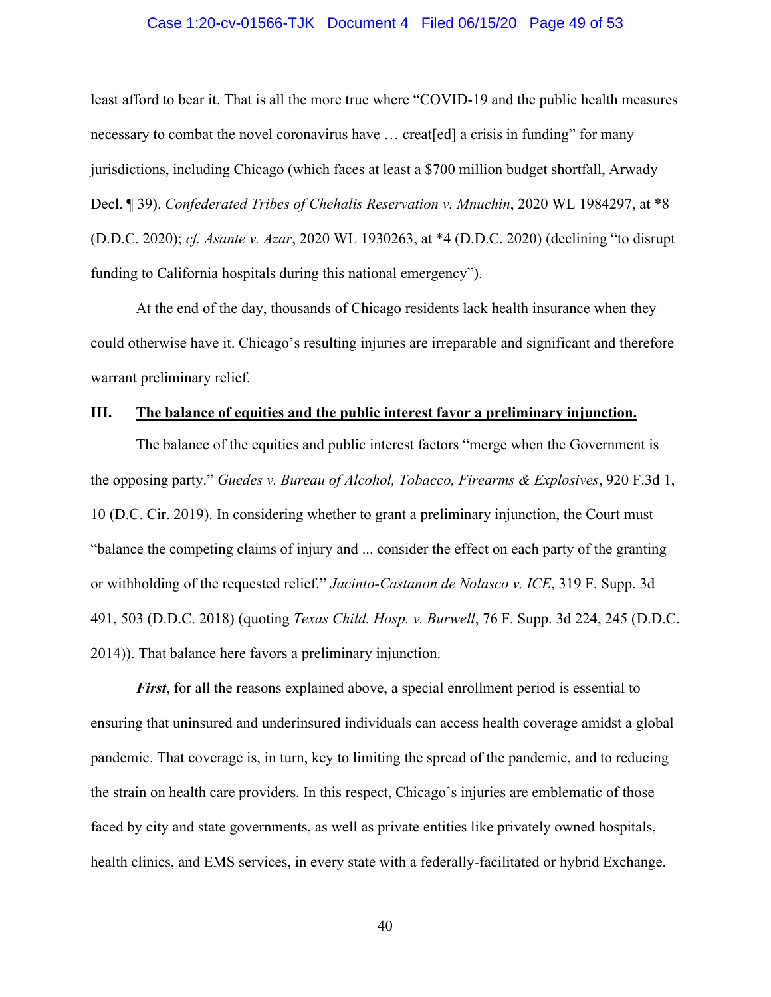#### Case 1:20-cv-01566-TJK Document 4 Filed 06/15/20 Page 49 of 53

least afford to bear it. That is all the more true where "COVID-19 and the public health measures necessary to combat the novel coronavirus have … creat[ed] a crisis in funding" for many jurisdictions, including Chicago (which faces at least a \$700 million budget shortfall, Arwady Decl. ¶ 39). *Confederated Tribes of Chehalis Reservation v. Mnuchin*, 2020 WL 1984297, at \*8 (D.D.C. 2020); *cf. Asante v. Azar*, 2020 WL 1930263, at \*4 (D.D.C. 2020) (declining "to disrupt funding to California hospitals during this national emergency").

At the end of the day, thousands of Chicago residents lack health insurance when they could otherwise have it. Chicago's resulting injuries are irreparable and significant and therefore warrant preliminary relief.

#### <span id="page-48-0"></span>**III. The balance of equities and the public interest favor a preliminary injunction.**

<span id="page-48-1"></span>The balance of the equities and public interest factors "merge when the Government is the opposing party." *Guedes v. Bureau of Alcohol, Tobacco, Firearms & Explosives*, 920 F.3d 1, 10 (D.C. Cir. 2019). In considering whether to grant a preliminary injunction, the Court must "balance the competing claims of injury and ... consider the effect on each party of the granting or withholding of the requested relief." *Jacinto-Castanon de Nolasco v. ICE*, 319 F. Supp. 3d 491, 503 (D.D.C. 2018) (quoting *Texas Child. Hosp. v. Burwell*, 76 F. Supp. 3d 224, 245 (D.D.C. 2014)). That balance here favors a preliminary injunction.

<span id="page-48-2"></span>*First*, for all the reasons explained above, a special enrollment period is essential to ensuring that uninsured and underinsured individuals can access health coverage amidst a global pandemic. That coverage is, in turn, key to limiting the spread of the pandemic, and to reducing the strain on health care providers. In this respect, Chicago's injuries are emblematic of those faced by city and state governments, as well as private entities like privately owned hospitals, health clinics, and EMS services, in every state with a federally-facilitated or hybrid Exchange.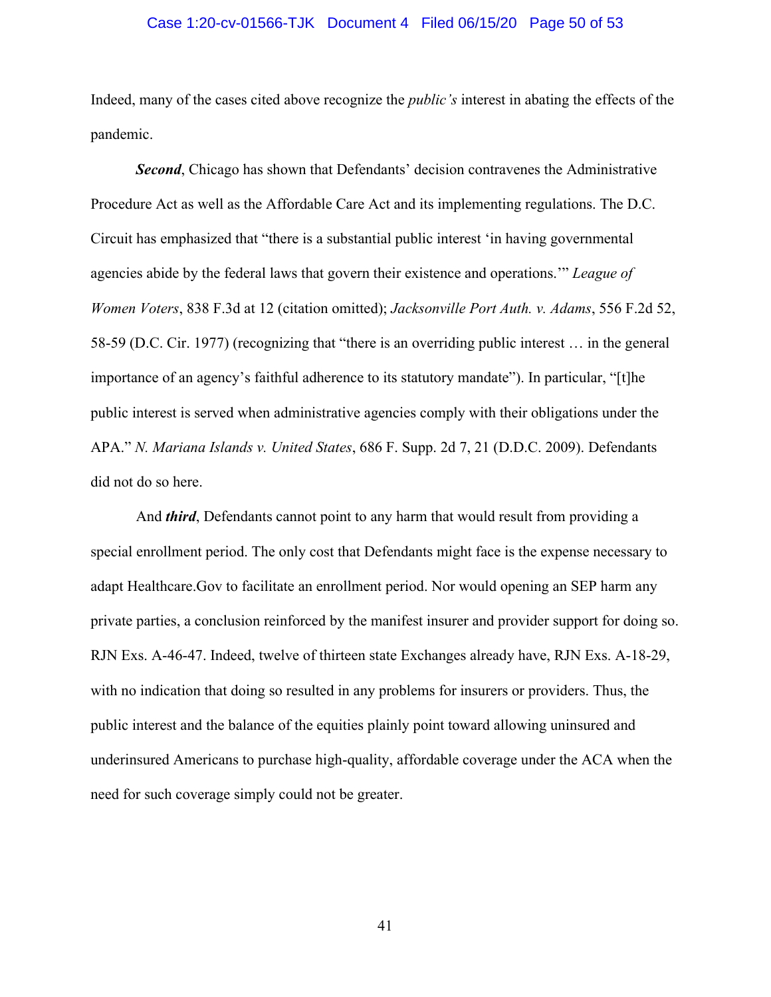#### <span id="page-49-1"></span>Case 1:20-cv-01566-TJK Document 4 Filed 06/15/20 Page 50 of 53

Indeed, many of the cases cited above recognize the *public's* interest in abating the effects of the pandemic.

<span id="page-49-0"></span>*Second*, Chicago has shown that Defendants' decision contravenes the Administrative Procedure Act as well as the Affordable Care Act and its implementing regulations. The D.C. Circuit has emphasized that "there is a substantial public interest 'in having governmental agencies abide by the federal laws that govern their existence and operations.'" *League of Women Voters*, 838 F.3d at 12 (citation omitted); *Jacksonville Port Auth. v. Adams*, 556 F.2d 52, 58-59 (D.C. Cir. 1977) (recognizing that "there is an overriding public interest … in the general importance of an agency's faithful adherence to its statutory mandate"). In particular, "[t]he public interest is served when administrative agencies comply with their obligations under the APA." *N. Mariana Islands v. United States*, 686 F. Supp. 2d 7, 21 (D.D.C. 2009). Defendants did not do so here.

<span id="page-49-2"></span>And *third*, Defendants cannot point to any harm that would result from providing a special enrollment period. The only cost that Defendants might face is the expense necessary to adapt Healthcare.Gov to facilitate an enrollment period. Nor would opening an SEP harm any private parties, a conclusion reinforced by the manifest insurer and provider support for doing so. RJN Exs. A-46-47. Indeed, twelve of thirteen state Exchanges already have, RJN Exs. A-18-29, with no indication that doing so resulted in any problems for insurers or providers. Thus, the public interest and the balance of the equities plainly point toward allowing uninsured and underinsured Americans to purchase high-quality, affordable coverage under the ACA when the need for such coverage simply could not be greater.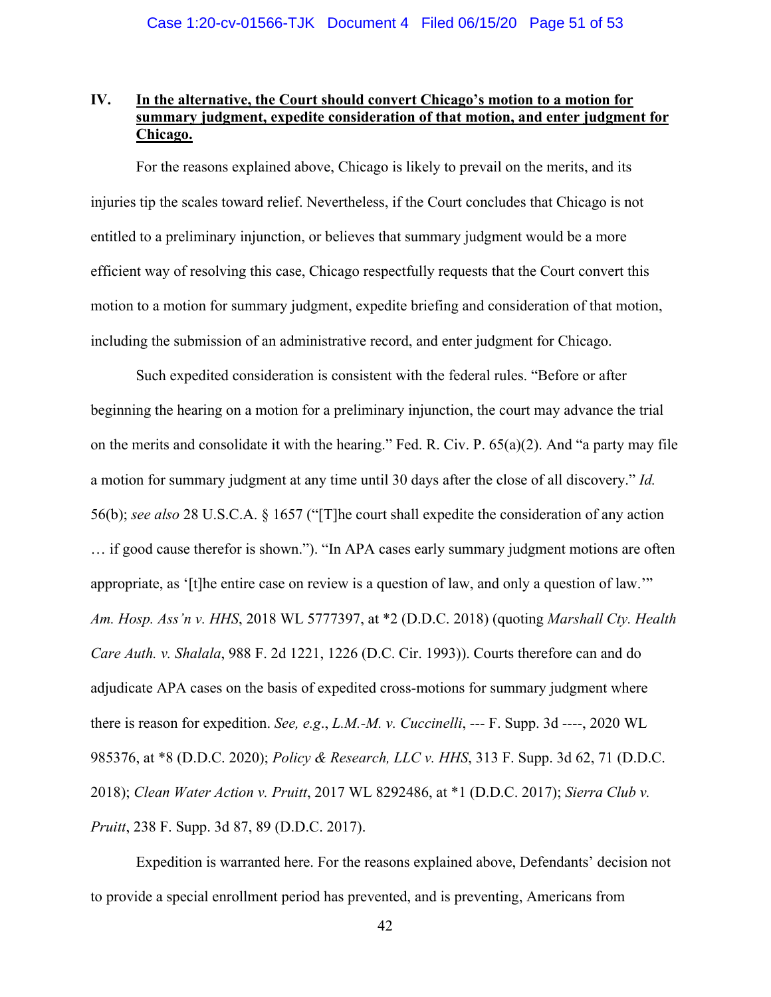# <span id="page-50-0"></span>**IV. In the alternative, the Court should convert Chicago's motion to a motion for summary judgment, expedite consideration of that motion, and enter judgment for Chicago.**

For the reasons explained above, Chicago is likely to prevail on the merits, and its injuries tip the scales toward relief. Nevertheless, if the Court concludes that Chicago is not entitled to a preliminary injunction, or believes that summary judgment would be a more efficient way of resolving this case, Chicago respectfully requests that the Court convert this motion to a motion for summary judgment, expedite briefing and consideration of that motion, including the submission of an administrative record, and enter judgment for Chicago.

Such expedited consideration is consistent with the federal rules. "Before or after beginning the hearing on a motion for a preliminary injunction, the court may advance the trial on the merits and consolidate it with the hearing." Fed. R. Civ. P. 65(a)(2). And "a party may file a motion for summary judgment at any time until 30 days after the close of all discovery." *Id.* 56(b); *see also* 28 U.S.C.A. § 1657 ("[T]he court shall expedite the consideration of any action … if good cause therefor is shown."). "In APA cases early summary judgment motions are often appropriate, as '[t]he entire case on review is a question of law, and only a question of law.'" *Am. Hosp. Ass'n v. HHS*, 2018 WL 5777397, at \*2 (D.D.C. 2018) (quoting *Marshall Cty. Health Care Auth. v. Shalala*, 988 F. 2d 1221, 1226 (D.C. Cir. 1993)). Courts therefore can and do adjudicate APA cases on the basis of expedited cross-motions for summary judgment where there is reason for expedition. *See, e.g*., *L.M.-M. v. Cuccinelli*, --- F. Supp. 3d ----, 2020 WL 985376, at \*8 (D.D.C. 2020); *Policy & Research, LLC v. HHS*, 313 F. Supp. 3d 62, 71 (D.D.C. 2018); *Clean Water Action v. Pruitt*, 2017 WL 8292486, at \*1 (D.D.C. 2017); *Sierra Club v. Pruitt*, 238 F. Supp. 3d 87, 89 (D.D.C. 2017).

Expedition is warranted here. For the reasons explained above, Defendants' decision not to provide a special enrollment period has prevented, and is preventing, Americans from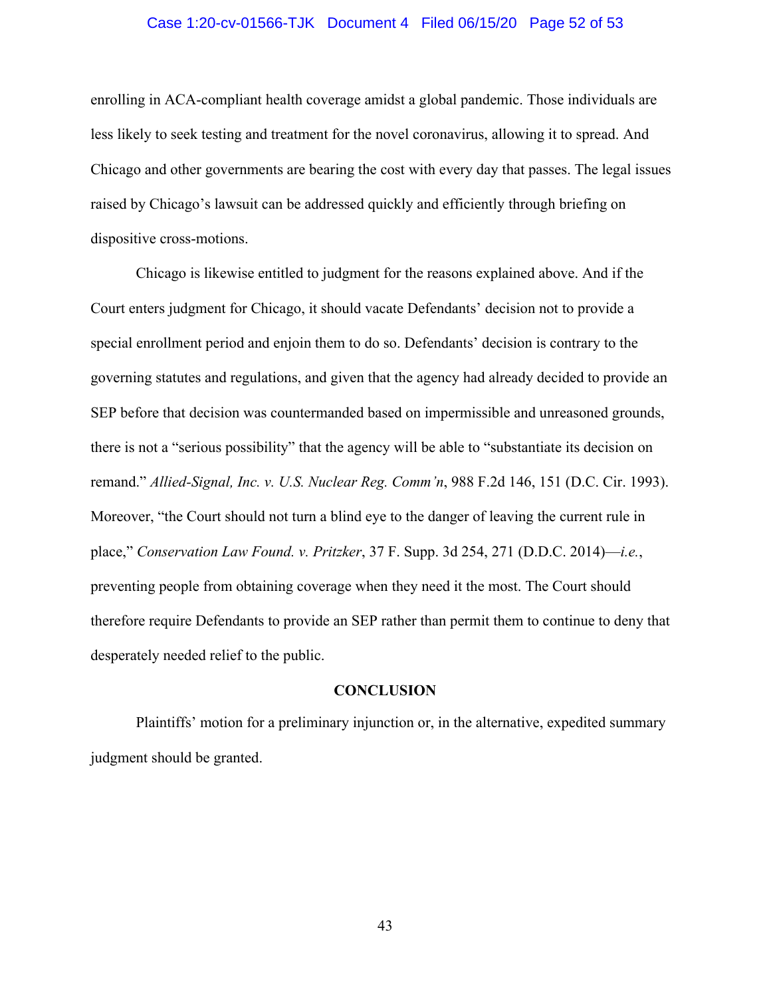#### Case 1:20-cv-01566-TJK Document 4 Filed 06/15/20 Page 52 of 53

enrolling in ACA-compliant health coverage amidst a global pandemic. Those individuals are less likely to seek testing and treatment for the novel coronavirus, allowing it to spread. And Chicago and other governments are bearing the cost with every day that passes. The legal issues raised by Chicago's lawsuit can be addressed quickly and efficiently through briefing on dispositive cross-motions.

Chicago is likewise entitled to judgment for the reasons explained above. And if the Court enters judgment for Chicago, it should vacate Defendants' decision not to provide a special enrollment period and enjoin them to do so. Defendants' decision is contrary to the governing statutes and regulations, and given that the agency had already decided to provide an SEP before that decision was countermanded based on impermissible and unreasoned grounds, there is not a "serious possibility" that the agency will be able to "substantiate its decision on remand." *Allied-Signal, Inc. v. U.S. Nuclear Reg. Comm'n*, 988 F.2d 146, 151 (D.C. Cir. 1993). Moreover, "the Court should not turn a blind eye to the danger of leaving the current rule in place," *Conservation Law Found. v. Pritzker*, 37 F. Supp. 3d 254, 271 (D.D.C. 2014)—*i.e.*, preventing people from obtaining coverage when they need it the most. The Court should therefore require Defendants to provide an SEP rather than permit them to continue to deny that desperately needed relief to the public.

#### **CONCLUSION**

<span id="page-51-0"></span>Plaintiffs' motion for a preliminary injunction or, in the alternative, expedited summary judgment should be granted.